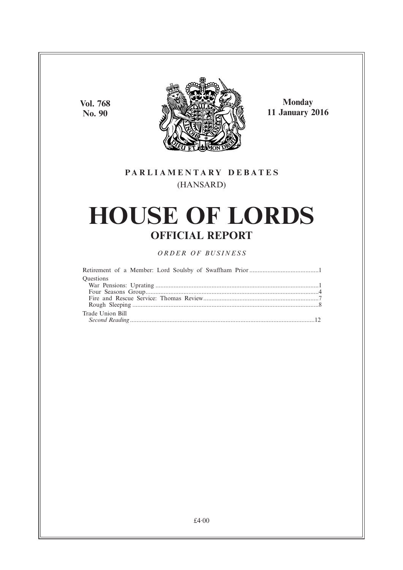**Vol. 768 No. 90**



**Monday 11 January 2016**

# **PARL IAMENTARY DEBATES** (HANSARD)

# **HOUSE OF LORDS OFFICIAL REPORT**

*ORDER OF BUSINESS*

| <b>Ouestions</b> |  |
|------------------|--|
|                  |  |
|                  |  |
|                  |  |
|                  |  |
| Trade Union Bill |  |
|                  |  |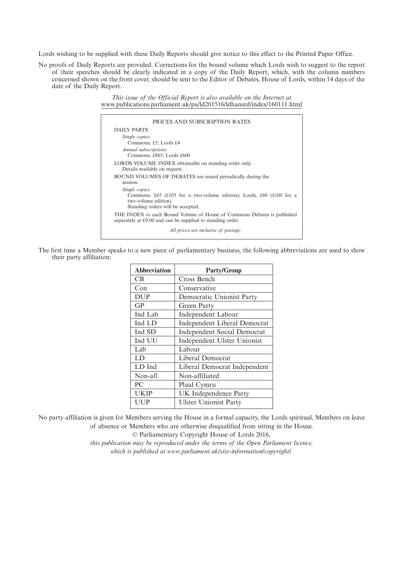Lords wishing to be supplied with these Daily Reports should give notice to this effect to the Printed Paper Office.

No proofs of Daily Reports are provided. Corrections for the bound volume which Lords wish to suggest to the report of their speeches should be clearly indicated in a copy of the Daily Report, which, with the column numbers concerned shown on the front cover, should be sent to the Editor of Debates, House of Lords, within 14 days of the date of the Daily Report.

> *This issue of the Official Report is also available on the Internet at* www.publications.parliament.uk/pa/ld201516/ldhansrd/index/160111.html

| PRICES AND SUBSCRIPTION RATES                                                                                                                       |
|-----------------------------------------------------------------------------------------------------------------------------------------------------|
| <b>DAILY PARTS</b>                                                                                                                                  |
| Single copies:<br>Commons, £5; Lords £4                                                                                                             |
| Annual subscriptions:<br>Commons, £865; Lords £600                                                                                                  |
| LORDS VOLUME INDEX obtainable on standing order only.<br>Details available on request.                                                              |
| BOUND VOLUMES OF DEBATES are issued periodically during the<br>session.                                                                             |
| Single copies:<br>Commons, £65 (£105 for a two-volume edition); Lords, £60 (£100 for a<br>two-volume edition).<br>Standing orders will be accepted. |
| THE INDEX to each Bound Volume of House of Commons Debates is published<br>separately at £9.00 and can be supplied to standing order.               |
| All prices are inclusive of postage.                                                                                                                |

The first time a Member speaks to a new piece of parliamentary business, the following abbreviations are used to show their party affiliation:

| <b>Abbreviation</b> | <b>Party/Group</b>                  |
|---------------------|-------------------------------------|
| CB                  | Cross Bench                         |
| Con                 | Conservative                        |
| <b>DUP</b>          | Democratic Unionist Party           |
| GP                  | Green Party                         |
| Ind Lab             | <b>Independent Labour</b>           |
| Ind LD              | <b>Independent Liberal Democrat</b> |
| Ind SD              | <b>Independent Social Democrat</b>  |
| Ind UU              | Independent Ulster Unionist         |
| Lab                 | Labour                              |
| LD.                 | Liberal Democrat                    |
| LD Ind              | Liberal Democrat Independent        |
| Non-afl             | Non-affiliated                      |
| P <sub>C</sub>      | Plaid Cymru                         |
| <b>UKIP</b>         | UK Independence Party               |
| <b>UUP</b>          | <b>Ulster Unionist Party</b>        |

No party affiliation is given for Members serving the House in a formal capacity, the Lords spiritual, Members on leave of absence or Members who are otherwise disqualified from sitting in the House.

© Parliamentary Copyright House of Lords 2016,

*this publication may be reproduced under the terms of the Open Parliament licence, which is published at www.parliament.uk/site-information/copyright/.*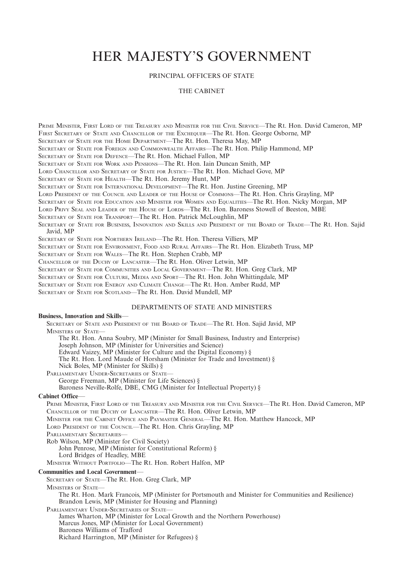# HER MAJESTY'S GOVERNMENT

#### PRINCIPAL OFFICERS OF STATE

THE CABINET

PRIME MINISTER, FIRST LORD OF THE TREASURY AND MINISTER FOR THE CIVIL SERVICE—The Rt. Hon. David Cameron, MP FIRST SECRETARY OF STATE AND CHANCELLOR OF THE EXCHEQUER—The Rt. Hon. George Osborne, MP SECRETARY OF STATE FOR THE HOME DEPARTMENT—The Rt. Hon. Theresa May, MP SECRETARY OF STATE FOR FOREIGN AND COMMONWEALTH AFFAIRS—The Rt. Hon. Philip Hammond, MP SECRETARY OF STATE FOR DEFENCE—The Rt. Hon. Michael Fallon, MP SECRETARY OF STATE FOR WORK AND PENSIONS—The Rt. Hon. Iain Duncan Smith, MP LORD CHANCELLOR AND SECRETARY OF STATE FOR JUSTICE—The Rt. Hon. Michael Gove, MP SECRETARY OF STATE FOR HEALTH—The Rt. Hon. Jeremy Hunt, MP SECRETARY OF STATE FOR INTERNATIONAL DEVELOPMENT—The Rt. Hon. Justine Greening, MP LORD PRESIDENT OF THE COUNCIL AND LEADER OF THE HOUSE OF COMMONS—The Rt. Hon. Chris Grayling, MP SECRETARY OF STATE FOR EDUCATION AND MINISTER FOR WOMEN AND EQUALITIES—The Rt. Hon. Nicky Morgan, MP LORD PRIVY SEAL AND LEADER OF THE HOUSE OF LORDS—The Rt. Hon. Baroness Stowell of Beeston, MBE SECRETARY OF STATE FOR TRANSPORT—The Rt. Hon. Patrick McLoughlin, MP SECRETARY OF STATE FOR BUSINESS, INNOVATION AND SKILLS AND PRESIDENT OF THE BOARD OF TRADE—The Rt. Hon. Sajid Javid, MP SECRETARY OF STATE FOR NORTHERN IRELAND—The Rt. Hon. Theresa Villiers, MP SECRETARY OF STATE FOR ENVIRONMENT, FOOD AND RURAL AFFAIRS—The Rt. Hon. Elizabeth Truss, MP SECRETARY OF STATE FOR WALES—The Rt. Hon. Stephen Crabb, MP CHANCELLOR OF THE DUCHY OF LANCASTER—The Rt. Hon. Oliver Letwin, MP SECRETARY OF STATE FOR COMMUNITIES AND LOCAL GOVERNMENT—The Rt. Hon. Greg Clark, MP SECRETARY OF STATE FOR CULTURE, MEDIA AND SPORT—The Rt. Hon. John Whittingdale, MP SECRETARY OF STATE FOR ENERGY AND CLIMATE CHANGE—The Rt. Hon. Amber Rudd, MP SECRETARY OF STATE FOR SCOTLAND—The Rt. Hon. David Mundell, MP DEPARTMENTS OF STATE AND MINISTERS

## **Business, Innovation and Skills**—

SECRETARY OF STATE AND PRESIDENT OF THE BOARD OF TRADE—The Rt. Hon. Sajid Javid, MP MINISTERS OF STATE—

The Rt. Hon. Anna Soubry, MP (Minister for Small Business, Industry and Enterprise)

Joseph Johnson, MP (Minister for Universities and Science)

Edward Vaizey, MP (Minister for Culture and the Digital Economy) §

The Rt. Hon. Lord Maude of Horsham (Minister for Trade and Investment) §

Nick Boles, MP (Minister for Skills) §

PARLIAMENTARY UNDER-SECRETARIES OF STATE-

George Freeman, MP (Minister for Life Sciences) §

Baroness Neville-Rolfe, DBE, CMG (Minister for Intellectual Property) §

## **Cabinet Office**—

PRIME MINISTER, FIRST LORD OF THE TREASURY AND MINISTER FOR THE CIVIL SERVICE—The Rt. Hon. David Cameron, MP CHANCELLOR OF THE DUCHY OF LANCASTER—The Rt. Hon. Oliver Letwin, MP

MINISTER FOR THE CABINET OFFICE AND PAYMASTER GENERAL—The Rt. Hon. Matthew Hancock, MP

LORD PRESIDENT OF THE COUNCIL—The Rt. Hon. Chris Grayling, MP

PARLIAMENTARY SECRETARIES—

Rob Wilson, MP (Minister for Civil Society)

John Penrose, MP (Minister for Constitutional Reform) §

Lord Bridges of Headley, MBE

MINISTER WITHOUT PORTFOLIO—The Rt. Hon. Robert Halfon, MP

#### **Communities and Local Government**—

SECRETARY OF STATE—The Rt. Hon. Greg Clark, MP

MINISTERS OF STATE—

The Rt. Hon. Mark Francois, MP (Minister for Portsmouth and Minister for Communities and Resilience) Brandon Lewis, MP (Minister for Housing and Planning)

PARLIAMENTARY UNDER-SECRETARIES OF STATE— James Wharton, MP (Minister for Local Growth and the Northern Powerhouse) Marcus Jones, MP (Minister for Local Government) Baroness Williams of Trafford Richard Harrington, MP (Minister for Refugees) §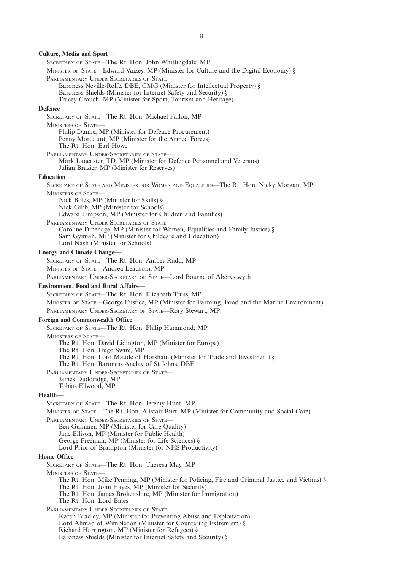#### **Culture, Media and Sport**—

SECRETARY OF STATE—The Rt. Hon. John Whittingdale, MP MINISTER OF STATE—Edward Vaizey, MP (Minister for Culture and the Digital Economy) § PARLIAMENTARY UNDER-SECRETARIES OF STATE— Baroness Neville-Rolfe, DBE, CMG (Minister for Intellectual Property) § Baroness Shields (Minister for Internet Safety and Security) § Tracey Crouch, MP (Minister for Sport, Tourism and Heritage) **Defence**—

SECRETARY OF STATE—The Rt. Hon. Michael Fallon, MP MINISTERS OF STATE— Philip Dunne, MP (Minister for Defence Procurement) Penny Mordaunt, MP (Minister for the Armed Forces) The Rt. Hon. Earl Howe PARLIAMENTARY UNDER-SECRETARIES OF STATE— Mark Lancaster, TD, MP (Minister for Defence Personnel and Veterans) Julian Brazier, MP (Minister for Reserves) **Education**— SECRETARY OF STATE AND MINISTER FOR WOMEN AND EQUALITIES—The Rt. Hon. Nicky Morgan, MP MINISTERS OF STATE— Nick Boles, MP (Minister for Skills) § Nick Gibb, MP (Minister for Schools) Edward Timpson, MP (Minister for Children and Families) PARLIAMENTARY UNDER-SECRETARIES OF STATE— Caroline Dinenage, MP (Minister for Women, Equalities and Family Justice) § Sam Gyimah, MP (Minister for Childcare and Education) Lord Nash (Minister for Schools) **Energy and Climate Change**— SECRETARY OF STATE—The Rt. Hon. Amber Rudd, MP MINISTER OF STATE—Andrea Leadsom, MP PARLIAMENTARY UNDER-SECRETARY OF STATE—Lord Bourne of Aberystwyth **Environment, Food and Rural Affairs**— SECRETARY OF STATE—The Rt. Hon. Elizabeth Truss, MP MINISTER OF STATE—George Eustice, MP (Minister for Farming, Food and the Marine Environment)

PARLIAMENTARY UNDER-SECRETARY OF STATE—Rory Stewart, MP

#### **Foreign and Commonwealth Office**—

SECRETARY OF STATE—The Rt. Hon. Philip Hammond, MP

MINISTERS OF STATE—

The Rt. Hon. David Lidington, MP (Minister for Europe)

The Rt. Hon. Hugo Swire, MP

The Rt. Hon. Lord Maude of Horsham (Minister for Trade and Investment) §

The Rt. Hon. Baroness Anelay of St Johns, DBE

PARLIAMENTARY UNDER-SECRETARIES OF STATE-James Duddridge, MP Tobias Ellwood, MP

#### **Health**—

SECRETARY OF STATE—The Rt. Hon. Jeremy Hunt, MP MINISTER OF STATE—The Rt. Hon. Alistair Burt, MP (Minister for Community and Social Care) PARLIAMENTARY UNDER-SECRETARIES OF STATE— Ben Gummer, MP (Minister for Care Quality) Jane Ellison, MP (Minister for Public Health) George Freeman, MP (Minister for Life Sciences) § Lord Prior of Brampton (Minister for NHS Productivity) **Home Office**— SECRETARY OF STATE—The Rt. Hon. Theresa May, MP MINISTERS OF STATE— The Rt. Hon. Mike Penning, MP (Minister for Policing, Fire and Criminal Justice and Victims) §

The Rt. Hon. John Hayes, MP (Minister for Security)

- The Rt. Hon. James Brokenshire, MP (Minister for Immigration)
- The Rt. Hon. Lord Bates

PARLIAMENTARY UNDER-SECRETARIES OF STATE— Karen Bradley, MP (Minister for Preventing Abuse and Exploitation) Lord Ahmad of Wimbledon (Minister for Countering Extremism) § Richard Harrington, MP (Minister for Refugees) § Baroness Shields (Minister for Internet Safety and Security) §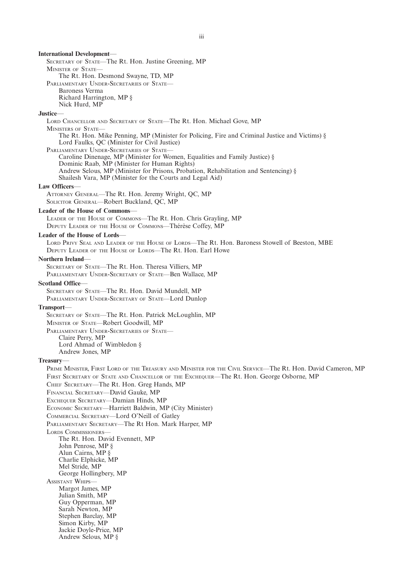**International Development**— SECRETARY OF STATE—The Rt. Hon. Justine Greening, MP MINISTER OF STATE— The Rt. Hon. Desmond Swayne, TD, MP PARLIAMENTARY UNDER-SECRETARIES OF STATE-Baroness Verma Richard Harrington, MP § Nick Hurd, MP **Justice**— LORD CHANCELLOR AND SECRETARY OF STATE—The Rt. Hon. Michael Gove, MP MINISTERS OF STATE-The Rt. Hon. Mike Penning, MP (Minister for Policing, Fire and Criminal Justice and Victims) § Lord Faulks, QC (Minister for Civil Justice) PARLIAMENTARY UNDER-SECRETARIES OF STATE-Caroline Dinenage, MP (Minister for Women, Equalities and Family Justice) § Dominic Raab, MP (Minister for Human Rights) Andrew Selous, MP (Minister for Prisons, Probation, Rehabilitation and Sentencing) § Shailesh Vara, MP (Minister for the Courts and Legal Aid) **Law Officers**— ATTORNEY GENERAL—The Rt. Hon. Jeremy Wright, QC, MP SOLICITOR GENERAL—Robert Buckland, QC, MP **Leader of the House of Commons**— LEADER OF THE HOUSE OF COMMONS—The Rt. Hon. Chris Grayling, MP DEPUTY LEADER OF THE HOUSE OF COMMONS—Thérèse Coffey, MP **Leader of the House of Lords**— LORD PRIVY SEAL AND LEADER OF THE HOUSE OF LORDS—The Rt. Hon. Baroness Stowell of Beeston, MBE DEPUTY LEADER OF THE HOUSE OF LORDS—The Rt. Hon. Earl Howe **Northern Ireland**— SECRETARY OF STATE—The Rt. Hon. Theresa Villiers, MP PARLIAMENTARY UNDER-SECRETARY OF STATE—Ben Wallace, MP **Scotland Office**— SECRETARY OF STATE—The Rt. Hon. David Mundell, MP PARLIAMENTARY UNDER-SECRETARY OF STATE—Lord Dunlop **Transport**— SECRETARY OF STATE—The Rt. Hon. Patrick McLoughlin, MP MINISTER OF STATE—Robert Goodwill, MP PARLIAMENTARY UNDER-SECRETARIES OF STATE— Claire Perry, MP Lord Ahmad of Wimbledon § Andrew Jones, MP **Treasury**— PRIME MINISTER, FIRST LORD OF THE TREASURY AND MINISTER FOR THE CIVIL SERVICE—The Rt. Hon. David Cameron, MP FIRST SECRETARY OF STATE AND CHANCELLOR OF THE EXCHEQUER—The Rt. Hon. George Osborne, MP CHIEF SECRETARY—The Rt. Hon. Greg Hands, MP FINANCIAL SECRETARY—David Gauke, MP EXCHEQUER SECRETARY—Damian Hinds, MP ECONOMIC SECRETARY—Harriett Baldwin, MP (City Minister) COMMERCIAL SECRETARY—Lord O'Neill of Gatley PARLIAMENTARY SECRETARY—The Rt Hon. Mark Harper, MP LORDS COMMISSIONERS— The Rt. Hon. David Evennett, MP John Penrose, MP § Alun Cairns, MP § Charlie Elphicke, MP Mel Stride, MP George Hollingbery, MP ASSISTANT WHIPS-Margot James, MP Julian Smith, MP Guy Opperman, MP Sarah Newton, MP Stephen Barclay, MP Simon Kirby, MP Jackie Doyle-Price, MP Andrew Selous, MP §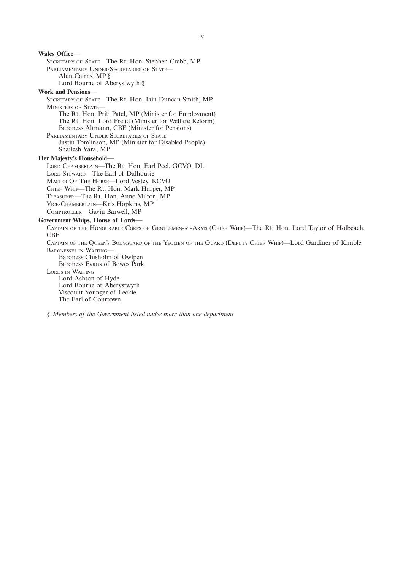### **Wales Office**— SECRETARY OF STATE—The Rt. Hon. Stephen Crabb, MP PARLIAMENTARY UNDER-SECRETARIES OF STATE-Alun Cairns, MP § Lord Bourne of Aberystwyth § **Work and Pensions**— SECRETARY OF STATE—The Rt. Hon. Iain Duncan Smith, MP MINISTERS OF STATE— The Rt. Hon. Priti Patel, MP (Minister for Employment) The Rt. Hon. Lord Freud (Minister for Welfare Reform) Baroness Altmann, CBE (Minister for Pensions) PARLIAMENTARY UNDER-SECRETARIES OF STATE-Justin Tomlinson, MP (Minister for Disabled People) Shailesh Vara, MP **Her Majesty's Household**— LORD CHAMBERLAIN—The Rt. Hon. Earl Peel, GCVO, DL LORD STEWARD—The Earl of Dalhousie MASTER OF THE HORSE—Lord Vestey, KCVO CHIEF WHIP—The Rt. Hon. Mark Harper, MP TREASURER—The Rt. Hon. Anne Milton, MP VICE-CHAMBERLAIN—Kris Hopkins, MP COMPTROLLER—Gavin Barwell, MP **Government Whips, House of Lords**— CAPTAIN OF THE HONOURABLE CORPS OF GENTLEMEN-AT-ARMS (CHIEF WHIP)—The Rt. Hon. Lord Taylor of Holbeach, CBE CAPTAIN OF THE QUEEN'S BODYGUARD OF THE YEOMEN OF THE GUARD (DEPUTY CHIEF WHIP)—Lord Gardiner of Kimble BARONESSES IN WAITING— Baroness Chisholm of Owlpen Baroness Evans of Bowes Park LORDS IN WAITING—

Lord Ashton of Hyde Lord Bourne of Aberystwyth Viscount Younger of Leckie The Earl of Courtown

*§ Members of the Government listed under more than one department*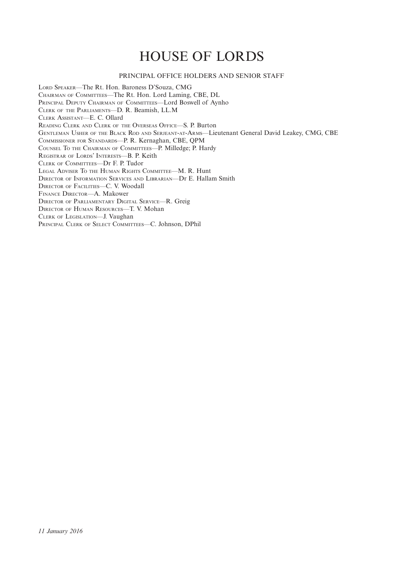# HOUSE OF LORDS

### PRINCIPAL OFFICE HOLDERS AND SENIOR STAFF

LORD SPEAKER—The Rt. Hon. Baroness D'Souza, CMG CHAIRMAN OF COMMITTEES—The Rt. Hon. Lord Laming, CBE, DL PRINCIPAL DEPUTY CHAIRMAN OF COMMITTEES—Lord Boswell of Aynho CLERK OF THE PARLIAMENTS—D. R. Beamish, LL.M CLERK ASSISTANT—E. C. Ollard READING CLERK AND CLERK OF THE OVERSEAS OFFICE—S. P. Burton GENTLEMAN USHER OF THE BLACK ROD AND SERJEANT-AT-ARMS—Lieutenant General David Leakey, CMG, CBE COMMISSIONER FOR STANDARDS—P. R. Kernaghan, CBE, QPM COUNSEL TO THE CHAIRMAN OF COMMITTEES—P. Milledge; P. Hardy REGISTRAR OF LORDS' INTERESTS—B. P. Keith CLERK OF COMMITTEES—Dr F. P. Tudor LEGAL ADVISER TO THE HUMAN RIGHTS COMMITTEE-M. R. Hunt DIRECTOR OF INFORMATION SERVICES AND LIBRARIAN—Dr E. Hallam Smith DIRECTOR OF FACILITIES—C. V. Woodall FINANCE DIRECTOR—A. Makower DIRECTOR OF PARLIAMENTARY DIGITAL SERVICE—R. Greig DIRECTOR OF HUMAN RESOURCES—T. V. Mohan CLERK OF LEGISLATION—J. Vaughan PRINCIPAL CLERK OF SELECT COMMITTEES—C. Johnson, DPhil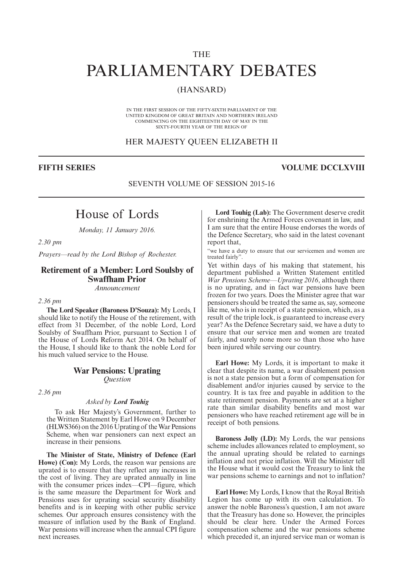# THE PARLIAMENTARY DEBATES

# (HANSARD)

IN THE FIRST SESSION OF THE FIFTY-SIXTH PARLIAMENT OF THE UNITED KINGDOM OF GREAT BRITAIN AND NORTHERN IRELAND COMMENCING ON THE EIGHTEENTH DAY OF MAY IN THE SIXTY-FOURTH YEAR OF THE REIGN OF

# HER MAJESTY QUEEN ELIZABETH II

# **FIFTH SERIES** VOLUME DCCLXVIII

SEVENTH VOLUME OF SESSION 2015-16

# House of Lords

*Monday, 11 January 2016.*

*2.30 pm*

*Prayers—read by the Lord Bishop of Rochester.*

# **Retirement of a Member: Lord Soulsby of Swaffham Prior**

*Announcement*

#### *2.36 pm*

**The Lord Speaker (Baroness D'Souza):** My Lords, I should like to notify the House of the retirement, with effect from 31 December, of the noble Lord, Lord Soulsby of Swaffham Prior, pursuant to Section 1 of the House of Lords Reform Act 2014. On behalf of the House, I should like to thank the noble Lord for his much valued service to the House.

### **War Pensions: Uprating** *Question*

*2.36 pm*

#### *Asked by Lord Touhig*

To ask Her Majesty's Government, further to the Written Statement by Earl Howe on 9 December (HLWS366) on the 2016 Uprating of theWar Pensions Scheme, when war pensioners can next expect an increase in their pensions.

**The Minister of State, Ministry of Defence (Earl Howe) (Con):** My Lords, the reason war pensions are uprated is to ensure that they reflect any increases in the cost of living. They are uprated annually in line with the consumer prices index—CPI—figure, which is the same measure the Department for Work and Pensions uses for uprating social security disability benefits and is in keeping with other public service schemes. Our approach ensures consistency with the measure of inflation used by the Bank of England. War pensions will increase when the annual CPI figure next increases.

**Lord Touhig (Lab):** The Government deserve credit for enshrining the Armed Forces covenant in law, and I am sure that the entire House endorses the words of the Defence Secretary, who said in the latest covenant report that,

"we have a duty to ensure that our servicemen and women are treated fairly".

Yet within days of his making that statement, his department published a Written Statement entitled *War Pensions Scheme—Uprating 2016*, although there is no uprating, and in fact war pensions have been frozen for two years. Does the Minister agree that war pensioners should be treated the same as, say, someone like me, who is in receipt of a state pension, which, as a result of the triple lock, is guaranteed to increase every year? As the Defence Secretary said, we have a duty to ensure that our service men and women are treated fairly, and surely none more so than those who have been injured while serving our country.

**Earl Howe:** My Lords, it is important to make it clear that despite its name, a war disablement pension is not a state pension but a form of compensation for disablement and/or injuries caused by service to the country. It is tax free and payable in addition to the state retirement pension. Payments are set at a higher rate than similar disability benefits and most war pensioners who have reached retirement age will be in receipt of both pensions.

**Baroness Jolly (LD):** My Lords, the war pensions scheme includes allowances related to employment, so the annual uprating should be related to earnings inflation and not price inflation. Will the Minister tell the House what it would cost the Treasury to link the war pensions scheme to earnings and not to inflation?

**Earl Howe:** My Lords, I know that the Royal British Legion has come up with its own calculation. To answer the noble Baroness's question, I am not aware that the Treasury has done so. However, the principles should be clear here. Under the Armed Forces compensation scheme and the war pensions scheme which preceded it, an injured service man or woman is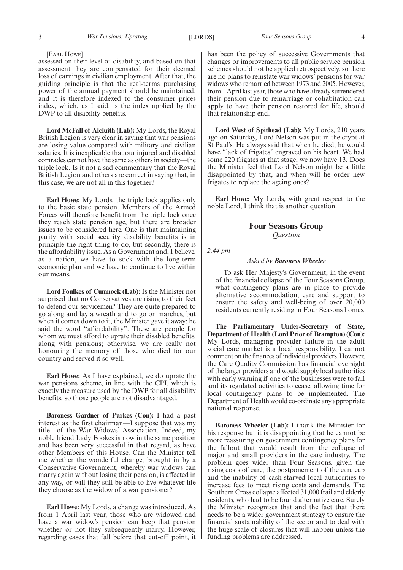#### [EARL HOWE]

assessed on their level of disability, and based on that assessment they are compensated for their deemed loss of earnings in civilian employment. After that, the guiding principle is that the real-terms purchasing power of the annual payment should be maintained, and it is therefore indexed to the consumer prices index, which, as I said, is the index applied by the DWP to all disability benefits.

**Lord McFall of Alcluith (Lab):** My Lords, the Royal British Legion is very clear in saying that war pensions are losing value compared with military and civilian salaries. It is inexplicable that our injured and disabled comrades cannot have the same as others in society—the triple lock. Is it not a sad commentary that the Royal British Legion and others are correct in saying that, in this case, we are not all in this together?

**Earl Howe:** My Lords, the triple lock applies only to the basic state pension. Members of the Armed Forces will therefore benefit from the triple lock once they reach state pension age, but there are broader issues to be considered here. One is that maintaining parity with social security disability benefits is in principle the right thing to do, but secondly, there is the affordability issue. As a Government and, I believe, as a nation, we have to stick with the long-term economic plan and we have to continue to live within our means.

**Lord Foulkes of Cumnock (Lab):** Is the Minister not surprised that no Conservatives are rising to their feet to defend our servicemen? They are quite prepared to go along and lay a wreath and to go on marches, but when it comes down to it, the Minister gave it away: he said the word "affordability". These are people for whom we must afford to uprate their disabled benefits, along with pensions; otherwise, we are really not honouring the memory of those who died for our country and served it so well.

**Earl Howe:** As I have explained, we do uprate the war pensions scheme, in line with the CPI, which is exactly the measure used by the DWP for all disability benefits, so those people are not disadvantaged.

**Baroness Gardner of Parkes (Con):** I had a past interest as the first chairman—I suppose that was my title—of the War Widows' Association. Indeed, my noble friend Lady Fookes is now in the same position and has been very successful in that regard, as have other Members of this House. Can the Minister tell me whether the wonderful change, brought in by a Conservative Government, whereby war widows can marry again without losing their pension, is affected in any way, or will they still be able to live whatever life they choose as the widow of a war pensioner?

**Earl Howe:** My Lords, a change was introduced. As from 1 April last year, those who are widowed and have a war widow's pension can keep that pension whether or not they subsequently marry. However, regarding cases that fall before that cut-off point, it has been the policy of successive Governments that changes or improvements to all public service pension schemes should not be applied retrospectively, so there are no plans to reinstate war widows' pensions for war widows who remarried between 1973 and 2005. However, from 1 April last year, those who have already surrendered their pension due to remarriage or cohabitation can apply to have their pension restored for life, should that relationship end.

**Lord West of Spithead (Lab):** My Lords, 210 years ago on Saturday, Lord Nelson was put in the crypt at St Paul's. He always said that when he died, he would have "lack of frigates" engraved on his heart. We had some 220 frigates at that stage; we now have 13. Does the Minister feel that Lord Nelson might be a little disappointed by that, and when will he order new frigates to replace the ageing ones?

**Earl Howe:** My Lords, with great respect to the noble Lord, I think that is another question.

### **Four Seasons Group** *Question*

*2.44 pm*

#### *Asked by Baroness Wheeler*

To ask Her Majesty's Government, in the event of the financial collapse of the Four Seasons Group, what contingency plans are in place to provide alternative accommodation, care and support to ensure the safety and well-being of over 20,000 residents currently residing in Four Seasons homes.

**The Parliamentary Under-Secretary of State, Department of Health (Lord Prior of Brampton) (Con):** My Lords, managing provider failure in the adult social care market is a local responsibility. I cannot comment on the finances of individual providers.However, the Care Quality Commission has financial oversight of the larger providers and would supply local authorities with early warning if one of the businesses were to fail and its regulated activities to cease, allowing time for local contingency plans to be implemented. The Department of Health would co-ordinate any appropriate national response.

**Baroness Wheeler (Lab):** I thank the Minister for his response but it is disappointing that he cannot be more reassuring on government contingency plans for the fallout that would result from the collapse of major and small providers in the care industry. The problem goes wider than Four Seasons, given the rising costs of care, the postponement of the care cap and the inability of cash-starved local authorities to increase fees to meet rising costs and demands. The Southern Cross collapse affected 31,000 frail and elderly residents, who had to be found alternative care. Surely the Minister recognises that and the fact that there needs to be a wider government strategy to ensure the financial sustainability of the sector and to deal with the huge scale of closures that will happen unless the funding problems are addressed.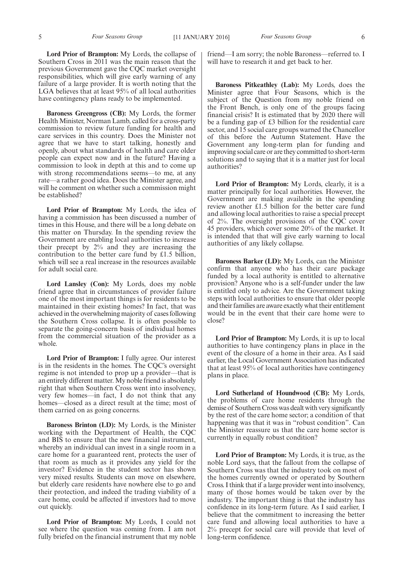**Lord Prior of Brampton:** My Lords, the collapse of Southern Cross in 2011 was the main reason that the previous Government gave the CQC market oversight responsibilities, which will give early warning of any failure of a large provider. It is worth noting that the LGA believes that at least 95% of all local authorities have contingency plans ready to be implemented.

**Baroness Greengross (CB):** My Lords, the former Health Minister, Norman Lamb, called for a cross-party commission to review future funding for health and care services in this country. Does the Minister not agree that we have to start talking, honestly and openly, about what standards of health and care older people can expect now and in the future? Having a commission to look in depth at this and to come up with strong recommendations seems—to me, at any rate—a rather good idea. Does the Minister agree, and will he comment on whether such a commission might be established?

**Lord Prior of Brampton:** My Lords, the idea of having a commission has been discussed a number of times in this House, and there will be a long debate on this matter on Thursday. In the spending review the Government are enabling local authorities to increase their precept by 2% and they are increasing the contribution to the better care fund by £1.5 billion, which will see a real increase in the resources available for adult social care.

**Lord Lansley (Con):** My Lords, does my noble friend agree that in circumstances of provider failure one of the most important things is for residents to be maintained in their existing homes? In fact, that was achieved in the overwhelming majority of cases following the Southern Cross collapse. It is often possible to separate the going-concern basis of individual homes from the commercial situation of the provider as a whole.

**Lord Prior of Brampton:** I fully agree. Our interest is in the residents in the homes. The CQC's oversight regime is not intended to prop up a provider—that is an entirely different matter. My noble friend is absolutely right that when Southern Cross went into insolvency, very few homes—in fact, I do not think that any homes—closed as a direct result at the time; most of them carried on as going concerns.

**Baroness Brinton (LD):** My Lords, is the Minister working with the Department of Health, the CQC and BIS to ensure that the new financial instrument, whereby an individual can invest in a single room in a care home for a guaranteed rent, protects the user of that room as much as it provides any yield for the investor? Evidence in the student sector has shown very mixed results. Students can move on elsewhere, but elderly care residents have nowhere else to go and their protection, and indeed the trading viability of a care home, could be affected if investors had to move out quickly.

**Lord Prior of Brampton:** My Lords, I could not see where the question was coming from. I am not fully briefed on the financial instrument that my noble friend—I am sorry; the noble Baroness—referred to. I will have to research it and get back to her.

**Baroness Pitkeathley (Lab):** My Lords, does the Minister agree that Four Seasons, which is the subject of the Question from my noble friend on the Front Bench, is only one of the groups facing financial crisis? It is estimated that by 2020 there will be a funding gap of £3 billion for the residential care sector, and 15 social care groups warned the Chancellor of this before the Autumn Statement. Have the Government any long-term plan for funding and improving social care or are they committed to short-term solutions and to saying that it is a matter just for local authorities?

**Lord Prior of Brampton:** My Lords, clearly, it is a matter principally for local authorities. However, the Government are making available in the spending review another £1.5 billion for the better care fund and allowing local authorities to raise a special precept of 2%. The oversight provisions of the CQC cover 45 providers, which cover some 20% of the market. It is intended that that will give early warning to local authorities of any likely collapse.

**Baroness Barker (LD):** My Lords, can the Minister confirm that anyone who has their care package funded by a local authority is entitled to alternative provision? Anyone who is a self-funder under the law is entitled only to advice. Are the Government taking steps with local authorities to ensure that older people and their families are aware exactly what their entitlement would be in the event that their care home were to close?

**Lord Prior of Brampton:** My Lords, it is up to local authorities to have contingency plans in place in the event of the closure of a home in their area. As I said earlier, the Local Government Association has indicated that at least 95% of local authorities have contingency plans in place.

**Lord Sutherland of Houndwood (CB):** My Lords, the problems of care home residents through the demise of Southern Cross was dealt with very significantly by the rest of the care home sector; a condition of that happening was that it was in "robust condition". Can the Minister reassure us that the care home sector is currently in equally robust condition?

**Lord Prior of Brampton:** My Lords, it is true, as the noble Lord says, that the fallout from the collapse of Southern Cross was that the industry took on most of the homes currently owned or operated by Southern Cross. I think that if a large provider went into insolvency, many of those homes would be taken over by the industry. The important thing is that the industry has confidence in its long-term future. As I said earlier, I believe that the commitment to increasing the better care fund and allowing local authorities to have a 2% precept for social care will provide that level of long-term confidence.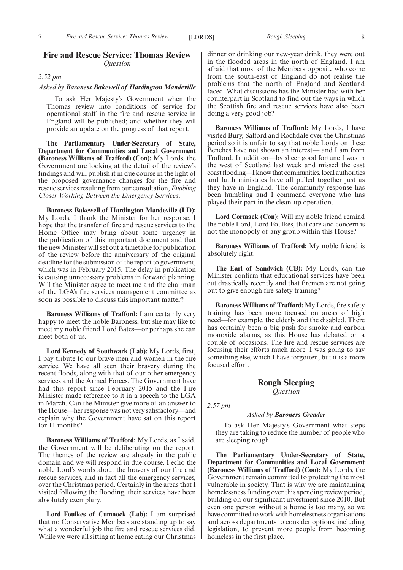## **Fire and Rescue Service: Thomas Review** *Question*

*2.52 pm*

#### *Asked by Baroness Bakewell of Hardington Mandeville*

To ask Her Majesty's Government when the Thomas review into conditions of service for operational staff in the fire and rescue service in England will be published; and whether they will provide an update on the progress of that report.

**The Parliamentary Under-Secretary of State, Department for Communities and Local Government (Baroness Williams of Trafford) (Con):** My Lords, the Government are looking at the detail of the review's findings and will publish it in due course in the light of the proposed governance changes for the fire and rescue services resulting from our consultation, *Enabling Closer Working Between the Emergency Services*.

**Baroness Bakewell of Hardington Mandeville (LD):** My Lords, I thank the Minister for her response. I hope that the transfer of fire and rescue services to the Home Office may bring about some urgency in the publication of this important document and that the new Minister will set out a timetable for publication of the review before the anniversary of the original deadline for the submission of the report to government, which was in February 2015. The delay in publication is causing unnecessary problems in forward planning. Will the Minister agree to meet me and the chairman of the LGA's fire services management committee as soon as possible to discuss this important matter?

**Baroness Williams of Trafford:** I am certainly very happy to meet the noble Baroness, but she may like to meet my noble friend Lord Bates—or perhaps she can meet both of us.

**Lord Kennedy of Southwark (Lab):** My Lords, first, I pay tribute to our brave men and women in the fire service. We have all seen their bravery during the recent floods, along with that of our other emergency services and the Armed Forces. The Government have had this report since February 2015 and the Fire Minister made reference to it in a speech to the LGA in March. Can the Minister give more of an answer to the House—her response was not very satisfactory—and explain why the Government have sat on this report for 11 months?

**Baroness Williams of Trafford:** My Lords, as I said, the Government will be deliberating on the report. The themes of the review are already in the public domain and we will respond in due course. I echo the noble Lord's words about the bravery of our fire and rescue services, and in fact all the emergency services, over the Christmas period. Certainly in the areas that I visited following the flooding, their services have been absolutely exemplary.

**Lord Foulkes of Cumnock (Lab):** I am surprised that no Conservative Members are standing up to say what a wonderful job the fire and rescue services did. While we were all sitting at home eating our Christmas dinner or drinking our new-year drink, they were out in the flooded areas in the north of England. I am afraid that most of the Members opposite who come from the south-east of England do not realise the problems that the north of England and Scotland faced. What discussions has the Minister had with her counterpart in Scotland to find out the ways in which the Scottish fire and rescue services have also been doing a very good job?

**Baroness Williams of Trafford:** My Lords, I have visited Bury, Salford and Rochdale over the Christmas period so it is unfair to say that noble Lords on these Benches have not shown an interest— and I am from Trafford. In addition—by sheer good fortune I was in the west of Scotland last week and missed the east coast flooding—I know that communities, local authorities and faith ministries have all pulled together just as they have in England. The community response has been humbling and I commend everyone who has played their part in the clean-up operation.

**Lord Cormack (Con):** Will my noble friend remind the noble Lord, Lord Foulkes, that care and concern is not the monopoly of any group within this House?

**Baroness Williams of Trafford:** My noble friend is absolutely right.

**The Earl of Sandwich (CB):** My Lords, can the Minister confirm that educational services have been cut drastically recently and that firemen are not going out to give enough fire safety training?

**Baroness Williams of Trafford:** My Lords, fire safety training has been more focused on areas of high need—for example, the elderly and the disabled. There has certainly been a big push for smoke and carbon monoxide alarms, as this House has debated on a couple of occasions. The fire and rescue services are focusing their efforts much more. I was going to say something else, which I have forgotten, but it is a more focused effort.

# **Rough Sleeping**

*Question*

*2.57 pm*

#### *Asked by Baroness Grender*

To ask Her Majesty's Government what steps they are taking to reduce the number of people who are sleeping rough.

**The Parliamentary Under-Secretary of State, Department for Communities and Local Government (Baroness Williams of Trafford) (Con):** My Lords, the Government remain committed to protecting the most vulnerable in society. That is why we are maintaining homelessness funding over this spending review period, building on our significant investment since 2010. But even one person without a home is too many, so we have committed to work with homelessness organisations and across departments to consider options, including legislation, to prevent more people from becoming homeless in the first place.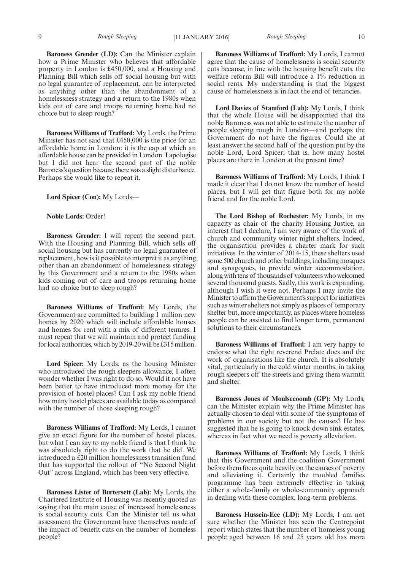**Baroness Grender (LD):** Can the Minister explain how a Prime Minister who believes that affordable property in London is £450,000, and a Housing and Planning Bill which sells off social housing but with no legal guarantee of replacement, can be interpreted as anything other than the abandonment of a homelessness strategy and a return to the 1980s when kids out of care and troops returning home had no choice but to sleep rough?

**Baroness Williams of Trafford:** My Lords, the Prime Minister has not said that £450,000 is the price for an affordable home in London: it is the cap at which an affordable house can be provided in London. I apologise but I did not hear the second part of the noble Baroness's question because there was a slight disturbance. Perhaps she would like to repeat it.

**Lord Spicer (Con):** My Lords—

**Noble Lords:** Order!

**Baroness Grender:** I will repeat the second part. With the Housing and Planning Bill, which sells off social housing but has currently no legal guarantee of replacement, how is it possible to interpret it as anything other than an abandonment of homelessness strategy by this Government and a return to the 1980s when kids coming out of care and troops returning home had no choice but to sleep rough?

**Baroness Williams of Trafford:** My Lords, the Government are committed to building 1 million new homes by 2020 which will include affordable houses and homes for rent with a mix of different tenures. I must repeat that we will maintain and protect funding for local authorities, which by 2019-20 will be £315 million.

**Lord Spicer:** My Lords, as the housing Minister who introduced the rough sleepers allowance, I often wonder whether I was right to do so. Would it not have been better to have introduced more money for the provision of hostel places? Can I ask my noble friend how many hostel places are available today as compared with the number of those sleeping rough?

**Baroness Williams of Trafford:** My Lords, I cannot give an exact figure for the number of hostel places, but what I can say to my noble friend is that I think he was absolutely right to do the work that he did. We introduced a £20 million homelessness transition fund that has supported the rollout of "No Second Night Out" across England, which has been very effective.

**Baroness Lister of Burtersett (Lab):** My Lords, the Chartered Institute of Housing was recently quoted as saying that the main cause of increased homelessness is social security cuts. Can the Minister tell us what assessment the Government have themselves made of the impact of benefit cuts on the number of homeless people?

**Baroness Williams of Trafford:** My Lords, I cannot agree that the cause of homelessness is social security cuts because, in line with the housing benefit cuts, the welfare reform Bill will introduce a 1% reduction in social rents. My understanding is that the biggest cause of homelessness is in fact the end of tenancies.

**Lord Davies of Stamford (Lab):** My Lords, I think that the whole House will be disappointed that the noble Baroness was not able to estimate the number of people sleeping rough in London—and perhaps the Government do not have the figures. Could she at least answer the second half of the question put by the noble Lord, Lord Spicer; that is, how many hostel places are there in London at the present time?

**Baroness Williams of Trafford:** My Lords, I think I made it clear that I do not know the number of hostel places, but I will get that figure both for my noble friend and for the noble Lord.

**The Lord Bishop of Rochester:** My Lords, in my capacity as chair of the charity Housing Justice, an interest that I declare, I am very aware of the work of church and community winter night shelters. Indeed, the organisation provides a charter mark for such initiatives. In the winter of 2014-15, these shelters used some 500 church and other buildings, including mosques and synagogues, to provide winter accommodation, along with tens of thousands of volunteers who welcomed several thousand guests. Sadly, this work is expanding, although I wish it were not. Perhaps I may invite the Minister to affirm the Government's support for initiatives such as winter shelters not simply as places of temporary shelter but, more importantly, as places where homeless people can be assisted to find longer term, permanent solutions to their circumstances.

**Baroness Williams of Trafford:** I am very happy to endorse what the right reverend Prelate does and the work of organisations like the church. It is absolutely vital, particularly in the cold winter months, in taking rough sleepers off the streets and giving them warmth and shelter.

**Baroness Jones of Moulsecoomb (GP):** My Lords, can the Minister explain why the Prime Minister has actually chosen to deal with some of the symptoms of problems in our society but not the causes? He has suggested that he is going to knock down sink estates, whereas in fact what we need is poverty alleviation.

**Baroness Williams of Trafford:** My Lords, I think that this Government and the coalition Government before them focus quite heavily on the causes of poverty and alleviating it. Certainly the troubled families programme has been extremely effective in taking either a whole-family or whole-community approach in dealing with these complex, long-term problems.

**Baroness Hussein-Ece (LD):** My Lords, I am not sure whether the Minister has seen the Centrepoint report which states that the number of homeless young people aged between 16 and 25 years old has more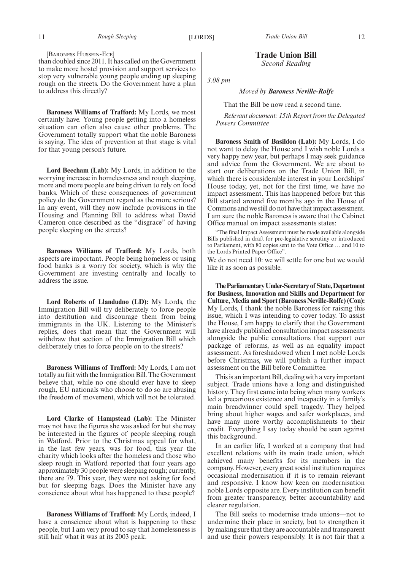than doubled since 2011. It has called on the Government to make more hostel provision and support services to stop very vulnerable young people ending up sleeping rough on the streets. Do the Government have a plan to address this directly?

**Baroness Williams of Trafford:** My Lords, we most certainly have. Young people getting into a homeless situation can often also cause other problems. The Government totally support what the noble Baroness is saying. The idea of prevention at that stage is vital for that young person's future.

**Lord Beecham (Lab):** My Lords, in addition to the worrying increase in homelessness and rough sleeping, more and more people are being driven to rely on food banks. Which of these consequences of government policy do the Government regard as the more serious? In any event, will they now include provisions in the Housing and Planning Bill to address what David Cameron once described as the "disgrace" of having people sleeping on the streets?

**Baroness Williams of Trafford:** My Lords, both aspects are important. People being homeless or using food banks is a worry for society, which is why the Government are investing centrally and locally to address the issue.

**Lord Roberts of Llandudno (LD):** My Lords, the Immigration Bill will try deliberately to force people into destitution and discourage them from being immigrants in the UK. Listening to the Minister's replies, does that mean that the Government will withdraw that section of the Immigration Bill which deliberately tries to force people on to the streets?

**Baroness Williams of Trafford:** My Lords, I am not totally au fait with the Immigration Bill. The Government believe that, while no one should ever have to sleep rough, EU nationals who choose to do so are abusing the freedom of movement, which will not be tolerated.

**Lord Clarke of Hampstead (Lab):** The Minister may not have the figures she was asked for but she may be interested in the figures of people sleeping rough in Watford. Prior to the Christmas appeal for what, in the last few years, was for food, this year the charity which looks after the homeless and those who sleep rough in Watford reported that four years ago approximately 30 people were sleeping rough; currently, there are 79. This year, they were not asking for food but for sleeping bags. Does the Minister have any conscience about what has happened to these people?

**Baroness Williams of Trafford:** My Lords, indeed, I have a conscience about what is happening to these people, but I am very proud to say that homelessness is still half what it was at its 2003 peak.

**Trade Union Bill** *Second Reading*

*3.08 pm*

*Moved by Baroness Neville-Rolfe*

That the Bill be now read a second time.

*Relevant document: 15th Report from the Delegated Powers Committee*

**Baroness Smith of Basildon (Lab):** My Lords, I do not want to delay the House and I wish noble Lords a very happy new year, but perhaps I may seek guidance and advice from the Government. We are about to start our deliberations on the Trade Union Bill, in which there is considerable interest in your Lordships' House today, yet, not for the first time, we have no impact assessment. This has happened before but this Bill started around five months ago in the House of Commons and we still do not have that impact assessment. I am sure the noble Baroness is aware that the Cabinet Office manual on impact assessments states:

"The final Impact Assessment must be made available alongside Bills published in draft for pre-legislative scrutiny or introduced to Parliament, with 80 copies sent to the Vote Office … and 10 to the Lords Printed Paper Office".

We do not need 10: we will settle for one but we would like it as soon as possible.

**TheParliamentaryUnder-Secretaryof State,Department for Business, Innovation and Skills and Department for Culture,Media and Sport (Baroness Neville-Rolfe) (Con):** My Lords, I thank the noble Baroness for raising this issue, which I was intending to cover today. To assist the House, I am happy to clarify that the Government have already published consultation impact assessments alongside the public consultations that support our package of reforms, as well as an equality impact assessment. As foreshadowed when I met noble Lords before Christmas, we will publish a further impact assessment on the Bill before Committee.

This is an important Bill, dealing with a very important subject. Trade unions have a long and distinguished history. They first came into being when many workers led a precarious existence and incapacity in a family's main breadwinner could spell tragedy. They helped bring about higher wages and safer workplaces, and have many more worthy accomplishments to their credit. Everything I say today should be seen against this background.

In an earlier life, I worked at a company that had excellent relations with its main trade union, which achieved many benefits for its members in the company. However, every great social institution requires occasional modernisation if it is to remain relevant and responsive. I know how keen on modernisation noble Lords opposite are. Every institution can benefit from greater transparency, better accountability and clearer regulation.

The Bill seeks to modernise trade unions—not to undermine their place in society, but to strengthen it by making sure that they are accountable and transparent and use their powers responsibly. It is not fair that a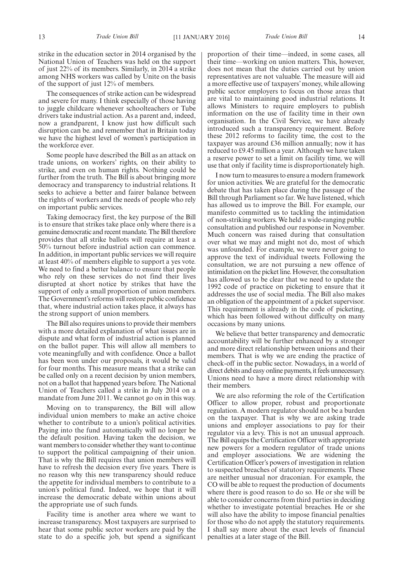strike in the education sector in 2014 organised by the National Union of Teachers was held on the support of just 22% of its members. Similarly, in 2014 a strike among NHS workers was called by Unite on the basis of the support of just 12% of members.

The consequences of strike action can be widespread and severe for many. I think especially of those having to juggle childcare whenever schoolteachers or Tube drivers take industrial action. As a parent and, indeed, now a grandparent, I know just how difficult such disruption can be. and remember that in Britain today we have the highest level of women's participation in the workforce ever.

Some people have described the Bill as an attack on trade unions, on workers' rights, on their ability to strike, and even on human rights. Nothing could be further from the truth. The Bill is about bringing more democracy and transparency to industrial relations. It seeks to achieve a better and fairer balance between the rights of workers and the needs of people who rely on important public services.

Taking democracy first, the key purpose of the Bill is to ensure that strikes take place only where there is a genuine democratic and recent mandate. The Bill therefore provides that all strike ballots will require at least a 50% turnout before industrial action can commence. In addition, in important public services we will require at least 40% of members eligible to support a yes vote. We need to find a better balance to ensure that people who rely on these services do not find their lives disrupted at short notice by strikes that have the support of only a small proportion of union members. The Government's reforms will restore public confidence that, where industrial action takes place, it always has the strong support of union members.

The Bill also requires unions to provide their members with a more detailed explanation of what issues are in dispute and what form of industrial action is planned on the ballot paper. This will allow all members to vote meaningfully and with confidence. Once a ballot has been won under our proposals, it would be valid for four months. This measure means that a strike can be called only on a recent decision by union members, not on a ballot that happened years before. The National Union of Teachers called a strike in July 2014 on a mandate from June 2011. We cannot go on in this way.

Moving on to transparency, the Bill will allow individual union members to make an active choice whether to contribute to a union's political activities. Paying into the fund automatically will no longer be the default position. Having taken the decision, we want members to consider whether they want to continue to support the political campaigning of their union. That is why the Bill requires that union members will have to refresh the decision every five years. There is no reason why this new transparency should reduce the appetite for individual members to contribute to a union's political fund. Indeed, we hope that it will increase the democratic debate within unions about the appropriate use of such funds.

Facility time is another area where we want to increase transparency. Most taxpayers are surprised to hear that some public sector workers are paid by the state to do a specific job, but spend a significant proportion of their time—indeed, in some cases, all their time—working on union matters. This, however, does not mean that the duties carried out by union representatives are not valuable. The measure will aid a more effective use of taxpayers'money, while allowing public sector employers to focus on those areas that are vital to maintaining good industrial relations. It allows Ministers to require employers to publish information on the use of facility time in their own organisation. In the Civil Service, we have already introduced such a transparency requirement. Before these 2012 reforms to facility time, the cost to the taxpayer was around £36 million annually; now it has reduced to £9.45 million a year. Although we have taken a reserve power to set a limit on facility time, we will use that only if facility time is disproportionately high.

I now turn to measures to ensure a modern framework for union activities. We are grateful for the democratic debate that has taken place during the passage of the Bill through Parliament so far. We have listened, which has allowed us to improve the Bill. For example, our manifesto committed us to tackling the intimidation of non-striking workers. We held a wide-ranging public consultation and published our response in November. Much concern was raised during that consultation over what we may and might not do, most of which was unfounded. For example, we were never going to approve the text of individual tweets. Following the consultation, we are not pursuing a new offence of intimidation on the picket line. However, the consultation has allowed us to be clear that we need to update the 1992 code of practice on picketing to ensure that it addresses the use of social media. The Bill also makes an obligation of the appointment of a picket supervisor. This requirement is already in the code of picketing, which has been followed without difficulty on many occasions by many unions.

We believe that better transparency and democratic accountability will be further enhanced by a stronger and more direct relationship between unions and their members. That is why we are ending the practice of check-off in the public sector. Nowadays, in a world of direct debits and easy online payments, it feels unnecessary. Unions need to have a more direct relationship with their members.

We are also reforming the role of the Certification Officer to allow proper, robust and proportionate regulation. A modern regulator should not be a burden on the taxpayer. That is why we are asking trade unions and employer associations to pay for their regulator via a levy. This is not an unusual approach. The Bill equips the Certification Officer with appropriate new powers for a modern regulator of trade unions and employer associations. We are widening the Certification Officer's powers of investigation in relation to suspected breaches of statutory requirements. These are neither unusual nor draconian. For example, the CO will be able to request the production of documents where there is good reason to do so. He or she will be able to consider concerns from third parties in deciding whether to investigate potential breaches. He or she will also have the ability to impose financial penalties for those who do not apply the statutory requirements. I shall say more about the exact levels of financial penalties at a later stage of the Bill.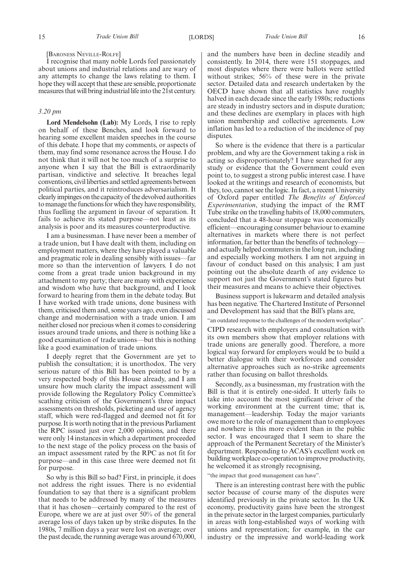[BARONESS NEVILLE-ROLFE]

I recognise that many noble Lords feel passionately about unions and industrial relations and are wary of any attempts to change the laws relating to them. I hope they will accept that these are sensible, proportionate measures that will bring industrial life into the 21st century.

#### *3.20 pm*

**Lord Mendelsohn (Lab):** My Lords, I rise to reply on behalf of these Benches, and look forward to hearing some excellent maiden speeches in the course of this debate. I hope that my comments, or aspects of them, may find some resonance across the House. I do not think that it will not be too much of a surprise to anyone when I say that the Bill is extraordinarily partisan, vindictive and selective. It breaches legal conventions, civil liberties and settled agreements between political parties, and it reintroduces adversarialism. It clearlyimpinges on the capacity of the devolved authorities to manage the functions for which they have responsibility, thus fuelling the argument in favour of separation. It fails to achieve its stated purpose—not least as its analysis is poor and its measures counterproductive.

I am a businessman. I have never been a member of a trade union, but I have dealt with them, including on employment matters, where they have played a valuable and pragmatic role in dealing sensibly with issues—far more so than the intervention of lawyers. I do not come from a great trade union background in my attachment to my party; there are many with experience and wisdom who have that background, and I look forward to hearing from them in the debate today. But I have worked with trade unions, done business with them, criticised them and, some years ago, even discussed change and modernisation with a trade union. I am neither closed nor precious when it comes to considering issues around trade unions, and there is nothing like a good examination of trade unions—but this is nothing like a good examination of trade unions.

I deeply regret that the Government are yet to publish the consultation; it is unorthodox. The very serious nature of this Bill has been pointed to by a very respected body of this House already, and I am unsure how much clarity the impact assessment will provide following the Regulatory Policy Committee's scathing criticism of the Government's three impact assessments on thresholds, picketing and use of agency staff, which were red-flagged and deemed not fit for purpose. It is worth noting that in the previous Parliament the RPC issued just over 2,000 opinions, and there were only 14 instances in which a department proceeded to the next stage of the policy process on the basis of an impact assessment rated by the RPC as not fit for purpose—and in this case three were deemed not fit for purpose.

So why is this Bill so bad? First, in principle, it does not address the right issues. There is no evidential foundation to say that there is a significant problem that needs to be addressed by many of the measures that it has chosen—certainly compared to the rest of Europe, where we are at just over 50% of the general average loss of days taken up by strike disputes. In the 1980s, 7 million days a year were lost on average; over the past decade, the running average was around 670,000, and the numbers have been in decline steadily and consistently. In 2014, there were 151 stoppages, and most disputes where there were ballots were settled without strikes; 56% of these were in the private sector. Detailed data and research undertaken by the OECD have shown that all statistics have roughly halved in each decade since the early 1980s; reductions are steady in industry sectors and in dispute duration; and these declines are exemplary in places with high union membership and collective agreements. Low inflation has led to a reduction of the incidence of pay disputes.

So where is the evidence that there is a particular problem, and why are the Government taking a risk in acting so disproportionately? I have searched for any study or evidence that the Government could even point to, to suggest a strong public interest case. I have looked at the writings and research of economists, but they, too, cannot see the logic. In fact, a recent University of Oxford paper entitled *The Benefits of Enforced Experimentation*, studying the impact of the RMT Tube strike on the travelling habits of 18,000 commuters, concluded that a 48-hour stoppage was economically efficient—encouraging consumer behaviour to examine alternatives in markets where there is not perfect information, far better than the benefits of technology and actually helped commuters in the long run, including and especially working mothers. I am not arguing in favour of conduct based on this analysis; I am just pointing out the absolute dearth of any evidence to support not just the Government's stated figures but their measures and means to achieve their objectives.

Business support is lukewarm and detailed analysis has been negative. The Chartered Institute of Personnel and Development has said that the Bill's plans are,

"an outdated response to the challenges of the modern workplace". CIPD research with employers and consultation with its own members show that employer relations with trade unions are generally good. Therefore, a more logical way forward for employers would be to build a better dialogue with their workforces and consider alternative approaches such as no-strike agreements rather than focusing on ballot thresholds.

Secondly, as a businessman, my frustration with the Bill is that it is entirely one-sided. It utterly fails to take into account the most significant driver of the working environment at the current time; that is, management—leadership. Today the major variants owe more to the role of management than to employees and nowhere is this more evident than in the public sector. I was encouraged that I seem to share the approach of the Permanent Secretary of the Minister's department. Responding to ACAS's excellent work on building workplace co-operation to improve productivity, he welcomed it as strongly recognising,

"the impact that good management can have".

There is an interesting contrast here with the public sector because of course many of the disputes were identified previously in the private sector. In the UK economy, productivity gains have been the strongest in the private sector in the largest companies, particularly in areas with long-established ways of working with unions and representation; for example, in the car industry or the impressive and world-leading work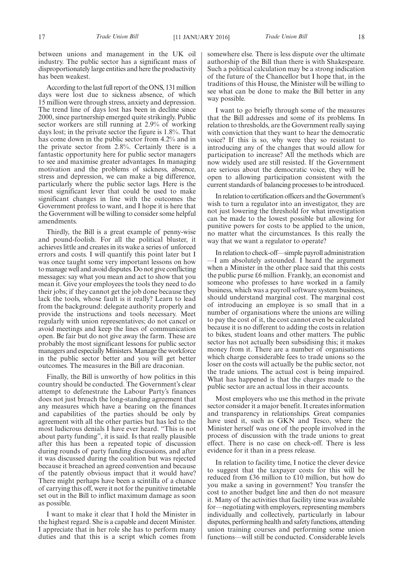way possible.

between unions and management in the UK oil industry. The public sector has a significant mass of disproportionately large entities and here the productivity has been weakest.

According to the last full report of the ONS, 131 million days were lost due to sickness absence, of which 15 million were through stress, anxiety and depression. The trend line of days lost has been in decline since 2000, since partnership emerged quite strikingly. Public sector workers are still running at 2.9% of working days lost; in the private sector the figure is 1.8%. That has come down in the public sector from 4.2% and in the private sector from 2.8%. Certainly there is a fantastic opportunity here for public sector managers to see and maximise greater advantages. In managing motivation and the problems of sickness, absence, stress and depression, we can make a big difference, particularly where the public sector lags. Here is the most significant lever that could be used to make significant changes in line with the outcomes the Government profess to want, and I hope it is here that the Government will be willing to consider some helpful amendments.

Thirdly, the Bill is a great example of penny-wise and pound-foolish. For all the political bluster, it achieves little and creates in its wake a series of unforced errors and costs. I will quantify this point later but I was once taught some very important lessons on how to manage well and avoid disputes. Do not give conflicting messages: say what you mean and act to show that you mean it. Give your employees the tools they need to do their jobs; if they cannot get the job done because they lack the tools, whose fault is it really? Learn to lead from the background: delegate authority properly and provide the instructions and tools necessary. Meet regularly with union representatives; do not cancel or avoid meetings and keep the lines of communication open. Be fair but do not give away the farm. These are probably the most significant lessons for public sector managers and especially Ministers. Manage the workforce in the public sector better and you will get better outcomes. The measures in the Bill are draconian.

Finally, the Bill is unworthy of how politics in this country should be conducted. The Government's clear attempt to defenestrate the Labour Party's finances does not just breach the long-standing agreement that any measures which have a bearing on the finances and capabilities of the parties should be only by agreement with all the other parties but has led to the most ludicrous denials I have ever heard. "This is not about party funding", it is said. Is that really plausible after this has been a repeated topic of discussion during rounds of party funding discussions, and after it was discussed during the coalition but was rejected because it breached an agreed convention and because of the patently obvious impact that it would have? There might perhaps have been a scintilla of a chance of carrying this off, were it not for the punitive timetable set out in the Bill to inflict maximum damage as soon as possible.

I want to make it clear that I hold the Minister in the highest regard. She is a capable and decent Minister. I appreciate that in her role she has to perform many duties and that this is a script which comes from somewhere else. There is less dispute over the ultimate authorship of the Bill than there is with Shakespeare. Such a political calculation may be a strong indication of the future of the Chancellor but I hope that, in the traditions of this House, the Minister will be willing to see what can be done to make the Bill better in any

I want to go briefly through some of the measures that the Bill addresses and some of its problems. In relation to thresholds, are the Government really saying with conviction that they want to hear the democratic voice? If this is so, why were they so resistant to introducing any of the changes that would allow for participation to increase? All the methods which are now widely used are still resisted. If the Government are serious about the democratic voice, they will be open to allowing participation consistent with the current standards of balancing processes to be introduced.

In relation to certification officers and theGovernment's wish to turn a regulator into an investigator, they are not just lowering the threshold for what investigation can be made to the lowest possible but allowing for punitive powers for costs to be applied to the union, no matter what the circumstances. Is this really the way that we want a regulator to operate?

In relation to check-off—simple payroll administration —I am absolutely astounded. I heard the argument when a Minister in the other place said that this costs the public purse £6 million. Frankly, an economist and someone who professes to have worked in a family business, which was a payroll software system business, should understand marginal cost. The marginal cost of introducing an employee is so small that in a number of organisations where the unions are willing to pay the cost of it, the cost cannot even be calculated because it is no different to adding the costs in relation to bikes, student loans and other matters. The public sector has not actually been subsidising this; it makes money from it. There are a number of organisations which charge considerable fees to trade unions so the loser on the costs will actually be the public sector, not the trade unions. The actual cost is being impaired. What has happened is that the charges made to the public sector are an actual loss in their accounts.

Most employers who use this method in the private sector consider it a major benefit. It creates information and transparency in relationships. Great companies have used it, such as GKN and Tesco, where the Minister herself was one of the people involved in the process of discussion with the trade unions to great effect. There is no case on check-off. There is less evidence for it than in a press release.

In relation to facility time, I notice the clever device to suggest that the taxpayer costs for this will be reduced from £36 million to £10 million, but how do you make a saving in government? You transfer the cost to another budget line and then do not measure it. Many of the activities that facility time was available for—negotiating with employers, representing members individually and collectively, particularly in labour disputes, performing health and safety functions, attending union training courses and performing some union functions—will still be conducted. Considerable levels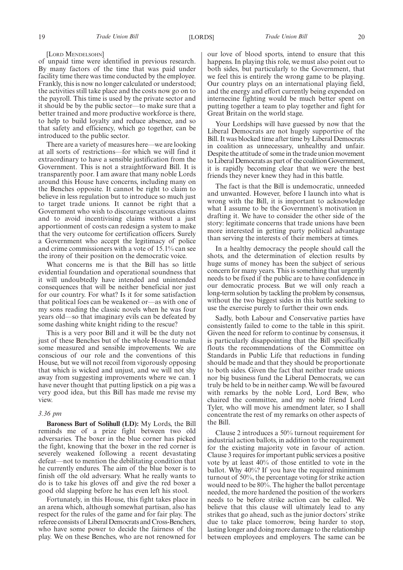[LORD MENDELSOHN]

of unpaid time were identified in previous research. By many factors of the time that was paid under facility time there was time conducted by the employee. Frankly, this is now no longer calculated or understood; the activities still take place and the costs now go on to the payroll. This time is used by the private sector and it should be by the public sector—to make sure that a better trained and more productive workforce is there, to help to build loyalty and reduce absence, and so that safety and efficiency, which go together, can be introduced to the public sector.

There are a variety of measures here—we are looking at all sorts of restrictions—for which we will find it extraordinary to have a sensible justification from the Government. This is not a straightforward Bill. It is transparently poor. I am aware that many noble Lords around this House have concerns, including many on the Benches opposite. It cannot be right to claim to believe in less regulation but to introduce so much just to target trade unions. It cannot be right that a Government who wish to discourage vexatious claims and to avoid incentivising claims without a just apportionment of costs can redesign a system to make that the very outcome for certification officers. Surely a Government who accept the legitimacy of police and crime commissioners with a vote of 15.1% can see the irony of their position on the democratic voice.

What concerns me is that the Bill has so little evidential foundation and operational soundness that it will undoubtedly have intended and unintended consequences that will be neither beneficial nor just for our country. For what? Is it for some satisfaction that political foes can be weakened or—as with one of my sons reading the classic novels when he was four years old—so that imaginary evils can be defeated by some dashing white knight riding to the rescue?

This is a very poor Bill and it will be the duty not just of these Benches but of the whole House to make some measured and sensible improvements. We are conscious of our role and the conventions of this House, but we will not recoil from vigorously opposing that which is wicked and unjust, and we will not shy away from suggesting improvements where we can. I have never thought that putting lipstick on a pig was a very good idea, but this Bill has made me revise my view.

#### *3.36 pm*

**Baroness Burt of Solihull (LD):** My Lords, the Bill reminds me of a prize fight between two old adversaries. The boxer in the blue corner has picked the fight, knowing that the boxer in the red corner is severely weakened following a recent devastating defeat—not to mention the debilitating condition that he currently endures. The aim of the blue boxer is to finish off the old adversary. What he really wants to do is to take his gloves off and give the red boxer a good old slapping before he has even left his stool.

Fortunately, in this House, this fight takes place in an arena which, although somewhat partisan, also has respect for the rules of the game and for fair play. The referee consists of Liberal Democrats and Cross-Benchers, who have some power to decide the fairness of the play. We on these Benches, who are not renowned for our love of blood sports, intend to ensure that this happens. In playing this role, we must also point out to both sides, but particularly to the Government, that we feel this is entirely the wrong game to be playing. Our country plays on an international playing field, and the energy and effort currently being expended on internecine fighting would be much better spent on putting together a team to play together and fight for Great Britain on the world stage.

Your Lordships will have guessed by now that the Liberal Democrats are not hugely supportive of the Bill. It was blocked time after time by Liberal Democrats in coalition as unnecessary, unhealthy and unfair. Despite the attitude of some in the trade union movement to LiberalDemocrats as part of the coalitionGovernment, it is rapidly becoming clear that we were the best friends they never knew they had in this battle.

The fact is that the Bill is undemocratic, unneeded and unwanted. However, before I launch into what is wrong with the Bill, it is important to acknowledge what I assume to be the Government's motivation in drafting it. We have to consider the other side of the story: legitimate concerns that trade unions have been more interested in getting party political advantage than serving the interests of their members at times.

In a healthy democracy the people should call the shots, and the determination of election results by huge sums of money has been the subject of serious concern for many years. This is something that urgently needs to be fixed if the public are to have confidence in our democratic process. But we will only reach a long-term solution by tackling the problem by consensus, without the two biggest sides in this battle seeking to use the exercise purely to further their own ends.

Sadly, both Labour and Conservative parties have consistently failed to come to the table in this spirit. Given the need for reform to continue by consensus, it is particularly disappointing that the Bill specifically flouts the recommendations of the Committee on Standards in Public Life that reductions in funding should be made and that they should be proportionate to both sides. Given the fact that neither trade unions nor big business fund the Liberal Democrats, we can truly be held to be in neither camp. We will be favoured with remarks by the noble Lord, Lord Bew, who chaired the committee, and my noble friend Lord Tyler, who will move his amendment later, so I shall concentrate the rest of my remarks on other aspects of the Bill.

Clause 2 introduces a 50% turnout requirement for industrial action ballots, in addition to the requirement for the existing majority vote in favour of action. Clause 3 requires for important public services a positive vote by at least 40% of those entitled to vote in the ballot. Why 40%? If you have the required minimum turnout of 50%, the percentage voting for strike action would need to be 80%. The higher the ballot percentage needed, the more hardened the position of the workers needs to be before strike action can be called. We believe that this clause will ultimately lead to any strikes that go ahead, such as the junior doctors' strike due to take place tomorrow, being harder to stop, lasting longer and doing more damage to the relationship between employees and employers. The same can be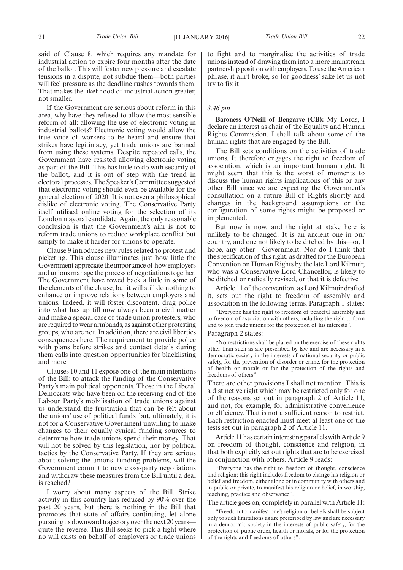said of Clause 8, which requires any mandate for industrial action to expire four months after the date of the ballot. This will foster new pressure and escalate tensions in a dispute, not subdue them—both parties will feel pressure as the deadline rushes towards them. That makes the likelihood of industrial action greater, not smaller.

If the Government are serious about reform in this area, why have they refused to allow the most sensible reform of all: allowing the use of electronic voting in industrial ballots? Electronic voting would allow the true voice of workers to be heard and ensure that strikes have legitimacy, yet trade unions are banned from using these systems. Despite repeated calls, the Government have resisted allowing electronic voting as part of the Bill. This has little to do with security of the ballot, and it is out of step with the trend in electoral processes. The Speaker's Committee suggested that electronic voting should even be available for the general election of 2020. It is not even a philosophical dislike of electronic voting. The Conservative Party itself utilised online voting for the selection of its London mayoral candidate. Again, the only reasonable conclusion is that the Government's aim is not to reform trade unions to reduce workplace conflict but simply to make it harder for unions to operate.

Clause 9 introduces new rules related to protest and picketing. This clause illuminates just how little the Government appreciate the importance of how employers and unions manage the process of negotiations together. The Government have rowed back a little in some of the elements of the clause, but it will still do nothing to enhance or improve relations between employers and unions. Indeed, it will foster discontent, drag police into what has up till now always been a civil matter and make a special case of trade union protesters, who are required to wear armbands, as against other protesting groups, who are not. In addition, there are civil liberties consequences here. The requirement to provide police with plans before strikes and contact details during them calls into question opportunities for blacklisting and more.

Clauses 10 and 11 expose one of the main intentions of the Bill: to attack the funding of the Conservative Party's main political opponents. Those in the Liberal Democrats who have been on the receiving end of the Labour Party's mobilisation of trade unions against us understand the frustration that can be felt about the unions' use of political funds, but, ultimately, it is not for a Conservative Government unwilling to make changes to their equally cynical funding sources to determine how trade unions spend their money. That will not be solved by this legislation, nor by political tactics by the Conservative Party. If they are serious about solving the unions' funding problems, will the Government commit to new cross-party negotiations and withdraw these measures from the Bill until a deal is reached?

I worry about many aspects of the Bill. Strike activity in this country has reduced by 90% over the past 20 years, but there is nothing in the Bill that promotes that state of affairs continuing, let alone pursuing its downward trajectory over the next 20 years quite the reverse. This Bill seeks to pick a fight where no will exists on behalf of employers or trade unions to fight and to marginalise the activities of trade unions instead of drawing them into a more mainstream partnership position with employers. To use the American phrase, it ain't broke, so for goodness' sake let us not try to fix it.

#### *3.46 pm*

**Baroness O'Neill of Bengarve (CB):** My Lords, I declare an interest as chair of the Equality and Human Rights Commission. I shall talk about some of the human rights that are engaged by the Bill.

The Bill sets conditions on the activities of trade unions. It therefore engages the right to freedom of association, which is an important human right. It might seem that this is the worst of moments to discuss the human rights implications of this or any other Bill since we are expecting the Government's consultation on a future Bill of Rights shortly and changes in the background assumptions or the configuration of some rights might be proposed or implemented.

But now is now, and the right at stake here is unlikely to be changed. It is an ancient one in our country, and one not likely to be ditched by this—or, I hope, any other—Government. Nor do I think that the specification of this right, as drafted for the European Convention on Human Rights by the late Lord Kilmuir, who was a Conservative Lord Chancellor, is likely to be ditched or radically revised, or that it is defective.

Article 11 of the convention, as Lord Kilmuir drafted it, sets out the right to freedom of assembly and association in the following terms. Paragraph 1 states:

"Everyone has the right to freedom of peaceful assembly and to freedom of association with others, including the right to form and to join trade unions for the protection of his interests".

#### Paragraph 2 states:

"No restrictions shall be placed on the exercise of these rights other than such as are prescribed by law and are necessary in a democratic society in the interests of national security or public safety, for the prevention of disorder or crime, for the protection of health or morals or for the protection of the rights and freedoms of others".

There are other provisions I shall not mention. This is a distinctive right which may be restricted only for one of the reasons set out in paragraph 2 of Article 11, and not, for example, for administrative convenience or efficiency. That is not a sufficient reason to restrict. Each restriction enacted must meet at least one of the tests set out in paragraph 2 of Article 11.

Article 11 has certain interesting parallels with Article 9 on freedom of thought, conscience and religion, in that both explicitly set out rights that are to be exercised in conjunction with others. Article 9 reads:

Everyone has the right to freedom of thought, conscience and religion; this right includes freedom to change his religion or belief and freedom, either alone or in community with others and in public or private, to manifest his religion or belief, in worship, teaching, practice and observance".

#### The article goes on, completely in parallel with Article 11:

"Freedom to manifest one's religion or beliefs shall be subject only to such limitations as are prescribed by law and are necessary in a democratic society in the interests of public safety, for the protection of public order, health or morals, or for the protection of the rights and freedoms of others".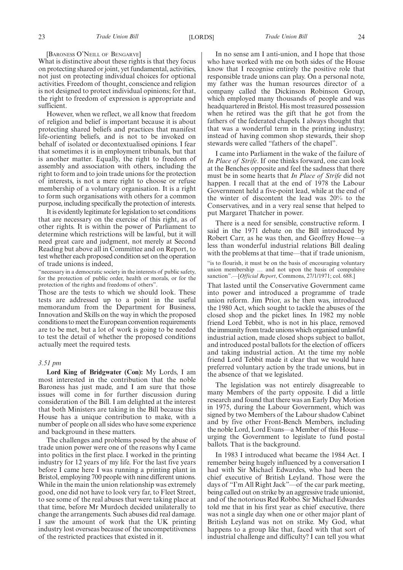#### [BARONESS O'NEILL OF BENGARVE]

What is distinctive about these rights is that they focus on protecting shared or joint, yet fundamental, activities, not just on protecting individual choices for optional activities. Freedom of thought, conscience and religion is not designed to protect individual opinions; for that, the right to freedom of expression is appropriate and sufficient.

However, when we reflect, we all know that freedom of religion and belief is important because it is about protecting shared beliefs and practices that manifest life-orienting beliefs, and is not to be invoked on behalf of isolated or decontextualised opinions. I fear that sometimes it is in employment tribunals, but that is another matter. Equally, the right to freedom of assembly and association with others, including the right to form and to join trade unions for the protection of interests, is not a mere right to choose or refuse membership of a voluntary organisation. It is a right to form such organisations with others for a common purpose, including specifically the protection of interests.

It is evidently legitimate for legislation to set conditions that are necessary on the exercise of this right, as of other rights. It is within the power of Parliament to determine which restrictions will be lawful, but it will need great care and judgment, not merely at Second Reading but above all in Committee and on Report, to test whether each proposed condition set on the operation of trade unions is indeed,

"necessary in a democratic society in the interests of public safety, for the protection of public order, health or morals, or for the protection of the rights and freedoms of others".

Those are the tests to which we should look. These tests are addressed up to a point in the useful memorandum from the Department for Business, Innovation and Skills on the way in which the proposed conditions to meet the European convention requirements are to be met, but a lot of work is going to be needed to test the detail of whether the proposed conditions actually meet the required tests.

#### *3.51 pm*

**Lord King of Bridgwater (Con):** My Lords, I am most interested in the contribution that the noble Baroness has just made, and I am sure that those issues will come in for further discussion during consideration of the Bill. I am delighted at the interest that both Ministers are taking in the Bill because this House has a unique contribution to make, with a number of people on all sides who have some experience and background in these matters.

The challenges and problems posed by the abuse of trade union power were one of the reasons why I came into politics in the first place. I worked in the printing industry for 12 years of my life. For the last five years before I came here I was running a printing plant in Bristol, employing 700 people with nine different unions. While in the main the union relationship was extremely good, one did not have to look very far, to Fleet Street, to see some of the real abuses that were taking place at that time, before Mr Murdoch decided unilaterally to change the arrangements. Such abuses did real damage. I saw the amount of work that the UK printing industry lost overseas because of the uncompetitiveness of the restricted practices that existed in it.

In no sense am I anti-union, and I hope that those who have worked with me on both sides of the House know that I recognise entirely the positive role that responsible trade unions can play. On a personal note, my father was the human resources director of a company called the Dickinson Robinson Group, which employed many thousands of people and was headquartered in Bristol. His most treasured possession when he retired was the gift that he got from the fathers of the federated chapels. I always thought that that was a wonderful term in the printing industry; instead of having common shop stewards, their shop stewards were called "fathers of the chapel".

I came into Parliament in the wake of the failure of *In Place of Strife*. If one thinks forward, one can look at the Benches opposite and feel the sadness that there must be in some hearts that *In Place of Strife* did not happen. I recall that at the end of 1978 the Labour Government held a five-point lead, while at the end of the winter of discontent the lead was 20% to the Conservatives, and in a very real sense that helped to put Margaret Thatcher in power.

There is a need for sensible, constructive reform. I said in the 1971 debate on the Bill introduced by Robert Carr, as he was then, and Geoffrey Howe—a less than wonderful industrial relations Bill dealing with the problems at that time—that if trade unionism,

"is to flourish, it must be on the basis of encouraging voluntary union membership … and not upon the basis of compulsive sanction".—[*Official Report*, Commons, 27/1/1971; col. 688.]

That lasted until the Conservative Government came into power and introduced a programme of trade union reform. Jim Prior, as he then was, introduced the 1980 Act, which sought to tackle the abuses of the closed shop and the picket lines. In 1982 my noble friend Lord Tebbit, who is not in his place, removed the immunity from trade unions which organised unlawful industrial action, made closed shops subject to ballot, and introduced postal ballots for the election of officers and taking industrial action. At the time my noble friend Lord Tebbit made it clear that we would have preferred voluntary action by the trade unions, but in the absence of that we legislated.

The legislation was not entirely disagreeable to many Members of the party opposite. I did a little research and found that there was an Early Day Motion in 1975, during the Labour Government, which was signed by two Members of the Labour shadow Cabinet and by five other Front-Bench Members, including the noble Lord, Lord Evans—a Member of this House urging the Government to legislate to fund postal ballots. That is the background.

In 1983 I introduced what became the 1984 Act. I remember being hugely influenced by a conversation I had with Sir Michael Edwardes, who had been the chief executive of British Leyland. Those were the days of "I'm All Right Jack"—of the car park meeting, being called out on strike by an aggressive trade unionist, and of the notorious Red Robbo. Sir Michael Edwardes told me that in his first year as chief executive, there was not a single day when one or other major plant of British Leyland was not on strike. My God, what happens to a group like that, faced with that sort of industrial challenge and difficulty? I can tell you what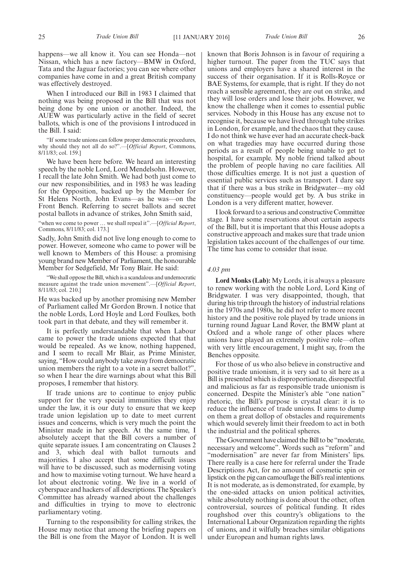happens—we all know it. You can see Honda—not Nissan, which has a new factory—BMW in Oxford, Tata and the Jaguar factories; you can see where other companies have come in and a great British company was effectively destroyed.

When I introduced our Bill in 1983 I claimed that nothing was being proposed in the Bill that was not being done by one union or another. Indeed, the AUEW was particularly active in the field of secret ballots, which is one of the provisions I introduced in the Bill. I said:

"If some trade unions can follow proper democratic procedures, why should they not all do so?".—[*Official Report*, Commons, 8/11/83; col. 159.]

We have been here before. We heard an interesting speech by the noble Lord, Lord Mendelsohn. However, I recall the late John Smith. We had both just come to our new responsibilities, and in 1983 he was leading for the Opposition, backed up by the Member for St Helens North, John Evans—as he was—on the Front Bench. Referring to secret ballots and secret postal ballots in advance of strikes, John Smith said,

"when we come to power … we shall repeal it".—[*Official Report*, Commons, 8/11/83; col. 173.]

Sadly, John Smith did not live long enough to come to power. However, someone who came to power will be well known to Members of this House: a promising young brand new Member of Parliament, the honourable Member for Sedgefield, Mr Tony Blair. He said:

"We shall oppose the Bill, which is a scandalous and undemocratic measure against the trade union movement".—[*Official Report*, 8/11/83; col. 210.]

He was backed up by another promising new Member of Parliament called Mr Gordon Brown. I notice that the noble Lords, Lord Hoyle and Lord Foulkes, both took part in that debate, and they will remember it.

It is perfectly understandable that when Labour came to power the trade unions expected that that would be repealed. As we know, nothing happened, and I seem to recall Mr Blair, as Prime Minister, saying, "How could anybody take away from democratic union members the right to a vote in a secret ballot?", so when I hear the dire warnings about what this Bill proposes, I remember that history.

If trade unions are to continue to enjoy public support for the very special immunities they enjoy under the law, it is our duty to ensure that we keep trade union legislation up to date to meet current issues and concerns, which is very much the point the Minister made in her speech. At the same time, I absolutely accept that the Bill covers a number of quite separate issues. I am concentrating on Clauses 2 and 3, which deal with ballot turnouts and majorities. I also accept that some difficult issues will have to be discussed, such as modernising voting and how to maximise voting turnout. We have heard a lot about electronic voting. We live in a world of cyberspace and hackers of all descriptions. The Speaker's Committee has already warned about the challenges and difficulties in trying to move to electronic parliamentary voting.

Turning to the responsibility for calling strikes, the House may notice that among the briefing papers on the Bill is one from the Mayor of London. It is well known that Boris Johnson is in favour of requiring a higher turnout. The paper from the TUC says that unions and employers have a shared interest in the success of their organisation. If it is Rolls-Royce or BAE Systems, for example, that is right. If they do not reach a sensible agreement, they are out on strike, and they will lose orders and lose their jobs. However, we know the challenge when it comes to essential public services. Nobody in this House has any excuse not to recognise it, because we have lived through tube strikes in London, for example, and the chaos that they cause. I do not think we have ever had an accurate check-back on what tragedies may have occurred during those periods as a result of people being unable to get to hospital, for example. My noble friend talked about the problem of people having no care facilities. All those difficulties emerge. It is not just a question of essential public services such as transport. I dare say that if there was a bus strike in Bridgwater—my old constituency—people would get by. A bus strike in London is a very different matter, however.

I look forward to a serious and constructive Committee stage. I have some reservations about certain aspects of the Bill, but it is important that this House adopts a constructive approach and makes sure that trade union legislation takes account of the challenges of our time. The time has come to consider that issue.

#### *4.03 pm*

**Lord Monks (Lab):** My Lords, it is always a pleasure to renew working with the noble Lord, Lord King of Bridgwater. I was very disappointed, though, that during his trip through the history of industrial relations in the 1970s and 1980s, he did not refer to more recent history and the positive role played by trade unions in turning round Jaguar Land Rover, the BMW plant at Oxford and a whole range of other places where unions have played an extremely positive role—often with very little encouragement, I might say, from the Benches opposite.

For those of us who also believe in constructive and positive trade unionism, it is very sad to sit here as a Bill is presented which is disproportionate, disrespectful and malicious as far as responsible trade unionism is concerned. Despite the Minister's able "one nation" rhetoric, the Bill's purpose is crystal clear: it is to reduce the influence of trade unions. It aims to dump on them a great dollop of obstacles and requirements which would severely limit their freedom to act in both the industrial and the political spheres.

The Government have claimed the Bill to be "moderate, necessary and welcome". Words such as "reform" and "modernisation" are never far from Ministers' lips. There really is a case here for referral under the Trade Descriptions Act, for no amount of cosmetic spin or lipstick on the pig can camouflage the Bill's real intentions. It is not moderate, as is demonstrated, for example, by the one-sided attacks on union political activities, while absolutely nothing is done about the other, often controversial, sources of political funding. It rides roughshod over this country's obligations to the International Labour Organization regarding the rights of unions, and it wilfully breaches similar obligations under European and human rights laws.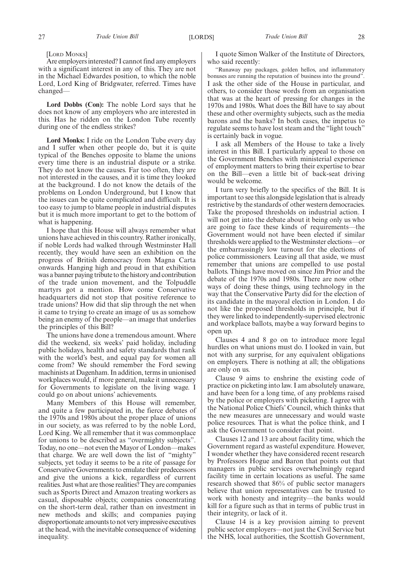[LORD MONKS]

Are employers interested? I cannot find any employers with a significant interest in any of this. They are not in the Michael Edwardes position, to which the noble Lord, Lord King of Bridgwater, referred. Times have changed—

**Lord Dobbs (Con):** The noble Lord says that he does not know of any employers who are interested in this. Has he ridden on the London Tube recently during one of the endless strikes?

**Lord Monks:** I ride on the London Tube every day and I suffer when other people do, but it is quite typical of the Benches opposite to blame the unions every time there is an industrial dispute or a strike. They do not know the causes. Far too often, they are not interested in the causes, and it is time they looked at the background. I do not know the details of the problems on London Underground, but I know that the issues can be quite complicated and difficult. It is too easy to jump to blame people in industrial disputes but it is much more important to get to the bottom of what is happening.

I hope that this House will always remember what unions have achieved in this country. Rather ironically, if noble Lords had walked through Westminster Hall recently, they would have seen an exhibition on the progress of British democracy from Magna Carta onwards. Hanging high and proud in that exhibition was a banner paying tribute to the history and contribution of the trade union movement, and the Tolpuddle martyrs got a mention. How come Conservative headquarters did not stop that positive reference to trade unions? How did that slip through the net when it came to trying to create an image of us as somehow being an enemy of the people—an image that underlies the principles of this Bill?

The unions have done a tremendous amount. Where did the weekend, six weeks' paid holiday, including public holidays, health and safety standards that rank with the world's best, and equal pay for women all come from? We should remember the Ford sewing machinists at Dagenham. In addition, terms in unionised workplaces would, if more general, make it unnecessary for Governments to legislate on the living wage. I could go on about unions' achievements.

Many Members of this House will remember, and quite a few participated in, the fierce debates of the 1970s and 1980s about the proper place of unions in our society, as was referred to by the noble Lord, Lord King. We all remember that it was commonplace for unions to be described as "overmighty subjects". Today, no one—not even the Mayor of London—makes that charge. We are well down the list of "mighty" subjects, yet today it seems to be a rite of passage for Conservative Governments to emulate their predecessors and give the unions a kick, regardless of current realities. Just what are those realities? They are companies such as Sports Direct and Amazon treating workers as casual, disposable objects; companies concentrating on the short-term deal, rather than on investment in new methods and skills; and companies paying disproportionate amounts to not veryimpressive executives at the head, with the inevitable consequence of widening inequality.

I quote Simon Walker of the Institute of Directors, who said recently:

"Runaway pay packages, golden hellos, and inflammatory bonuses are running the reputation of business into the ground". I ask the other side of the House in particular, and others, to consider those words from an organisation that was at the heart of pressing for changes in the 1970s and 1980s. What does the Bill have to say about these and other overmighty subjects, such as the media barons and the banks? In both cases, the impetus to regulate seems to have lost steam and the "light touch" is certainly back in vogue.

I ask all Members of the House to take a lively interest in this Bill. I particularly appeal to those on the Government Benches with ministerial experience of employment matters to bring their expertise to bear on the Bill—even a little bit of back-seat driving would be welcome.

I turn very briefly to the specifics of the Bill. It is important to see this alongside legislation that is already restrictive by the standards of other western democracies. Take the proposed thresholds on industrial action. I will not get into the debate about it being only us who are going to face these kinds of requirements—the Government would not have been elected if similar thresholds were applied to theWestminster elections—or the embarrassingly low turnout for the elections of police commissioners. Leaving all that aside, we must remember that unions are compelled to use postal ballots. Things have moved on since Jim Prior and the debate of the 1970s and 1980s. There are now other ways of doing these things, using technology in the way that the Conservative Party did for the election of its candidate in the mayoral election in London. I do not like the proposed thresholds in principle, but if they were linked to independently-supervised electronic and workplace ballots, maybe a way forward begins to open up.

Clauses 4 and 8 go on to introduce more legal hurdles on what unions must do. I looked in vain, but not with any surprise, for any equivalent obligations on employers. There is nothing at all; the obligations are only on us.

Clause 9 aims to enshrine the existing code of practice on picketing into law. I am absolutely unaware, and have been for a long time, of any problems raised by the police or employers with picketing. I agree with the National Police Chiefs' Council, which thinks that the new measures are unnecessary and would waste police resources. That is what the police think, and I ask the Government to consider that point.

Clauses 12 and 13 are about facility time, which the Government regard as wasteful expenditure. However, I wonder whether they have considered recent research by Professors Hogue and Baron that points out that managers in public services overwhelmingly regard facility time in certain locations as useful. The same research showed that 86% of public sector managers believe that union representatives can be trusted to work with honesty and integrity—the banks would kill for a figure such as that in terms of public trust in their integrity, or lack of it.

Clause 14 is a key provision aiming to prevent public sector employers—not just the Civil Service but the NHS, local authorities, the Scottish Government,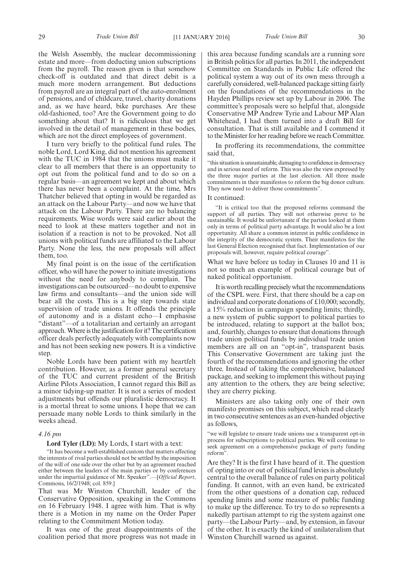the Welsh Assembly, the nuclear decommissioning estate and more—from deducting union subscriptions from the payroll. The reason given is that somehow check-off is outdated and that direct debit is a much more modern arrangement. But deductions from payroll are an integral part of the auto-enrolment of pensions, and of childcare, travel, charity donations and, as we have heard, bike purchases. Are these old-fashioned, too? Are the Government going to do something about that? It is ridiculous that we get involved in the detail of management in these bodies, which are not the direct employees of government.

I turn very briefly to the political fund rules. The noble Lord, Lord King, did not mention his agreement with the TUC in 1984 that the unions must make it clear to all members that there is an opportunity to opt out from the political fund and to do so on a regular basis—an agreement we kept and about which there has never been a complaint. At the time, Mrs Thatcher believed that opting in would be regarded as an attack on the Labour Party—and now we have that attack on the Labour Party. There are no balancing requirements. Wise words were said earlier about the need to look at these matters together and not in isolation if a reaction is not to be provoked. Not all unions with political funds are affiliated to the Labour Party. None the less, the new proposals will affect them, too.

My final point is on the issue of the certification officer, who will have the power to initiate investigations without the need for anybody to complain. The investigations can be outsourced—no doubt to expensive law firms and consultants—and the union side will bear all the costs. This is a big step towards state supervision of trade unions. It offends the principle of autonomy and is a distant echo—I emphasise "distant"—of a totalitarian and certainly an arrogant approach.Where is the justification for it? The certification officer deals perfectly adequately with complaints now and has not been seeking new powers. It is a vindictive step.

Noble Lords have been patient with my heartfelt contribution. However, as a former general secretary of the TUC and current president of the British Airline Pilots Association, I cannot regard this Bill as a minor tidying-up matter. It is not a series of modest adjustments but offends our pluralistic democracy. It is a mortal threat to some unions. I hope that we can persuade many noble Lords to think similarly in the weeks ahead.

#### *4.16 pm*

**Lord Tyler (LD):** My Lords, I start with a text:

"It has become a well-established custom that matters affecting the interests of rival parties should not be settled by the imposition of the will of one side over the other but by an agreement reached either between the leaders of the main parties or by conferences under the impartial guidance of Mr. Speaker".—[*Official Report*, Commons, 16/2/1948; col. 859.]

That was Mr Winston Churchill, leader of the Conservative Opposition, speaking in the Commons on 16 February 1948. I agree with him. That is why there is a Motion in my name on the Order Paper relating to the Commitment Motion today.

It was one of the great disappointments of the coalition period that more progress was not made in this area because funding scandals are a running sore in British politics for all parties. In 2011, the independent Committee on Standards in Public Life offered the political system a way out of its own mess through a carefully considered, well-balanced package sitting fairly on the foundations of the recommendations in the Hayden Phillips review set up by Labour in 2006. The committee's proposals were so helpful that, alongside Conservative MP Andrew Tyrie and Labour MP Alan Whitehead, I had them turned into a draft Bill for consultation. That is still available and I commend it to theMinister for her reading before we reach Committee.

In proffering its recommendations, the committee said that,

"this situation is unsustainable, damaging to confidence in democracy and in serious need of reform. This was also the view expressed by the three major parties at the last election. All three made commitments in their manifestos to reform the big donor culture. They now need to deliver those commitments".

#### It continued:

"It is critical too that the proposed reforms command the support of all parties. They will not otherwise prove to be sustainable. It would be unfortunate if the parties looked at them only in terms of political party advantage. It would also be a lost opportunity. All share a common interest in public confidence in the integrity of the democratic system. Their manifestos for the last General Election recognised that fact. Implementation of our proposals will, however, require political courage".

What we have before us today in Clauses 10 and 11 is not so much an example of political courage but of naked political opportunism.

It is worth recalling precisely what the recommendations of the CSPL were. First, that there should be a cap on individual and corporate donations of £10,000; secondly, a 15% reduction in campaign spending limits; thirdly, a new system of public support to political parties to be introduced, relating to support at the ballot box; and, fourthly, changes to ensure that donations through trade union political funds by individual trade union members are all on an "opt-in", transparent basis. This Conservative Government are taking just the fourth of the recommendations and ignoring the other three. Instead of taking the comprehensive, balanced package, and seeking to implement this without paying any attention to the others, they are being selective; they are cherry picking.

Ministers are also taking only one of their own manifesto promises on this subject, which read clearly in two consecutive sentences as an even-handed objective as follows,

"we will legislate to ensure trade unions use a transparent opt-in process for subscriptions to political parties. We will continue to seek agreement on a comprehensive package of party funding reform".

Are they? It is the first I have heard of it. The question of opting into or out of political fund levies is absolutely central to the overall balance of rules on party political funding. It cannot, with an even hand, be extricated from the other questions of a donation cap, reduced spending limits and some measure of public funding to make up the difference. To try to do so represents a nakedly partisan attempt to rig the system against one party—the Labour Party—and, by extension, in favour of the other. It is exactly the kind of unilateralism that Winston Churchill warned us against.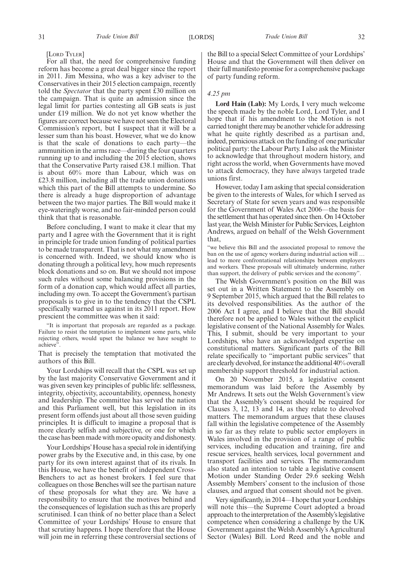#### [LORD TYLER]

For all that, the need for comprehensive funding reform has become a great deal bigger since the report in 2011. Jim Messina, who was a key adviser to the Conservatives in their 2015 election campaign, recently told the *Spectator* that the party spent £30 million on the campaign. That is quite an admission since the legal limit for parties contesting all GB seats is just under £19 million. We do not yet know whether the figures are correct because we have not seen the Electoral Commission's report, but I suspect that it will be a lesser sum than his boast. However, what we do know is that the scale of donations to each party—the ammunition in the arms race—during the four quarters running up to and including the 2015 election, shows that the Conservative Party raised £38.1 million. That is about 60% more than Labour, which was on £23.8 million, including all the trade union donations which this part of the Bill attempts to undermine. So there is already a huge disproportion of advantage between the two major parties. The Bill would make it eye-wateringly worse, and no fair-minded person could think that that is reasonable.

Before concluding, I want to make it clear that my party and I agree with the Government that it is right in principle for trade union funding of political parties to be made transparent. That is not what my amendment is concerned with. Indeed, we should know who is donating through a political levy, how much represents block donations and so on. But we should not impose such rules without some balancing provisions in the form of a donation cap, which would affect all parties, including my own. To accept the Government's partisan proposals is to give in to the tendency that the CSPL specifically warned us against in its 2011 report. How prescient the committee was when it said:

"It is important that proposals are regarded as a package. Failure to resist the temptation to implement some parts, while rejecting others, would upset the balance we have sought to achieve".

That is precisely the temptation that motivated the authors of this Bill.

Your Lordships will recall that the CSPL was set up by the last majority Conservative Government and it was given seven key principles of public life: selflessness, integrity, objectivity, accountability, openness, honesty and leadership. The committee has served the nation and this Parliament well, but this legislation in its present form offends just about all those seven guiding principles. It is difficult to imagine a proposal that is more clearly selfish and subjective, or one for which the case has been made with more opacity and dishonesty.

Your Lordships' House has a special role in identifying power grabs by the Executive and, in this case, by one party for its own interest against that of its rivals. In this House, we have the benefit of independent Cross-Benchers to act as honest brokers. I feel sure that colleagues on those Benches will see the partisan nature of these proposals for what they are. We have a responsibility to ensure that the motives behind and the consequences of legislation such as this are properly scrutinised. I can think of no better place than a Select Committee of your Lordships' House to ensure that that scrutiny happens. I hope therefore that the House will join me in referring these controversial sections of the Bill to a special Select Committee of your Lordships' House and that the Government will then deliver on their full manifesto promise for a comprehensive package of party funding reform.

#### *4.25 pm*

**Lord Hain (Lab):** My Lords, I very much welcome the speech made by the noble Lord, Lord Tyler, and I hope that if his amendment to the Motion is not carried tonight there may be another vehicle for addressing what he quite rightly described as a partisan and, indeed, pernicious attack on the funding of one particular political party: the Labour Party. I also ask the Minister to acknowledge that throughout modern history, and right across the world, when Governments have moved to attack democracy, they have always targeted trade unions first.

However, today I am asking that special consideration be given to the interests of Wales, for which I served as Secretary of State for seven years and was responsible for the Government of Wales Act 2006—the basis for the settlement that has operated since then. On 14 October last year, the Welsh Minister for Public Services, Leighton Andrews, argued on behalf of the Welsh Government that,

'we believe this Bill and the associated proposal to remove the ban on the use of agency workers during industrial action will … lead to more confrontational relationships between employers and workers. These proposals will ultimately undermine, rather than support, the delivery of public services and the economy".

The Welsh Government's position on the Bill was set out in a Written Statement to the Assembly on 9 September 2015, which argued that the Bill relates to its devolved responsibilities. As the author of the 2006 Act I agree, and I believe that the Bill should therefore not be applied to Wales without the explicit legislative consent of the National Assembly for Wales. This, I submit, should be very important to your Lordships, who have an acknowledged expertise on constitutional matters. Significant parts of the Bill relate specifically to "important public services" that are clearly devolved, for instance the additional 40% overall membership support threshold for industrial action.

On 20 November 2015, a legislative consent memorandum was laid before the Assembly by Mr Andrews. It sets out the Welsh Government's view that the Assembly's consent should be required for Clauses 3, 12, 13 and 14, as they relate to devolved matters. The memorandum argues that these clauses fall within the legislative competence of the Assembly in so far as they relate to public sector employers in Wales involved in the provision of a range of public services, including education and training, fire and rescue services, health services, local government and transport facilities and services. The memorandum also stated an intention to table a legislative consent Motion under Standing Order 29.6 seeking Welsh Assembly Members' consent to the inclusion of those clauses, and argued that consent should not be given.

Very significantly, in 2014—I hope that your Lordships will note this—the Supreme Court adopted a broad approach to the interpretation of the Assembly's legislative competence when considering a challenge by the UK Government against the Welsh Assembly's Agricultural Sector (Wales) Bill. Lord Reed and the noble and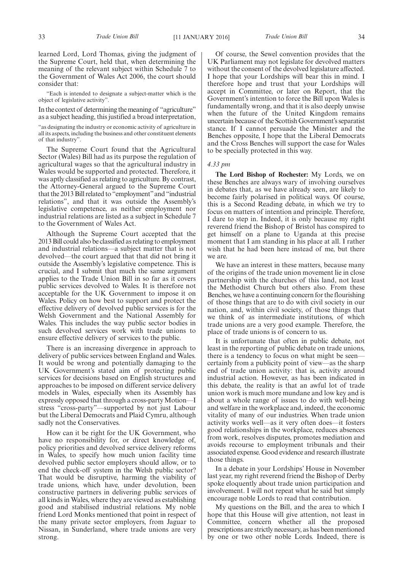learned Lord, Lord Thomas, giving the judgment of the Supreme Court, held that, when determining the meaning of the relevant subject within Schedule 7 to the Government of Wales Act 2006, the court should consider that:

"Each is intended to designate a subject-matter which is the object of legislative activity".

In the context of determining the meaning of "agriculture" as a subject heading, this justified a broad interpretation,

"as designating the industry or economic activity of agriculture in all its aspects, including the business and other constituent elements of that industry".

The Supreme Court found that the Agricultural Sector (Wales) Bill had as its purpose the regulation of agricultural wages so that the agricultural industry in Wales would be supported and protected. Therefore, it was aptly classified as relating to agriculture. By contrast, the Attorney-General argued to the Supreme Court that the 2013 Bill related to "employment"and "industrial relations", and that it was outside the Assembly's legislative competence, as neither employment nor industrial relations are listed as a subject in Schedule 7 to the Government of Wales Act.

Although the Supreme Court accepted that the 2013 Bill could also be classified as relating to employment and industrial relations—a subject matter that is not devolved—the court argued that that did not bring it outside the Assembly's legislative competence. This is crucial, and I submit that much the same argument applies to the Trade Union Bill in so far as it covers public services devolved to Wales. It is therefore not acceptable for the UK Government to impose it on Wales. Policy on how best to support and protect the effective delivery of devolved public services is for the Welsh Government and the National Assembly for Wales. This includes the way public sector bodies in such devolved services work with trade unions to ensure effective delivery of services to the public.

There is an increasing divergence in approach to delivery of public services between England and Wales. It would be wrong and potentially damaging to the UK Government's stated aim of protecting public services for decisions based on English structures and approaches to be imposed on different service delivery models in Wales, especially when its Assembly has expressly opposed that through a cross-party Motion—I stress "cross-party"—supported by not just Labour but the Liberal Democrats and Plaid Cymru, although sadly not the Conservatives.

How can it be right for the UK Government, who have no responsibility for, or direct knowledge of, policy priorities and devolved service delivery reforms in Wales, to specify how much union facility time devolved public sector employers should allow, or to end the check-off system in the Welsh public sector? That would be disruptive, harming the viability of trade unions, which have, under devolution, been constructive partners in delivering public services of all kinds in Wales, where they are viewed as establishing good and stabilised industrial relations. My noble friend Lord Monks mentioned that point in respect of the many private sector employers, from Jaguar to Nissan, in Sunderland, where trade unions are very strong.

Of course, the Sewel convention provides that the UK Parliament may not legislate for devolved matters without the consent of the devolved legislature affected. I hope that your Lordships will bear this in mind. I therefore hope and trust that your Lordships will accept in Committee, or later on Report, that the Government's intention to force the Bill upon Wales is fundamentally wrong, and that it is also deeply unwise when the future of the United Kingdom remains uncertain because of the Scottish Government's separatist stance. If I cannot persuade the Minister and the Benches opposite, I hope that the Liberal Democrats and the Cross Benches will support the case for Wales to be specially protected in this way.

#### *4.33 pm*

**The Lord Bishop of Rochester:** My Lords, we on these Benches are always wary of involving ourselves in debates that, as we have already seen, are likely to become fairly polarised in political ways. Of course, this is a Second Reading debate, in which we try to focus on matters of intention and principle. Therefore, I dare to step in. Indeed, it is only because my right reverend friend the Bishop of Bristol has conspired to get himself on a plane to Uganda at this precise moment that I am standing in his place at all. I rather wish that he had been here instead of me, but there we are.

We have an interest in these matters, because many of the origins of the trade union movement lie in close partnership with the churches of this land, not least the Methodist Church but others also. From these Benches, we have a continuing concern for the flourishing of those things that are to do with civil society in our nation, and, within civil society, of those things that we think of as intermediate institutions, of which trade unions are a very good example. Therefore, the place of trade unions is of concern to us.

It is unfortunate that often in public debate, not least in the reporting of public debate on trade unions, there is a tendency to focus on what might be seen certainly from a publicity point of view—as the sharp end of trade union activity: that is, activity around industrial action. However, as has been indicated in this debate, the reality is that an awful lot of trade union work is much more mundane and low key and is about a whole range of issues to do with well-being and welfare in the workplace and, indeed, the economic vitality of many of our industries. When trade union activity works well—as it very often does—it fosters good relationships in the workplace, reduces absences from work, resolves disputes, promotes mediation and avoids recourse to employment tribunals and their associated expense. Good evidence and research illustrate those things.

In a debate in your Lordships' House in November last year, my right reverend friend the Bishop of Derby spoke eloquently about trade union participation and involvement. I will not repeat what he said but simply encourage noble Lords to read that contribution.

My questions on the Bill, and the area to which I hope that this House will give attention, not least in Committee, concern whether all the proposed prescriptions are strictly necessary, as has been mentioned by one or two other noble Lords. Indeed, there is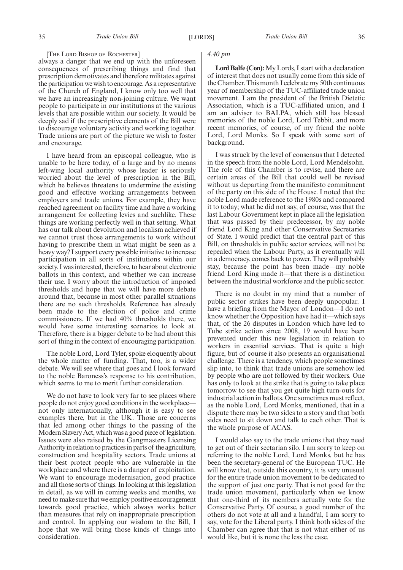#### [THE LORD BISHOP OF ROCHESTER]

always a danger that we end up with the unforeseen consequences of prescribing things and find that prescription demotivates and therefore militates against the participation we wish to encourage. As a representative of the Church of England, I know only too well that we have an increasingly non-joining culture. We want people to participate in our institutions at the various levels that are possible within our society. It would be deeply sad if the prescriptive elements of the Bill were to discourage voluntary activity and working together. Trade unions are part of the picture we wish to foster and encourage.

I have heard from an episcopal colleague, who is unable to be here today, of a large and by no means left-wing local authority whose leader is seriously worried about the level of prescription in the Bill, which he believes threatens to undermine the existing good and effective working arrangements between employers and trade unions. For example, they have reached agreement on facility time and have a working arrangement for collecting levies and suchlike. These things are working perfectly well in that setting. What has our talk about devolution and localism achieved if we cannot trust those arrangements to work without having to prescribe them in what might be seen as a heavy way? I support every possible initiative to increase participation in all sorts of institutions within our society. I was interested, therefore, to hear about electronic ballots in this context, and whether we can increase their use. I worry about the introduction of imposed thresholds and hope that we will have more debate around that, because in most other parallel situations there are no such thresholds. Reference has already been made to the election of police and crime commissioners. If we had 40% thresholds there, we would have some interesting scenarios to look at. Therefore, there is a bigger debate to be had about this sort of thing in the context of encouraging participation.

The noble Lord, Lord Tyler, spoke eloquently about the whole matter of funding. That, too, is a wider debate. We will see where that goes and I look forward to the noble Baroness's response to his contribution, which seems to me to merit further consideration.

We do not have to look very far to see places where people do not enjoy good conditions in the workplace not only internationally, although it is easy to see examples there, but in the UK. Those are concerns that led among other things to the passing of the Modern Slavery Act, which was a good piece of legislation. Issues were also raised by the Gangmasters Licensing Authority in relation to practices in parts of the agriculture, construction and hospitality sectors. Trade unions at their best protect people who are vulnerable in the workplace and where there is a danger of exploitation. We want to encourage modernisation, good practice and all those sorts of things. In looking at this legislation in detail, as we will in coming weeks and months, we need to make sure that we employ positive encouragement towards good practice, which always works better than measures that rely on inappropriate prescription and control. In applying our wisdom to the Bill, I hope that we will bring those kinds of things into consideration.

#### *4.40 pm*

**Lord Balfe (Con):** My Lords, I start with a declaration of interest that does not usually come from this side of the Chamber. This month I celebrate my 50th continuous year of membership of the TUC-affiliated trade union movement. I am the president of the British Dietetic Association, which is a TUC-affiliated union, and I am an adviser to BALPA, which still has blessed memories of the noble Lord, Lord Tebbit, and more recent memories, of course, of my friend the noble Lord, Lord Monks. So I speak with some sort of background.

I was struck by the level of consensus that I detected in the speech from the noble Lord, Lord Mendelsohn. The role of this Chamber is to revise, and there are certain areas of the Bill that could well be revised without us departing from the manifesto commitment of the party on this side of the House. I noted that the noble Lord made reference to the 1980s and compared it to today; what he did not say, of course, was that the last Labour Government kept in place all the legislation that was passed by their predecessor, by my noble friend Lord King and other Conservative Secretaries of State. I would predict that the central part of this Bill, on thresholds in public sector services, will not be repealed when the Labour Party, as it eventually will in a democracy, comes back to power. They will probably stay, because the point has been made—my noble friend Lord King made it—that there is a distinction between the industrial workforce and the public sector.

There is no doubt in my mind that a number of public sector strikes have been deeply unpopular. I have a briefing from the Mayor of London—I do not know whether the Opposition have had it—which says that, of the 26 disputes in London which have led to Tube strike action since 2008, 19 would have been prevented under this new legislation in relation to workers in essential services. That is quite a high figure, but of course it also presents an organisational challenge. There is a tendency, which people sometimes slip into, to think that trade unions are somehow led by people who are not followed by their workers. One has only to look at the strike that is going to take place tomorrow to see that you get quite high turn-outs for industrial action in ballots. One sometimes must reflect, as the noble Lord, Lord Monks, mentioned, that in a dispute there may be two sides to a story and that both sides need to sit down and talk to each other. That is the whole purpose of ACAS.

I would also say to the trade unions that they need to get out of their sectarian silo. I am sorry to keep on referring to the noble Lord, Lord Monks, but he has been the secretary-general of the European TUC. He will know that, outside this country, it is very unusual for the entire trade union movement to be dedicated to the support of just one party. That is not good for the trade union movement, particularly when we know that one-third of its members actually vote for the Conservative Party. Of course, a good number of the others do not vote at all and a handful, I am sorry to say, vote for the Liberal party. I think both sides of the Chamber can agree that that is not what either of us would like, but it is none the less the case.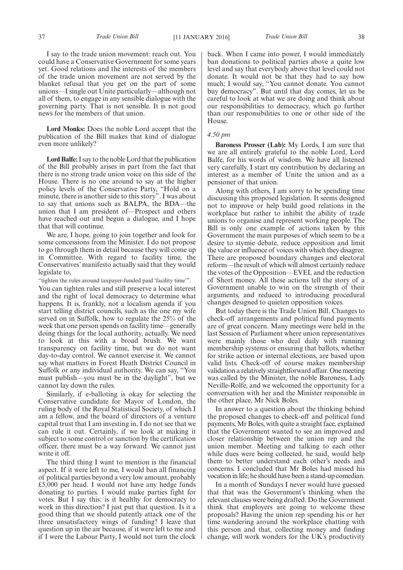I say to the trade union movement: reach out. You could have a Conservative Government for some years yet. Good relations and the interests of the members of the trade union movement are not served by the blanket refusal that you get on the part of some unions—I single out Unite particularly—although not all of them, to engage in any sensible dialogue with the governing party. That is not sensible. It is not good news for the members of that union.

**Lord Monks:** Does the noble Lord accept that the publication of the Bill makes that kind of dialogue even more unlikely?

**Lord Balfe:**I say to the noble Lord that the publication of the Bill probably arises in part from the fact that there is no strong trade union voice on this side of the House. There is no one around to say at the higher policy levels of the Conservative Party, "Hold on a minute, there is another side to this story". I was about to say that unions such as BALPA, the BDA—the union that I am president of—Prospect and others have reached out and begun a dialogue, and I hope that that will continue.

We are, I hope, going to join together and look for some concessions from the Minister. I do not propose to go through them in detail because they will come up in Committee. With regard to facility time, the Conservatives' manifesto actually said that they would legislate to,

"tighten the rules around taxpayer-funded paid 'facility time'". You can tighten rules and still preserve a local interest and the right of local democracy to determine what happens. It is, frankly, not a localism agenda if you start telling district councils, such as the one my wife served on in Suffolk, how to regulate the 25% of the week that one person spends on facility time—generally doing things for the local authority, actually. We need to look at this with a broad brush. We want transparency on facility time, but we do not want day-to-day control. We cannot exercise it. We cannot say what matters in Forest Heath District Council in Suffolk or any individual authority. We can say, "You must publish—you must be in the daylight", but we cannot lay down the rules.

Similarly, if e-balloting is okay for selecting the Conservative candidate for Mayor of London, the ruling body of the Royal Statistical Society, of which I am a fellow, and the board of directors of a venture capital trust that I am investing in, I do not see that we can rule it out. Certainly, if we look at making it subject to some control or sanction by the certification officer, there must be a way forward. We cannot just write it off.

The third thing I want to mention is the financial aspect. If it were left to me, I would ban all financing of political parties beyond a very low amount, probably £5,000 per head. I would not have any hedge funds donating to parties. I would make parties fight for votes. But I say this: is it healthy for democracy to work in this direction? I just put that question. Is it a good thing that we should patently attack one of the three unsatisfactory wings of funding? I leave that question up in the air because, if it were left to me and if I were the Labour Party, I would not turn the clock

back. When I came into power, I would immediately ban donations to political parties above a quite low level and say that everybody above that level could not donate. It would not be that they had to say how much; I would say, "You cannot donate. You cannot buy democracy". But until that day comes, let us be careful to look at what we are doing and think about our responsibilities to democracy, which go further than our responsibilities to one or other side of the House.

#### *4.50 pm*

**Baroness Prosser (Lab):** My Lords, I am sure that we are all entirely grateful to the noble Lord, Lord Balfe, for his words of wisdom. We have all listened very carefully. I start my contribution by declaring an interest as a member of Unite the union and as a pensioner of that union.

Along with others, I am sorry to be spending time discussing this proposed legislation. It seems designed not to improve or help build good relations in the workplace but rather to inhibit the ability of trade unions to organise and represent working people. The Bill is only one example of actions taken by this Government the main purposes of which seem to be a desire to stymie debate, reduce opposition and limit the value or influence of voices with which they disagree. There are proposed boundary changes and electoral reform—the result of which will almost certainly reduce the votes of the Opposition—EVEL and the reduction of Short money. All these actions tell the story of a Government unable to win on the strength of their arguments, and reduced to introducing procedural changes designed to quieten opposition voices.

But today there is the Trade Union Bill. Changes to check-off arrangements and political fund payments are of great concern. Many meetings were held in the last Session of Parliament where union representatives were mainly those who deal daily with running membership systems or ensuring that ballots, whether for strike action or internal elections, are based upon valid lists. Check-off of course makes membership validation a relatively straightforward affair. One meeting was called by the Minister, the noble Baroness, Lady Neville-Rolfe, and we welcomed the opportunity for a conversation with her and the Minister responsible in the other place, Mr Nick Boles.

In answer to a question about the thinking behind the proposed changes to check-off and political fund payments, Mr Boles, with quite a straight face, explained that the Government wanted to see an improved and closer relationship between the union rep and the union member. Meeting and talking to each other while dues were being collected, he said, would help them to better understand each other's needs and concerns. I concluded that Mr Boles had missed his vocation in life; he should have been a stand-up comedian.

In a month of Sundays I never would have guessed that that was the Government's thinking when the relevant clauses were being drafted. Do the Government think that employers are going to welcome these proposals? Having the union rep spending his or her time wandering around the workplace chatting with this person and that, collecting money and finding change, will work wonders for the UK's productivity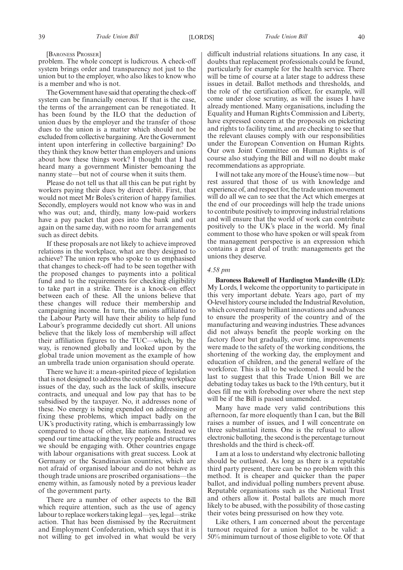#### [BARONESS PROSSER]

problem. The whole concept is ludicrous. A check-off system brings order and transparency not just to the union but to the employer, who also likes to know who is a member and who is not.

The Government have said that operating the check-off system can be financially onerous. If that is the case, the terms of the arrangement can be renegotiated. It has been found by the ILO that the deduction of union dues by the employer and the transfer of those dues to the union is a matter which should not be excluded from collective bargaining. Are the Government intent upon interfering in collective bargaining? Do they think they know better than employers and unions about how these things work? I thought that I had heard many a government Minister bemoaning the nanny state—but not of course when it suits them.

Please do not tell us that all this can be put right by workers paying their dues by direct debit. First, that would not meet Mr Boles's criterion of happy families. Secondly, employers would not know who was in and who was out; and, thirdly, many low-paid workers have a pay packet that goes into the bank and out again on the same day, with no room for arrangements such as direct debits.

If these proposals are not likely to achieve improved relations in the workplace, what are they designed to achieve? The union reps who spoke to us emphasised that changes to check-off had to be seen together with the proposed changes to payments into a political fund and to the requirements for checking eligibility to take part in a strike. There is a knock-on effect between each of these. All the unions believe that these changes will reduce their membership and campaigning income. In turn, the unions affiliated to the Labour Party will have their ability to help fund Labour's programme decidedly cut short. All unions believe that the likely loss of membership will affect their affiliation figures to the TUC—which, by the way, is renowned globally and looked upon by the global trade union movement as the example of how an umbrella trade union organisation should operate.

There we have it: a mean-spirited piece of legislation that is not designed to address the outstanding workplace issues of the day, such as the lack of skills, insecure contracts, and unequal and low pay that has to be subsidised by the taxpayer. No, it addresses none of these. No energy is being expended on addressing or fixing these problems, which impact badly on the UK's productivity rating, which is embarrassingly low compared to those of other, like nations. Instead we spend our time attacking the very people and structures we should be engaging with. Other countries engage with labour organisations with great success. Look at Germany or the Scandinavian countries, which are not afraid of organised labour and do not behave as though trade unions are proscribed organisations—the enemy within, as famously noted by a previous leader of the government party.

There are a number of other aspects to the Bill which require attention, such as the use of agency labour to replace workers taking legal—yes, legal—strike action. That has been dismissed by the Recruitment and Employment Confederation, which says that it is not willing to get involved in what would be very difficult industrial relations situations. In any case, it doubts that replacement professionals could be found, particularly for example for the health service. There will be time of course at a later stage to address these issues in detail. Ballot methods and thresholds, and the role of the certification officer, for example, will come under close scrutiny, as will the issues I have already mentioned. Many organisations, including the Equality and Human Rights Commission and Liberty, have expressed concern at the proposals on picketing and rights to facility time, and are checking to see that the relevant clauses comply with our responsibilities under the European Convention on Human Rights. Our own Joint Committee on Human Rights is of course also studying the Bill and will no doubt make recommendations as appropriate.

I will not take any more of the House's time now—but rest assured that those of us with knowledge and experience of, and respect for, the trade union movement will do all we can to see that the Act which emerges at the end of our proceedings will help the trade unions to contribute positively to improving industrial relations and will ensure that the world of work can contribute positively to the UK's place in the world. My final comment to those who have spoken or will speak from the management perspective is an expression which contains a great deal of truth: managements get the unions they deserve.

#### *4.58 pm*

**Baroness Bakewell of Hardington Mandeville (LD):** My Lords, I welcome the opportunity to participate in this very important debate. Years ago, part of my O-level history course included the Industrial Revolution, which covered many brilliant innovations and advances to ensure the prosperity of the country and of the manufacturing and weaving industries. These advances did not always benefit the people working on the factory floor but gradually, over time, improvements were made to the safety of the working conditions, the shortening of the working day, the employment and education of children, and the general welfare of the workforce. This is all to be welcomed. I would be the last to suggest that this Trade Union Bill we are debating today takes us back to the 19th century, but it does fill me with foreboding over where the next step will be if the Bill is passed unamended.

Many have made very valid contributions this afternoon, far more eloquently than I can, but the Bill raises a number of issues, and I will concentrate on three substantial items. One is the refusal to allow electronic balloting, the second is the percentage turnout thresholds and the third is check-off.

I am at a loss to understand why electronic balloting should be outlawed. As long as there is a reputable third party present, there can be no problem with this method. It is cheaper and quicker than the paper ballot, and individual polling numbers prevent abuse. Reputable organisations such as the National Trust and others allow it. Postal ballots are much more likely to be abused, with the possibility of those casting their votes being pressurised on how they vote.

Like others, I am concerned about the percentage turnout required for a union ballot to be valid: a 50% minimum turnout of those eligible to vote. Of that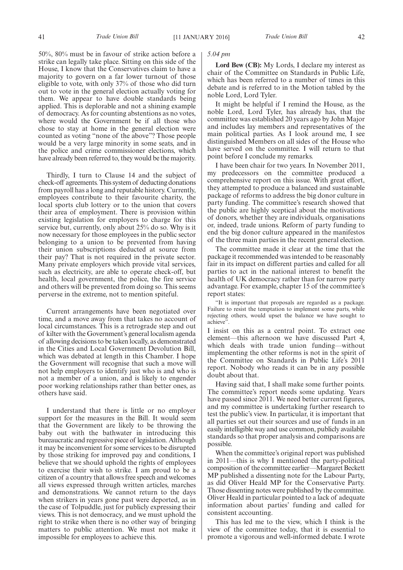50%, 80% must be in favour of strike action before a strike can legally take place. Sitting on this side of the House, I know that the Conservatives claim to have a majority to govern on a far lower turnout of those eligible to vote, with only 37% of those who did turn out to vote in the general election actually voting for them. We appear to have double standards being applied. This is deplorable and not a shining example of democracy. As for counting abstentions as no votes, where would the Government be if all those who chose to stay at home in the general election were counted as voting "none of the above"? Those people would be a very large minority in some seats, and in the police and crime commissioner elections, which have already been referred to, they would be the majority.

Thirdly, I turn to Clause 14 and the subject of check-off agreements. This system of deducting donations from payroll has a long and reputable history. Currently, employees contribute to their favourite charity, the local sports club lottery or to the union that covers their area of employment. There is provision within existing legislation for employers to charge for this service but, currently, only about 25% do so. Why is it now necessary for those employees in the public sector belonging to a union to be prevented from having their union subscriptions deducted at source from their pay? That is not required in the private sector. Many private employers which provide vital services, such as electricity, are able to operate check-off, but health, local government, the police, the fire service and others will be prevented from doing so. This seems perverse in the extreme, not to mention spiteful.

Current arrangements have been negotiated over time, and a move away from that takes no account of local circumstances. This is a retrograde step and out of kilter with the Government's general localism agenda of allowing decisions to be taken locally, as demonstrated in the Cities and Local Government Devolution Bill, which was debated at length in this Chamber. I hope the Government will recognise that such a move will not help employers to identify just who is and who is not a member of a union, and is likely to engender poor working relationships rather than better ones, as others have said.

I understand that there is little or no employer support for the measures in the Bill. It would seem that the Government are likely to be throwing the baby out with the bathwater in introducing this bureaucratic and regressive piece of legislation. Although it may be inconvenient for some services to be disrupted by those striking for improved pay and conditions, I believe that we should uphold the rights of employees to exercise their wish to strike. I am proud to be a citizen of a country that allows free speech and welcomes all views expressed through written articles, marches and demonstrations. We cannot return to the days when strikers in years gone past were deported, as in the case of Tolpuddle, just for publicly expressing their views. This is not democracy, and we must uphold the right to strike when there is no other way of bringing matters to public attention. We must not make it impossible for employees to achieve this.

### *5.04 pm*

**Lord Bew (CB):** My Lords, I declare my interest as chair of the Committee on Standards in Public Life, which has been referred to a number of times in this debate and is referred to in the Motion tabled by the noble Lord, Lord Tyler.

It might be helpful if I remind the House, as the noble Lord, Lord Tyler, has already has, that the committee was established 20 years ago by John Major and includes lay members and representatives of the main political parties. As I look around me, I see distinguished Members on all sides of the House who have served on the committee. I will return to that point before I conclude my remarks.

I have been chair for two years. In November 2011, my predecessors on the committee produced a comprehensive report on this issue. With great effort, they attempted to produce a balanced and sustainable package of reforms to address the big donor culture in party funding. The committee's research showed that the public are highly sceptical about the motivations of donors, whether they are individuals, organisations or, indeed, trade unions. Reform of party funding to end the big donor culture appeared in the manifestos of the three main parties in the recent general election.

The committee made it clear at the time that the package it recommended was intended to be reasonably fair in its impact on different parties and called for all parties to act in the national interest to benefit the health of UK democracy rather than for narrow party advantage. For example, chapter 15 of the committee's report states:

"It is important that proposals are regarded as a package. Failure to resist the temptation to implement some parts, while rejecting others, would upset the balance we have sought to achieve".

I insist on this as a central point. To extract one element—this afternoon we have discussed Part 4, which deals with trade union funding—without implementing the other reforms is not in the spirit of the Committee on Standards in Public Life's 2011 report. Nobody who reads it can be in any possible doubt about that.

Having said that, I shall make some further points. The committee's report needs some updating. Years have passed since 2011. We need better current figures, and my committee is undertaking further research to test the public's view. In particular, it is important that all parties set out their sources and use of funds in an easily intelligible way and use common, publicly available standards so that proper analysis and comparisons are possible.

When the committee's original report was published in 2011—this is why I mentioned the party-political composition of the committee earlier—Margaret Beckett MP published a dissenting note for the Labour Party, as did Oliver Heald MP for the Conservative Party. Those dissenting notes were published by the committee. Oliver Heald in particular pointed to a lack of adequate information about parties' funding and called for consistent accounting.

This has led me to the view, which I think is the view of the committee today, that it is essential to promote a vigorous and well-informed debate. I wrote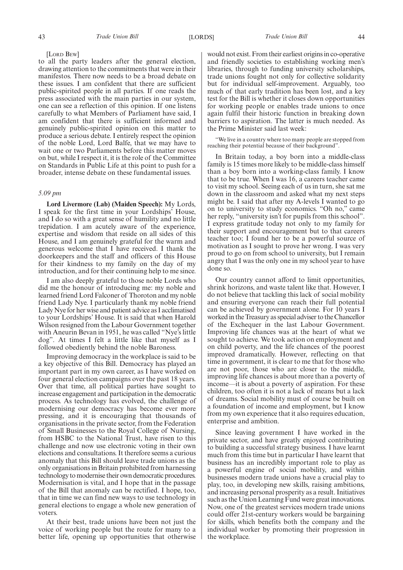# [LORD BEW]

to all the party leaders after the general election, drawing attention to the commitments that were in their manifestos. There now needs to be a broad debate on these issues. I am confident that there are sufficient public-spirited people in all parties. If one reads the press associated with the main parties in our system, one can see a reflection of this opinion. If one listens carefully to what Members of Parliament have said, I am confident that there is sufficient informed and genuinely public-spirited opinion on this matter to produce a serious debate. I entirely respect the opinion of the noble Lord, Lord Balfe, that we may have to wait one or two Parliaments before this matter moves on but, while I respect it, it is the role of the Committee on Standards in Public Life at this point to push for a broader, intense debate on these fundamental issues.

#### *5.09 pm*

**Lord Livermore (Lab) (Maiden Speech):** My Lords, I speak for the first time in your Lordships' House, and I do so with a great sense of humility and no little trepidation. I am acutely aware of the experience, expertise and wisdom that reside on all sides of this House, and I am genuinely grateful for the warm and generous welcome that I have received. I thank the doorkeepers and the staff and officers of this House for their kindness to my family on the day of my introduction, and for their continuing help to me since.

I am also deeply grateful to those noble Lords who did me the honour of introducing me: my noble and learned friend Lord Falconer of Thoroton and my noble friend Lady Nye. I particularly thank my noble friend Lady Nye for her wise and patient advice as I acclimatised to your Lordships' House. It is said that when Harold Wilson resigned from the Labour Government together with Aneurin Bevan in 1951, he was called "Nye's little dog". At times I felt a little like that myself as I followed obediently behind the noble Baroness.

Improving democracy in the workplace is said to be a key objective of this Bill. Democracy has played an important part in my own career, as I have worked on four general election campaigns over the past 18 years. Over that time, all political parties have sought to increase engagement and participation in the democratic process. As technology has evolved, the challenge of modernising our democracy has become ever more pressing, and it is encouraging that thousands of organisations in the private sector, from the Federation of Small Businesses to the Royal College of Nursing, from HSBC to the National Trust, have risen to this challenge and now use electronic voting in their own elections and consultations. It therefore seems a curious anomaly that this Bill should leave trade unions as the only organisations in Britain prohibited from harnessing technology to modernise their own democratic procedures. Modernisation is vital, and I hope that in the passage of the Bill that anomaly can be rectified. I hope, too, that in time we can find new ways to use technology in general elections to engage a whole new generation of voters.

At their best, trade unions have been not just the voice of working people but the route for many to a better life, opening up opportunities that otherwise would not exist. From their earliest origins in co-operative and friendly societies to establishing working men's libraries, through to funding university scholarships, trade unions fought not only for collective solidarity but for individual self-improvement. Arguably, too much of that early tradition has been lost, and a key test for the Bill is whether it closes down opportunities for working people or enables trade unions to once again fulfil their historic function in breaking down barriers to aspiration. The latter is much needed. As the Prime Minister said last week:

"We live in a country where too many people are stopped from reaching their potential because of their background".

In Britain today, a boy born into a middle-class family is 15 times more likely to be middle-class himself than a boy born into a working-class family. I know that to be true. When I was 16, a careers teacher came to visit my school. Seeing each of us in turn, she sat me down in the classroom and asked what my next steps might be. I said that after my A-levels I wanted to go on to university to study economics. "Oh no," came her reply, "university isn't for pupils from this school". I express gratitude today not only to my family for their support and encouragement but to that careers teacher too; I found her to be a powerful source of motivation as I sought to prove her wrong. I was very proud to go on from school to university, but I remain angry that I was the only one in my school year to have done so.

Our country cannot afford to limit opportunities, shrink horizons, and waste talent like that. However, I do not believe that tackling this lack of social mobility and ensuring everyone can reach their full potential can be achieved by government alone. For 10 years I worked in the Treasury as special adviser to the Chancellor of the Exchequer in the last Labour Government. Improving life chances was at the heart of what we sought to achieve. We took action on employment and on child poverty, and the life chances of the poorest improved dramatically. However, reflecting on that time in government, it is clear to me that for those who are not poor, those who are closer to the middle, improving life chances is about more than a poverty of income—it is about a poverty of aspiration. For these children, too often it is not a lack of means but a lack of dreams. Social mobility must of course be built on a foundation of income and employment, but I know from my own experience that it also requires education, enterprise and ambition.

Since leaving government I have worked in the private sector, and have greatly enjoyed contributing to building a successful strategy business. I have learnt much from this time but in particular I have learnt that business has an incredibly important role to play as a powerful engine of social mobility, and within businesses modern trade unions have a crucial play to play, too, in developing new skills, raising ambitions, and increasing personal prosperity as a result. Initiatives such as the Union Learning Fund were great innovations. Now, one of the greatest services modern trade unions could offer 21st-century workers would be bargaining for skills, which benefits both the company and the individual worker by promoting their progression in the workplace.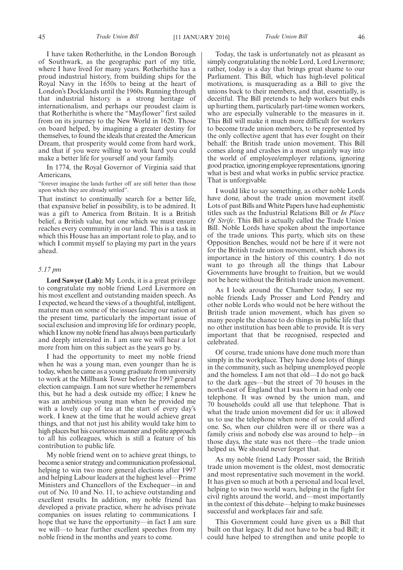I have taken Rotherhithe, in the London Borough of Southwark, as the geographic part of my title, where I have lived for many years. Rotherhithe has a proud industrial history, from building ships for the Royal Navy in the 1650s to being at the heart of London's Docklands until the 1960s. Running through that industrial history is a strong heritage of internationalism, and perhaps our proudest claim is that Rotherhithe is where the "Mayflower" first sailed from on its journey to the New World in 1620. Those on board helped, by imagining a greater destiny for themselves, to found the ideals that created the American Dream, that prosperity would come from hard work, and that if you were willing to work hard you could make a better life for yourself and your family.

In 1774, the Royal Governor of Virginia said that Americans,

"forever imagine the lands further off are still better than those upon which they are already settled".

That instinct to continually search for a better life, that expansive belief in possibility, is to be admired. It was a gift to America from Britain. It is a British belief, a British value, but one which we must ensure reaches every community in our land. This is a task in which this House has an important role to play, and to which I commit myself to playing my part in the years ahead.

#### *5.17 pm*

**Lord Sawyer (Lab):** My Lords, it is a great privilege to congratulate my noble friend Lord Livermore on his most excellent and outstanding maiden speech. As I expected, we heard the views of a thoughtful, intelligent, mature man on some of the issues facing our nation at the present time, particularly the important issue of social exclusion and improving life for ordinary people, which I know my noble friend has always been particularly and deeply interested in. I am sure we will hear a lot more from him on this subject as the years go by.

I had the opportunity to meet my noble friend when he was a young man, even younger than he is today, when he came as a young graduate from university to work at the Millbank Tower before the 1997 general election campaign. I am not sure whether he remembers this, but he had a desk outside my office; I knew he was an ambitious young man when he provided me with a lovely cup of tea at the start of every day's work. I knew at the time that he would achieve great things, and that not just his ability would take him to high places but his courteous manner and polite approach to all his colleagues, which is still a feature of his contribution to public life.

My noble friend went on to achieve great things, to become a senior strategy and communication professional, helping to win two more general elections after 1997 and helping Labour leaders at the highest level—Prime Ministers and Chancellors of the Exchequer—in and out of No. 10 and No. 11, to achieve outstanding and excellent results. In addition, my noble friend has developed a private practice, where he advises private companies on issues relating to communications. I hope that we have the opportunity—in fact I am sure we will—to hear further excellent speeches from my noble friend in the months and years to come.

Today, the task is unfortunately not as pleasant as simply congratulating the noble Lord, Lord Livermore; rather, today is a day that brings great shame to our Parliament. This Bill, which has high-level political motivations, is masquerading as a Bill to give the unions back to their members, and that, essentially, is deceitful. The Bill pretends to help workers but ends up hurting them, particularly part-time women workers, who are especially vulnerable to the measures in it. This Bill will make it much more difficult for workers to become trade union members, to be represented by the only collective agent that has ever fought on their behalf: the British trade union movement. This Bill comes along and crashes in a most ungainly way into the world of employee/employer relations, ignoring good practice, ignoring employee representations, ignoring what is best and what works in public service practice. That is unforgivable.

I would like to say something, as other noble Lords have done, about the trade union movement itself. Lots of past Bills andWhite Papers have had euphemistic titles such as the Industrial Relations Bill or *In Place Of Strife*. This Bill is actually called the Trade Union Bill. Noble Lords have spoken about the importance of the trade unions. This party, which sits on these Opposition Benches, would not be here if it were not for the British trade union movement, which shows its importance in the history of this country. I do not want to go through all the things that Labour Governments have brought to fruition, but we would not be here without the British trade union movement.

As I look around the Chamber today, I see my noble friends Lady Prosser and Lord Pendry and other noble Lords who would not be here without the British trade union movement, which has given so many people the chance to do things in public life that no other institution has been able to provide. It is very important that that be recognised, respected and celebrated.

Of course, trade unions have done much more than simply in the workplace. They have done lots of things in the community, such as helping unemployed people and the homeless. I am not that old—I do not go back to the dark ages—but the street of 70 houses in the north-east of England that I was born in had only one telephone. It was owned by the union man, and 70 households could all use that telephone. That is what the trade union movement did for us: it allowed us to use the telephone when none of us could afford one. So, when our children were ill or there was a family crisis and nobody else was around to help—in those days, the state was not there—the trade union helped us. We should never forget that.

As my noble friend Lady Prosser said, the British trade union movement is the oldest, most democratic and most representative such movement in the world. It has given so much at both a personal and local level, helping to win two world wars, helping in the fight for civil rights around the world, and—most importantly in the context of this debate—helping to make businesses successful and workplaces fair and safe.

This Government could have given us a Bill that built on that legacy. It did not have to be a bad Bill; it could have helped to strengthen and unite people to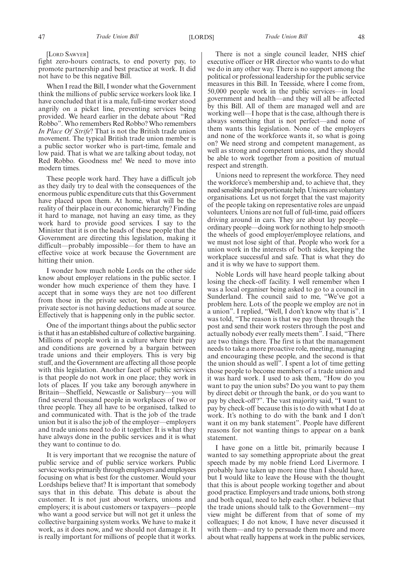fight zero-hours contracts, to end poverty pay, to promote partnership and best practice at work. It did not have to be this negative Bill.

When I read the Bill, I wonder what the Government think the millions of public service workers look like. I have concluded that it is a male, full-time worker stood angrily on a picket line, preventing services being provided. We heard earlier in the debate about "Red Robbo". Who remembers Red Robbo? Who remembers *In Place Of Strife*? That is not the British trade union movement. The typical British trade union member is a public sector worker who is part-time, female and low paid. That is what we are talking about today, not Red Robbo. Goodness me! We need to move into modern times.

These people work hard. They have a difficult job as they daily try to deal with the consequences of the enormous public expenditure cuts that this Government have placed upon them. At home, what will be the reality of their place in our economic hierarchy? Finding it hard to manage, not having an easy time, as they work hard to provide good services. I say to the Minister that it is on the heads of these people that the Government are directing this legislation, making it difficult—probably impossible—for them to have an effective voice at work because the Government are hitting their union.

I wonder how much noble Lords on the other side know about employer relations in the public sector. I wonder how much experience of them they have. I accept that in some ways they are not too different from those in the private sector, but of course the private sector is not having deductions made at source. Effectively that is happening only in the public sector.

One of the important things about the public sector is that it has an established culture of collective bargaining. Millions of people work in a culture where their pay and conditions are governed by a bargain between trade unions and their employers. This is very big stuff, and the Government are affecting all those people with this legislation. Another facet of public services is that people do not work in one place; they work in lots of places. If you take any borough anywhere in Britain—Sheffield, Newcastle or Salisbury—you will find several thousand people in workplaces of two or three people. They all have to be organised, talked to and communicated with. That is the job of the trade union but it is also the job of the employer—employers and trade unions need to do it together. It is what they have always done in the public services and it is what they want to continue to do.

It is very important that we recognise the nature of public service and of public service workers. Public service works primarily through employers and employees focusing on what is best for the customer. Would your Lordships believe that? It is important that somebody says that in this debate. This debate is about the customer. It is not just about workers, unions and employers; it is about customers or taxpayers—people who want a good service but will not get it unless the collective bargaining system works. We have to make it work, as it does now, and we should not damage it. It is really important for millions of people that it works.

There is not a single council leader, NHS chief executive officer or HR director who wants to do what we do in any other way. There is no support among the political or professional leadership for the public service measures in this Bill. In Teesside, where I come from, 50,000 people work in the public services—in local government and health—and they will all be affected by this Bill. All of them are managed well and are working well—I hope that is the case, although there is always something that is not perfect—and none of them wants this legislation. None of the employers and none of the workforce wants it, so what is going on? We need strong and competent management, as well as strong and competent unions, and they should be able to work together from a position of mutual respect and strength.

Unions need to represent the workforce. They need the workforce's membership and, to achieve that, they need sensible and proportionate help.Unions are voluntary organisations. Let us not forget that the vast majority of the people taking on representative roles are unpaid volunteers. Unions are not full of full-time, paid officers driving around in cars. They are about lay people ordinary people—doing work for nothing to help smooth the wheels of good employer/employee relations, and we must not lose sight of that. People who work for a union work in the interests of both sides, keeping the workplace successful and safe. That is what they do and it is why we have to support them.

Noble Lords will have heard people talking about losing the check-off facility. I well remember when I was a local organiser being asked to go to a council in Sunderland. The council said to me, "We've got a problem here. Lots of the people we employ are not in a union". I replied, "Well, I don't know why that is". I was told, "The reason is that we pay them through the post and send their work rosters through the post and actually nobody ever really meets them". I said, "There are two things there. The first is that the management needs to take a more proactive role, meeting, managing and encouraging these people, and the second is that the union should as well". I spent a lot of time getting those people to become members of a trade union and it was hard work. I used to ask them, "How do you want to pay the union subs? Do you want to pay them by direct debit or through the bank, or do you want to pay by check-off ?". The vast majority said, "I want to pay by check-off because this is to do with what I do at work. It's nothing to do with the bank and I don't want it on my bank statement". People have different reasons for not wanting things to appear on a bank statement.

I have gone on a little bit, primarily because I wanted to say something appropriate about the great speech made by my noble friend Lord Livermore. I probably have taken up more time than I should have, but I would like to leave the House with the thought that this is about people working together and about good practice. Employers and trade unions, both strong and both equal, need to help each other. I believe that the trade unions should talk to the Government—my view might be different from that of some of my colleagues; I do not know, I have never discussed it with them—and try to persuade them more and more about what really happens at work in the public services,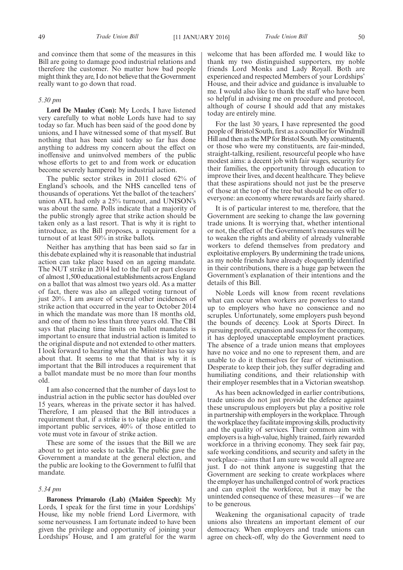and convince them that some of the measures in this Bill are going to damage good industrial relations and therefore the customer. No matter how bad people might think they are, I do not believe that the Government really want to go down that road.

#### *5.30 pm*

**Lord De Mauley (Con):** My Lords, I have listened very carefully to what noble Lords have had to say today so far. Much has been said of the good done by unions, and I have witnessed some of that myself. But nothing that has been said today so far has done anything to address my concern about the effect on inoffensive and uninvolved members of the public whose efforts to get to and from work or education become severely hampered by industrial action.

The public sector strikes in 2011 closed 62% of England's schools, and the NHS cancelled tens of thousands of operations. Yet the ballot of the teachers' union ATL had only a 25% turnout, and UNISON's was about the same. Polls indicate that a majority of the public strongly agree that strike action should be taken only as a last resort. That is why it is right to introduce, as the Bill proposes, a requirement for a turnout of at least 50% in strike ballots.

Neither has anything that has been said so far in this debate explained why it is reasonable that industrial action can take place based on an ageing mandate. The NUT strike in 2014 led to the full or part closure of almost 1,500 educational establishments acrossEngland on a ballot that was almost two years old. As a matter of fact, there was also an alleged voting turnout of just 20%. I am aware of several other incidences of strike action that occurred in the year to October 2014 in which the mandate was more than 18 months old, and one of them no less than three years old. The CBI says that placing time limits on ballot mandates is important to ensure that industrial action is limited to the original dispute and not extended to other matters. I look forward to hearing what the Minister has to say about that. It seems to me that that is why it is important that the Bill introduces a requirement that a ballot mandate must be no more than four months old.

I am also concerned that the number of days lost to industrial action in the public sector has doubled over 15 years, whereas in the private sector it has halved. Therefore, I am pleased that the Bill introduces a requirement that, if a strike is to take place in certain important public services, 40% of those entitled to vote must vote in favour of strike action.

These are some of the issues that the Bill we are about to get into seeks to tackle. The public gave the Government a mandate at the general election, and the public are looking to the Government to fulfil that mandate.

#### *5.34 pm*

**Baroness Primarolo (Lab) (Maiden Speech):** My Lords, I speak for the first time in your Lordships' House, like my noble friend Lord Livermore, with some nervousness. I am fortunate indeed to have been given the privilege and opportunity of joining your Lordships' House, and I am grateful for the warm welcome that has been afforded me. I would like to thank my two distinguished supporters, my noble friends Lord Monks and Lady Royall. Both are experienced and respected Members of your Lordships' House, and their advice and guidance is invaluable to me. I would also like to thank the staff who have been so helpful in advising me on procedure and protocol, although of course I should add that any mistakes today are entirely mine.

For the last 30 years, I have represented the good people of Bristol South, first as a councillor for Windmill Hill and then as the MP for Bristol South. My constituents, or those who were my constituents, are fair-minded, straight-talking, resilient, resourceful people who have modest aims: a decent job with fair wages, security for their families, the opportunity through education to improve their lives, and decent healthcare. They believe that these aspirations should not just be the preserve of those at the top of the tree but should be on offer to everyone: an economy where rewards are fairly shared.

It is of particular interest to me, therefore, that the Government are seeking to change the law governing trade unions. It is worrying that, whether intentional or not, the effect of the Government's measures will be to weaken the rights and ability of already vulnerable workers to defend themselves from predatory and exploitative employers. By undermining the trade unions, as my noble friends have already eloquently identified in their contributions, there is a huge gap between the Government's explanation of their intentions and the details of this Bill.

Noble Lords will know from recent revelations what can occur when workers are powerless to stand up to employers who have no conscience and no scruples. Unfortunately, some employers push beyond the bounds of decency. Look at Sports Direct. In pursuing profit, expansion and success for the company, it has deployed unacceptable employment practices. The absence of a trade union means that employees have no voice and no one to represent them, and are unable to do it themselves for fear of victimisation. Desperate to keep their job, they suffer degrading and humiliating conditions, and their relationship with their employer resembles that in a Victorian sweatshop.

As has been acknowledged in earlier contributions, trade unions do not just provide the defence against these unscrupulous employers but play a positive role in partnership with employers in the workplace. Through the workplace they facilitate improving skills, productivity and the quality of services. Their common aim with employers is a high-value, highly trained, fairly rewarded workforce in a thriving economy. They seek fair pay, safe working conditions, and security and safety in the workplace—aims that I am sure we would all agree are just. I do not think anyone is suggesting that the Government are seeking to create workplaces where the employer has unchallenged control of work practices and can exploit the workforce, but it may be the unintended consequence of these measures—if we are to be generous.

Weakening the organisational capacity of trade unions also threatens an important element of our democracy. When employers and trade unions can agree on check-off, why do the Government need to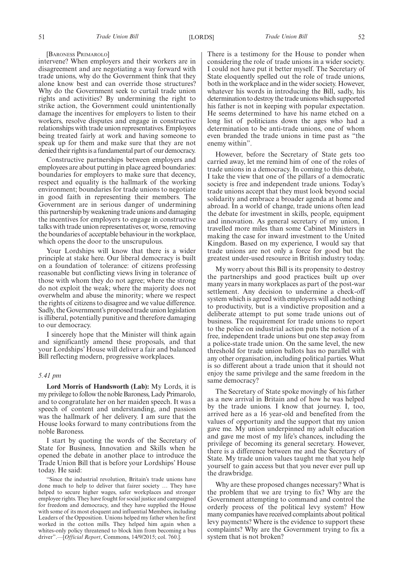#### [BARONESS PRIMAROLO]

intervene? When employers and their workers are in disagreement and are negotiating a way forward with trade unions, why do the Government think that they alone know best and can override those structures? Why do the Government seek to curtail trade union rights and activities? By undermining the right to strike action, the Government could unintentionally damage the incentives for employers to listen to their workers, resolve disputes and engage in constructive relationships with trade union representatives. Employees being treated fairly at work and having someone to speak up for them and make sure that they are not denied their rights is a fundamental part of our democracy.

Constructive partnerships between employers and employees are about putting in place agreed boundaries: boundaries for employers to make sure that decency, respect and equality is the hallmark of the working environment; boundaries for trade unions to negotiate in good faith in representing their members. The Government are in serious danger of undermining this partnership by weakening trade unions and damaging the incentives for employers to engage in constructive talks with trade union representatives or, worse, removing the boundaries of acceptable behaviour in the workplace, which opens the door to the unscrupulous.

Your Lordships will know that there is a wider principle at stake here. Our liberal democracy is built on a foundation of tolerance: of citizens professing reasonable but conflicting views living in tolerance of those with whom they do not agree; where the strong do not exploit the weak; where the majority does not overwhelm and abuse the minority; where we respect the rights of citizens to disagree and we value difference. Sadly, the Government's proposed trade union legislation is illiberal, potentially punitive and therefore damaging to our democracy.

I sincerely hope that the Minister will think again and significantly amend these proposals, and that your Lordships' House will deliver a fair and balanced Bill reflecting modern, progressive workplaces.

#### *5.41 pm*

**Lord Morris of Handsworth (Lab):** My Lords, it is my privilege to follow the noble Baroness, Lady Primarolo, and to congratulate her on her maiden speech. It was a speech of content and understanding, and passion was the hallmark of her delivery. I am sure that the House looks forward to many contributions from the noble Baroness.

I start by quoting the words of the Secretary of State for Business, Innovation and Skills when he opened the debate in another place to introduce the Trade Union Bill that is before your Lordships' House today. He said:

"Since the industrial revolution, Britain's trade unions have done much to help to deliver that fairer society … They have helped to secure higher wages, safer workplaces and stronger employee rights. They have fought for social justice and campaigned for freedom and democracy, and they have supplied the House with some of its most eloquent and influential Members, including Leaders of the Opposition. Unions helped my father when he first worked in the cotton mills. They helped him again when a whites-only policy threatened to block him from becoming a bus driver".—[*Official Report*, Commons, 14/9/2015; col. 760.].

There is a testimony for the House to ponder when considering the role of trade unions in a wider society. I could not have put it better myself. The Secretary of State eloquently spelled out the role of trade unions, both in the workplace and in the wider society. However, whatever his words in introducing the Bill, sadly, his determination to destroy the trade unions which supported his father is not in keeping with popular expectation. He seems determined to have his name etched on a long list of politicians down the ages who had a determination to be anti-trade unions, one of whom even branded the trade unions in time past as "the enemy within".

However, before the Secretary of State gets too carried away, let me remind him of one of the roles of trade unions in a democracy. In coming to this debate, I take the view that one of the pillars of a democratic society is free and independent trade unions. Today's trade unions accept that they must look beyond social solidarity and embrace a broader agenda at home and abroad. In a world of change, trade unions often lead the debate for investment in skills, people, equipment and innovation. As general secretary of my union, I travelled more miles than some Cabinet Ministers in making the case for inward investment to the United Kingdom. Based on my experience, I would say that trade unions are not only a force for good but the greatest under-used resource in British industry today.

My worry about this Bill is its propensity to destroy the partnerships and good practices built up over many years in many workplaces as part of the post-war settlement. Any decision to undermine a check-off system which is agreed with employers will add nothing to productivity, but is a vindictive proposition and a deliberate attempt to put some trade unions out of business. The requirement for trade unions to report to the police on industrial action puts the notion of a free, independent trade unions but one step away from a police-state trade union. On the same level, the new threshold for trade union ballots has no parallel with any other organisation, including political parties. What is so different about a trade union that it should not enjoy the same privilege and the same freedom in the same democracy?

The Secretary of State spoke movingly of his father as a new arrival in Britain and of how he was helped by the trade unions. I know that journey. I, too, arrived here as a 16 year-old and benefited from the values of opportunity and the support that my union gave me. My union underpinned my adult education and gave me most of my life's chances, including the privilege of becoming its general secretary. However, there is a difference between me and the Secretary of State. My trade union values taught me that you help yourself to gain access but that you never ever pull up the drawbridge.

Why are these proposed changes necessary? What is the problem that we are trying to fix? Why are the Government attempting to command and control the orderly process of the political levy system? How many companies have received complaints about political levy payments? Where is the evidence to support these complaints? Why are the Government trying to fix a system that is not broken?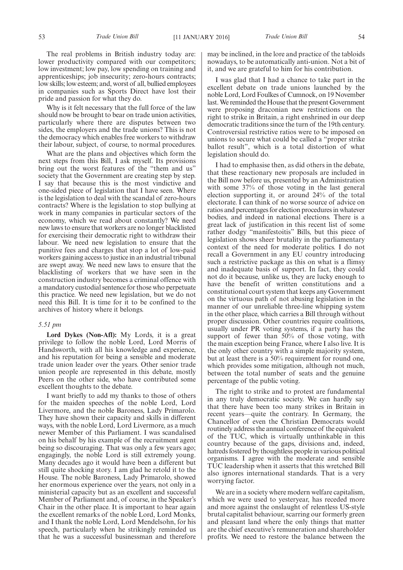The real problems in British industry today are: lower productivity compared with our competitors; low investment; low pay, low spending on training and apprenticeships; job insecurity; zero-hours contracts; low skills; low esteem; and, worst of all, bullied employees in companies such as Sports Direct have lost their pride and passion for what they do.

Why is it felt necessary that the full force of the law should now be brought to bear on trade union activities, particularly where there are disputes between two sides, the employers and the trade unions? This is not the democracy which enables free workers to withdraw their labour, subject, of course, to normal procedures.

What are the plans and objectives which form the next steps from this Bill, I ask myself. Its provisions bring out the worst features of the "them and us" society that the Government are creating step by step. I say that because this is the most vindictive and one-sided piece of legislation that I have seen. Where is the legislation to deal with the scandal of zero-hours contracts? Where is the legislation to stop bullying at work in many companies in particular sectors of the economy, which we read about constantly? We need new laws to ensure that workers are no longer blacklisted for exercising their democratic right to withdraw their labour. We need new legislation to ensure that the punitive fees and charges that stop a lot of low-paid workers gaining access to justice in an industrial tribunal are swept away. We need new laws to ensure that the blacklisting of workers that we have seen in the construction industry becomes a criminal offence with a mandatory custodial sentence for those who perpetuate this practice. We need new legislation, but we do not need this Bill. It is time for it to be confined to the archives of history where it belongs.

#### *5.51 pm*

**Lord Dykes (Non-Afl):** My Lords, it is a great privilege to follow the noble Lord, Lord Morris of Handsworth, with all his knowledge and experience, and his reputation for being a sensible and moderate trade union leader over the years. Other senior trade union people are represented in this debate, mostly Peers on the other side, who have contributed some excellent thoughts to the debate.

I want briefly to add my thanks to those of others for the maiden speeches of the noble Lord, Lord Livermore, and the noble Baroness, Lady Primarolo. They have shown their capacity and skills in different ways, with the noble Lord, Lord Livermore, as a much newer Member of this Parliament. I was scandalised on his behalf by his example of the recruitment agent being so discouraging. That was only a few years ago; engagingly, the noble Lord is still extremely young. Many decades ago it would have been a different but still quite shocking story. I am glad he retold it to the House. The noble Baroness, Lady Primarolo, showed her enormous experience over the years, not only in a ministerial capacity but as an excellent and successful Member of Parliament and, of course, in the Speaker's Chair in the other place. It is important to hear again the excellent remarks of the noble Lord, Lord Monks, and I thank the noble Lord, Lord Mendelsohn, for his speech, particularly when he strikingly reminded us that he was a successful businessman and therefore

may be inclined, in the lore and practice of the tabloids nowadays, to be automatically anti-union. Not a bit of it, and we are grateful to him for his contribution.

I was glad that I had a chance to take part in the excellent debate on trade unions launched by the noble Lord, Lord Foulkes of Cumnock, on 19 November last.We reminded the House that the present Government were proposing draconian new restrictions on the right to strike in Britain, a right enshrined in our deep democratic traditions since the turn of the 19th century. Controversial restrictive ratios were to be imposed on unions to secure what could be called a "proper strike ballot result", which is a total distortion of what legislation should do.

I had to emphasise then, as did others in the debate, that these reactionary new proposals are included in the Bill now before us, presented by an Administration with some 37% of those voting in the last general election supporting it, or around 24% of the total electorate. I can think of no worse source of advice on ratios and percentages for election procedures in whatever bodies, and indeed in national elections. There is a great lack of justification in this recent list of some rather dodgy "manifestoitis" Bills, but this piece of legislation shows sheer brutality in the parliamentary context of the need for moderate politics. I do not recall a Government in any EU country introducing such a restrictive package as this on what is a flimsy and inadequate basis of support. In fact, they could not do it because, unlike us, they are lucky enough to have the benefit of written constitutions and a constitutional court system that keeps any Government on the virtuous path of not abusing legislation in the manner of our unreliable three-line whipping system in the other place, which carries a Bill through without proper discussion. Other countries require coalitions, usually under PR voting systems, if a party has the support of fewer than 50% of those voting, with the main exception being France, where I also live. It is the only other country with a simple majority system, but at least there is a 50% requirement for round one, which provides some mitigation, although not much, between the total number of seats and the genuine percentage of the public voting.

The right to strike and to protest are fundamental in any truly democratic society. We can hardly say that there have been too many strikes in Britain in recent years—quite the contrary. In Germany, the Chancellor of even the Christian Democrats would routinely address the annual conference of the equivalent of the TUC, which is virtually unthinkable in this country because of the gaps, divisions and, indeed, hatreds fostered by thoughtless people in various political organisms. I agree with the moderate and sensible TUC leadership when it asserts that this wretched Bill also ignores international standards. That is a very worrying factor.

We are in a society where modern welfare capitalism, which we were used to yesteryear, has receded more and more against the onslaught of relentless US-style brutal capitalist behaviour, scarring our formerly green and pleasant land where the only things that matter are the chief executive's remuneration and shareholder profits. We need to restore the balance between the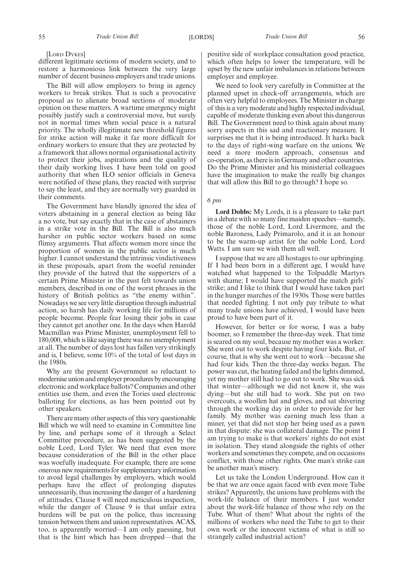[LORD DYKES]

different legitimate sections of modern society, and to restore a harmonious link between the very large number of decent business employers and trade unions.

The Bill will allow employers to bring in agency workers to break strikes. That is such a provocative proposal as to alienate broad sections of moderate opinion on these matters. A wartime emergency might possibly justify such a controversial move, but surely not in normal times when social peace is a natural priority. The wholly illegitimate new threshold figures for strike action will make it far more difficult for ordinary workers to ensure that they are protected by a framework that allows normal organisational activity to protect their jobs, aspirations and the quality of their daily working lives. I have been told on good authority that when ILO senior officials in Geneva were notified of these plans, they reacted with surprise to say the least, and they are normally very guarded in their comments.

The Government have blandly ignored the idea of voters abstaining in a general election as being like a no vote, but say exactly that in the case of abstainers in a strike vote in the Bill. The Bill is also much harsher on public sector workers based on some flimsy arguments. That affects women more since the proportion of women in the public sector is much higher. I cannot understand the intrinsic vindictiveness in these proposals, apart from the woeful reminder they provide of the hatred that the supporters of a certain Prime Minister in the past felt towards union members, described in one of the worst phrases in the history of British politics as "the enemy within". Nowadays we see very little disruption through industrial action, so harsh has daily working life for millions of people become. People fear losing their jobs in case they cannot get another one. In the days when Harold Macmillan was Prime Minister, unemployment fell to 180,000, which is like saying there was no unemployment at all. The number of days lost has fallen very strikingly and is, I believe, some 10% of the total of lost days in the 1980s.

Why are the present Government so reluctant to modernise union and employer procedures by encouraging electronic and workplace ballots? Companies and other entities use them, and even the Tories used electronic balloting for elections, as has been pointed out by other speakers.

There are many other aspects of this very questionable Bill which we will need to examine in Committee line by line, and perhaps some of it through a Select Committee procedure, as has been suggested by the noble Lord, Lord Tyler. We need that even more because consideration of the Bill in the other place was woefully inadequate. For example, there are some onerous new requirements for supplementary information to avoid legal challenges by employers, which would perhaps have the effect of prolonging disputes unnecessarily, thus increasing the danger of a hardening of attitudes. Clause 8 will need meticulous inspection, while the danger of Clause 9 is that unfair extra burdens will be put on the police, thus increasing tension between them and union representatives. ACAS, too, is apparently worried—I am only guessing, but that is the hint which has been dropped—that the

positive side of workplace consultation good practice, which often helps to lower the temperature, will be upset by the new unfair imbalances in relations between employer and employee.

We need to look very carefully in Committee at the planned upset in check-off arrangements, which are often very helpful to employees. The Minister in charge of this is a very moderate and highly respected individual, capable of moderate thinking even about this dangerous Bill. The Government need to think again about many sorry aspects in this sad and reactionary measure. It surprises me that it is being introduced. It harks back to the days of right-wing warfare on the unions. We need a more modern approach, consensus and co-operation, as there is in Germany and other countries. Do the Prime Minister and his ministerial colleagues have the imagination to make the really big changes that will allow this Bill to go through? I hope so.

#### *6 pm*

**Lord Dobbs:** My Lords, it is a pleasure to take part in a debate with so many fine maiden speeches—namely, those of the noble Lord, Lord Livermore, and the noble Baroness, Lady Primarolo, and it is an honour to be the warm-up artist for the noble Lord, Lord Watts. I am sure we wish them all well.

I suppose that we are all hostages to our upbringing. If I had been born in a different age, I would have watched what happened to the Tolpuddle Martyrs with shame; I would have supported the match girls' strike; and I like to think that I would have taken part in the hunger marches of the 1930s. Those were battles that needed fighting. I not only pay tribute to what many trade unions have achieved, I would have been proud to have been part of it.

However, for better or for worse, I was a baby boomer, so I remember the three-day week. That time is seared on my soul, because my mother was a worker. She went out to work despite having four kids. But, of course, that is why she went out to work—because she had four kids. Then the three-day weeks began. The power was cut, the heating failed and the lights dimmed, yet my mother still had to go out to work. She was sick that winter—although we did not know it, she was dying—but she still had to work. She put on two overcoats, a woollen hat and gloves, and sat shivering through the working day in order to provide for her family. My mother was earning much less than a miner, yet that did not stop her being used as a pawn in that dispute: she was collateral damage. The point I am trying to make is that workers' rights do not exist in isolation. They stand alongside the rights of other workers and sometimes they compete, and on occasions conflict, with those other rights. One man's strike can be another man's misery.

Let us take the London Underground. How can it be that we are once again faced with even more Tube strikes? Apparently, the unions have problems with the work-life balance of their members. I just wonder about the work-life balance of those who rely on the Tube. What of them? What about the rights of the millions of workers who need the Tube to get to their own work or the innocent victims of what is still so strangely called industrial action?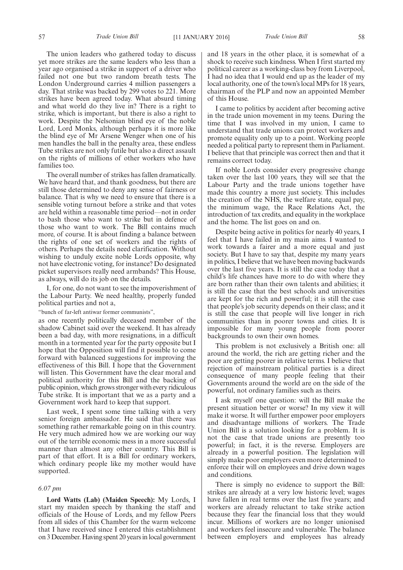The union leaders who gathered today to discuss yet more strikes are the same leaders who less than a year ago organised a strike in support of a driver who failed not one but two random breath tests. The London Underground carries 4 million passengers a day. That strike was backed by 299 votes to 221. More strikes have been agreed today. What absurd timing and what world do they live in? There is a right to strike, which is important, but there is also a right to work. Despite the Nelsonian blind eye of the noble Lord, Lord Monks, although perhaps it is more like the blind eye of Mr Arsene Wenger when one of his men handles the ball in the penalty area, these endless Tube strikes are not only futile but also a direct assault on the rights of millions of other workers who have families too.

The overall number of strikes has fallen dramatically. We have heard that, and thank goodness, but there are still those determined to deny any sense of fairness or balance. That is why we need to ensure that there is a sensible voting turnout before a strike and that votes are held within a reasonable time period—not in order to bash those who want to strike but in defence of those who want to work. The Bill contains much more, of course. It is about finding a balance between the rights of one set of workers and the rights of others. Perhaps the details need clarification. Without wishing to unduly excite noble Lords opposite, why not have electronic voting, for instance? Do designated picket supervisors really need armbands? This House, as always, will do its job on the details.

I, for one, do not want to see the impoverishment of the Labour Party. We need healthy, properly funded political parties and not a,

"bunch of far-left antiwar former communists",

as one recently politically deceased member of the shadow Cabinet said over the weekend. It has already been a bad day, with more resignations, in a difficult month in a tormented year for the party opposite but I hope that the Opposition will find it possible to come forward with balanced suggestions for improving the effectiveness of this Bill. I hope that the Government will listen. This Government have the clear moral and political authority for this Bill and the backing of public opinion, which grows stronger with every ridiculous Tube strike. It is important that we as a party and a Government work hard to keep that support.

Last week. I spent some time talking with a very senior foreign ambassador. He said that there was something rather remarkable going on in this country. He very much admired how we are working our way out of the terrible economic mess in a more successful manner than almost any other country. This Bill is part of that effort. It is a Bill for ordinary workers, which ordinary people like my mother would have supported.

## *6.07 pm*

**Lord Watts (Lab) (Maiden Speech):** My Lords, I start my maiden speech by thanking the staff and officials of the House of Lords, and my fellow Peers from all sides of this Chamber for the warm welcome that I have received since I entered this establishment on 3 December. Having spent 20 years in local government and 18 years in the other place, it is somewhat of a shock to receive such kindness. When I first started my political career as a working-class boy from Liverpool, I had no idea that I would end up as the leader of my local authority, one of the town's local MPs for 18 years, chairman of the PLP and now an appointed Member of this House.

I came to politics by accident after becoming active in the trade union movement in my teens. During the time that I was involved in my union, I came to understand that trade unions can protect workers and promote equality only up to a point. Working people needed a political party to represent them in Parliament. I believe that that principle was correct then and that it remains correct today.

If noble Lords consider every progressive change taken over the last 100 years, they will see that the Labour Party and the trade unions together have made this country a more just society. This includes the creation of the NHS, the welfare state, equal pay, the minimum wage, the Race Relations Act, the introduction of tax credits, and equality in the workplace and the home. The list goes on and on.

Despite being active in politics for nearly 40 years, I feel that I have failed in my main aims. I wanted to work towards a fairer and a more equal and just society. But I have to say that, despite my many years in politics, I believe that we have been moving backwards over the last five years. It is still the case today that a child's life chances have more to do with where they are born rather than their own talents and abilities; it is still the case that the best schools and universities are kept for the rich and powerful; it is still the case that people's job security depends on their class; and it is still the case that people will live longer in rich communities than in poorer towns and cities. It is impossible for many young people from poorer backgrounds to own their own homes.

This problem is not exclusively a British one: all around the world, the rich are getting richer and the poor are getting poorer in relative terms. I believe that rejection of mainstream political parties is a direct consequence of many people feeling that their Governments around the world are on the side of the powerful, not ordinary families such as theirs.

I ask myself one question: will the Bill make the present situation better or worse? In my view it will make it worse. It will further empower poor employers and disadvantage millions of workers. The Trade Union Bill is a solution looking for a problem. It is not the case that trade unions are presently too powerful; in fact, it is the reverse. Employers are already in a powerful position. The legislation will simply make poor employers even more determined to enforce their will on employees and drive down wages and conditions.

There is simply no evidence to support the Bill: strikes are already at a very low historic level; wages have fallen in real terms over the last five years; and workers are already reluctant to take strike action because they fear the financial loss that they would incur. Millions of workers are no longer unionised and workers feel insecure and vulnerable. The balance between employers and employees has already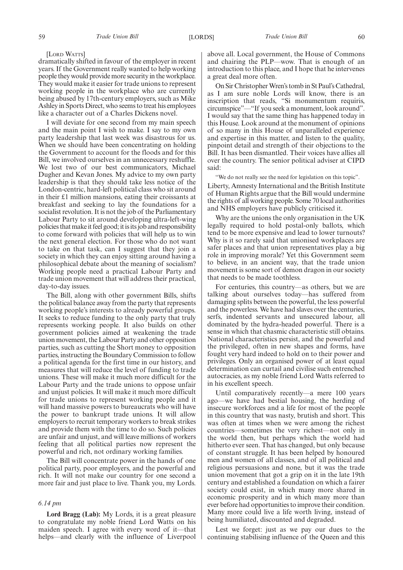[LORD WATTS]

dramatically shifted in favour of the employer in recent years. If the Government really wanted to help working people they would provide more security in the workplace. They would make it easier for trade unions to represent working people in the workplace who are currently being abused by 17th-century employers, such as Mike Ashley in Sports Direct, who seems to treat his employees like a character out of a Charles Dickens novel.

I will deviate for one second from my main speech and the main point I wish to make. I say to my own party leadership that last week was disastrous for us. When we should have been concentrating on holding the Government to account for the floods and for this Bill, we involved ourselves in an unnecessary reshuffle. We lost two of our best communicators, Michael Dugher and Kevan Jones. My advice to my own party leadership is that they should take less notice of the London-centric, hard-left political class who sit around in their £1 million mansions, eating their croissants at breakfast and seeking to lay the foundations for a socialist revolution. It is not the job of the Parliamentary Labour Party to sit around developing ultra-left-wing policies that make it feel good; it is its job and responsibility to come forward with policies that will help us to win the next general election. For those who do not want to take on that task, can I suggest that they join a society in which they can enjoy sitting around having a philosophical debate about the meaning of socialism? Working people need a practical Labour Party and trade union movement that will address their practical, day-to-day issues.

The Bill, along with other government Bills, shifts the political balance away from the party that represents working people's interests to already powerful groups. It seeks to reduce funding to the only party that truly represents working people. It also builds on other government policies aimed at weakening the trade union movement, the Labour Party and other opposition parties, such as cutting the Short money to opposition parties, instructing the Boundary Commission to follow a political agenda for the first time in our history, and measures that will reduce the level of funding to trade unions. These will make it much more difficult for the Labour Party and the trade unions to oppose unfair and unjust policies. It will make it much more difficult for trade unions to represent working people and it will hand massive powers to bureaucrats who will have the power to bankrupt trade unions. It will allow employers to recruit temporary workers to break strikes and provide them with the time to do so. Such policies are unfair and unjust, and will leave millions of workers feeling that all political parties now represent the powerful and rich, not ordinary working families.

The Bill will concentrate power in the hands of one political party, poor employers, and the powerful and rich. It will not make our country for one second a more fair and just place to live. Thank you, my Lords.

## *6.14 pm*

**Lord Bragg (Lab):** My Lords, it is a great pleasure to congratulate my noble friend Lord Watts on his maiden speech. I agree with every word of it—that helps—and clearly with the influence of Liverpool above all. Local government, the House of Commons and chairing the PLP—wow. That is enough of an introduction to this place, and I hope that he intervenes a great deal more often.

On Sir Christopher Wren's tomb in St Paul's Cathedral, as I am sure noble Lords will know, there is an inscription that reads, "Si monumentum requiris, circumspice"—"If you seek a monument, look around". I would say that the same thing has happened today in this House. Look around at the monument of opinions of so many in this House of unparalleled experience and expertise in this matter, and listen to the quality, pinpoint detail and strength of their objections to the Bill. It has been dismantled. Their voices have allies all over the country. The senior political adviser at CIPD said:

"We do not really see the need for legislation on this topic".

Liberty, Amnesty International and the British Institute of Human Rights argue that the Bill would undermine the rights of all working people. Some 70 local authorities and NHS employers have publicly criticised it.

Why are the unions the only organisation in the UK legally required to hold postal-only ballots, which tend to be more expensive and lead to lower turnouts? Why is it so rarely said that unionised workplaces are safer places and that union representatives play a big role in improving morale? Yet this Government seem to believe, in an ancient way, that the trade union movement is some sort of demon dragon in our society that needs to be made toothless.

For centuries, this country—as others, but we are talking about ourselves today—has suffered from damaging splits between the powerful, the less powerful and the powerless. We have had slaves over the centuries, serfs, indented servants and unsecured labour, all dominated by the hydra-headed powerful. There is a sense in which that chasmic characteristic still obtains. National characteristics persist, and the powerful and the privileged, often in new shapes and forms, have fought very hard indeed to hold on to their power and privileges. Only an organised power of at least equal determination can curtail and civilise such entrenched autocracies, as my noble friend Lord Watts referred to in his excellent speech.

Until comparatively recently—a mere 100 years ago—we have had bestial housing, the herding of insecure workforces and a life for most of the people in this country that was nasty, brutish and short. This was often at times when we were among the richest countries—sometimes the very richest—not only in the world then, but perhaps which the world had hitherto ever seen. That has changed, but only because of constant struggle. It has been helped by honoured men and women of all classes, and of all political and religious persuasions and none, but it was the trade union movement that got a grip on it in the late 19th century and established a foundation on which a fairer society could exist, in which many more shared in economic prosperity and in which many more than ever before had opportunities to improve their condition. Many more could live a life worth living, instead of being humiliated, discounted and degraded.

Lest we forget: just as we pay our dues to the continuing stabilising influence of the Queen and this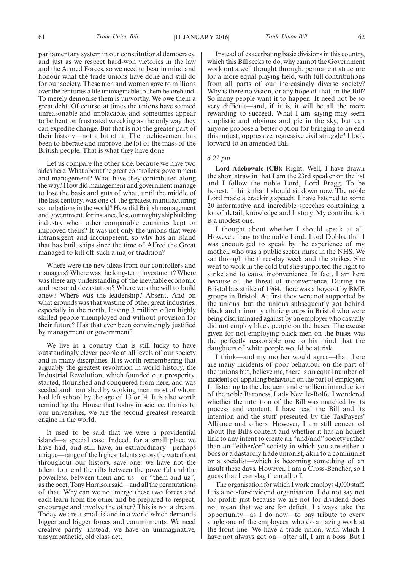parliamentary system in our constitutional democracy, and just as we respect hard-won victories in the law and the Armed Forces, so we need to bear in mind and honour what the trade unions have done and still do for our society. These men and women gave to millions over the centuries a life unimaginable to them beforehand. To merely demonise them is unworthy. We owe them a great debt. Of course, at times the unions have seemed unreasonable and implacable, and sometimes appear to be bent on frustrated wrecking as the only way they can expedite change. But that is not the greater part of their history—not a bit of it. Their achievement has been to liberate and improve the lot of the mass of the British people. That is what they have done.

Let us compare the other side, because we have two sides here. What about the great controllers: government and management? What have they contributed along the way? How did management and government manage to lose the basis and guts of what, until the middle of the last century, was one of the greatest manufacturing conurbations in the world? How did British management and government, for instance, lose our mighty shipbuilding industry when other comparable countries kept or improved theirs? It was not only the unions that were intransigent and incompetent, so why has an island that has built ships since the time of Alfred the Great managed to kill off such a major tradition?

Where were the new ideas from our controllers and managers? Where was the long-term investment? Where was there any understanding of the inevitable economic and personal devastation? Where was the will to build anew? Where was the leadership? Absent. And on what grounds was that wasting of other great industries, especially in the north, leaving 3 million often highly skilled people unemployed and without provision for their future? Has that ever been convincingly justified by management or government?

We live in a country that is still lucky to have outstandingly clever people at all levels of our society and in many disciplines. It is worth remembering that arguably the greatest revolution in world history, the Industrial Revolution, which founded our prosperity, started, flourished and conquered from here, and was seeded and nourished by working men, most of whom had left school by the age of 13 or l4. It is also worth reminding the House that today in science, thanks to our universities, we are the second greatest research engine in the world.

It used to be said that we were a providential island—a special case. Indeed, for a small place we have had, and still have, an extraordinary—perhaps unique—range of the highest talents across the waterfront throughout our history, save one: we have not the talent to mend the rifts between the powerful and the powerless, between them and us—or "them and uz", as the poet, Tony Harrison said—and all the permutations of that. Why can we not merge these two forces and each learn from the other and be prepared to respect, encourage and involve the other? This is not a dream. Today we are a small island in a world which demands bigger and bigger forces and commitments. We need creative parity: instead, we have an unimaginative, unsympathetic, old class act.

Instead of exacerbating basic divisions in this country, which this Bill seeks to do, why cannot the Government work out a well thought through, permanent structure for a more equal playing field, with full contributions from all parts of our increasingly diverse society? Why is there no vision, or any hope of that, in the Bill? So many people want it to happen. It need not be so very difficult—and, if it is, it will be all the more rewarding to succeed. What I am saying may seem simplistic and obvious and pie in the sky, but can anyone propose a better option for bringing to an end this unjust, oppressive, regressive civil struggle? I look forward to an amended Bill.

#### *6.22 pm*

**Lord Adebowale (CB):** Right. Well, I have drawn the short straw in that I am the 23rd speaker on the list and I follow the noble Lord, Lord Bragg. To be honest, I think that I should sit down now. The noble Lord made a cracking speech. I have listened to some 20 informative and incredible speeches containing a lot of detail, knowledge and history. My contribution is a modest one.

I thought about whether I should speak at all. However, I say to the noble Lord, Lord Dobbs, that I was encouraged to speak by the experience of my mother, who was a public sector nurse in the NHS. We sat through the three-day week and the strikes. She went to work in the cold but she supported the right to strike and to cause inconvenience. In fact, I am here because of the threat of inconvenience. During the Bristol bus strike of 1964, there was a boycott by BME groups in Bristol. At first they were not supported by the unions, but the unions subsequently got behind black and minority ethnic groups in Bristol who were being discriminated against by an employer who casually did not employ black people on the buses. The excuse given for not employing black men on the buses was the perfectly reasonable one to his mind that the daughters of white people would be at risk.

I think—and my mother would agree—that there are many incidents of poor behaviour on the part of the unions but, believe me, there is an equal number of incidents of appalling behaviour on the part of employers. In listening to the eloquent and emollient introduction of the noble Baroness, Lady Neville-Rolfe, I wondered whether the intention of the Bill was matched by its process and content. I have read the Bill and its intention and the stuff presented by the TaxPayers' Alliance and others. However, I am still concerned about the Bill's content and whether it has an honest link to any intent to create an "and/and" society rather than an "either/or" society in which you are either a boss or a dastardly trade unionist, akin to a communist or a socialist—which is becoming something of an insult these days. However, I am a Cross-Bencher, so I guess that I can slag them all off.

The organisation for which I work employs 4,000 staff. It is a not-for-dividend organisation. I do not say not for profit: just because we are not for dividend does not mean that we are for deficit. I always take the opportunity—as I do now—to pay tribute to every single one of the employees, who do amazing work at the front line. We have a trade union, with which I have not always got on—after all, I am a boss. But I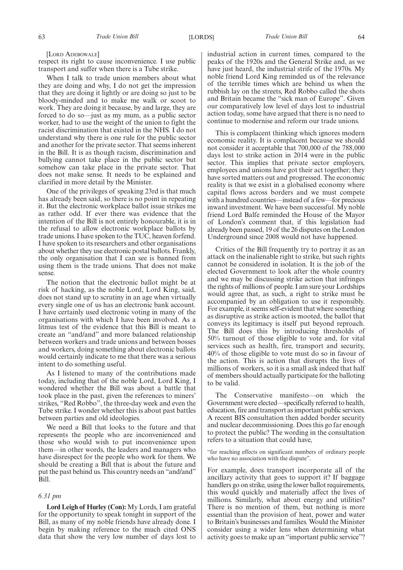[LORD ADEBOWALE]

respect its right to cause inconvenience. I use public transport and suffer when there is a Tube strike.

When I talk to trade union members about what they are doing and why, I do not get the impression that they are doing it lightly or are doing so just to be bloody-minded and to make me walk or scoot to work. They are doing it because, by and large, they are forced to do so—just as my mum, as a public sector worker, had to use the weight of the union to fight the racist discrimination that existed in the NHS. I do not understand why there is one rule for the public sector and another for the private sector. That seems inherent in the Bill. It is as though racism, discrimination and bullying cannot take place in the public sector but somehow can take place in the private sector. That does not make sense. It needs to be explained and clarified in more detail by the Minister.

One of the privileges of speaking 23rd is that much has already been said, so there is no point in repeating it. But the electronic workplace ballot issue strikes me as rather odd. If ever there was evidence that the intention of the Bill is not entirely honourable, it is in the refusal to allow electronic workplace ballots by trade unions. I have spoken to the TUC, heaven forfend. I have spoken to its researchers and other organisations about whether they use electronic postal ballots. Frankly, the only organisation that I can see is banned from using them is the trade unions. That does not make sense.

The notion that the electronic ballot might be at risk of hacking, as the noble Lord, Lord King, said, does not stand up to scrutiny in an age when virtually every single one of us has an electronic bank account. I have certainly used electronic voting in many of the organisations with which I have been involved. As a litmus test of the evidence that this Bill is meant to create an "and/and" and more balanced relationship between workers and trade unions and between bosses and workers, doing something about electronic ballots would certainly indicate to me that there was a serious intent to do something useful.

As I listened to many of the contributions made today, including that of the noble Lord, Lord King, I wondered whether the Bill was about a battle that took place in the past, given the references to miners' strikes, "Red Robbo", the three-day week and even the Tube strike. I wonder whether this is about past battles between parties and old ideologies.

We need a Bill that looks to the future and that represents the people who are inconvenienced and those who would wish to put inconvenience upon them—in other words, the leaders and managers who have disrespect for the people who work for them. We should be creating a Bill that is about the future and put the past behind us. This country needs an "and/and" Bill.

#### *6.31 pm*

**Lord Leigh of Hurley (Con):** My Lords, I am grateful for the opportunity to speak tonight in support of the Bill, as many of my noble friends have already done. I begin by making reference to the much cited ONS data that show the very low number of days lost to industrial action in current times, compared to the peaks of the 1920s and the General Strike and, as we have just heard, the industrial strife of the 1970s. My noble friend Lord King reminded us of the relevance of the terrible times which are behind us when the rubbish lay on the streets, Red Robbo called the shots and Britain became the "sick man of Europe". Given our comparatively low level of days lost to industrial action today, some have argued that there is no need to continue to modernise and reform our trade unions.

This is complacent thinking which ignores modern economic reality. It is complacent because we should not consider it acceptable that 700,000 of the 788,000 days lost to strike action in 2014 were in the public sector. This implies that private sector employers, employees and unions have got their act together; they have sorted matters out and progressed. The economic reality is that we exist in a globalised economy where capital flows across borders and we must compete with a hundred countries—instead of a few—for precious inward investment. We have been successful. My noble friend Lord Balfe reminded the House of the Mayor of London's comment that, if this legislation had already been passed, 19 of the 26 disputes on the London Underground since 2008 would not have happened.

Critics of the Bill frequently try to portray it as an attack on the inalienable right to strike, but such rights cannot be considered in isolation. It is the job of the elected Government to look after the whole country and we may be discussing strike action that infringes the rights of millions of people. I am sure your Lordships would agree that, as such, a right to strike must be accompanied by an obligation to use it responsibly. For example, it seems self-evident that where something as disruptive as strike action is mooted, the ballot that conveys its legitimacy is itself put beyond reproach. The Bill does this by introducing thresholds of 50% turnout of those eligible to vote and, for vital services such as health, fire, transport and security, 40% of those eligible to vote must do so in favour of the action. This is action that disrupts the lives of millions of workers, so it is a small ask indeed that half of members should actually participate for the balloting to be valid.

The Conservative manifesto—on which the Government were elected—specifically referred to health, education, fire and transport as important public services. A recent BIS consultation then added border security and nuclear decommissioning. Does this go far enough to protect the public? The wording in the consultation refers to a situation that could have,

"far reaching effects on significant numbers of ordinary people who have no association with the dispute".

For example, does transport incorporate all of the ancillary activity that goes to support it? If baggage handlers go on strike, using the lower ballot requirements, this would quickly and materially affect the lives of millions. Similarly, what about energy and utilities? There is no mention of them, but nothing is more essential than the provision of heat, power and water to Britain's businesses and families. Would the Minister consider using a wider lens when determining what activity goes to make up an "important public service"?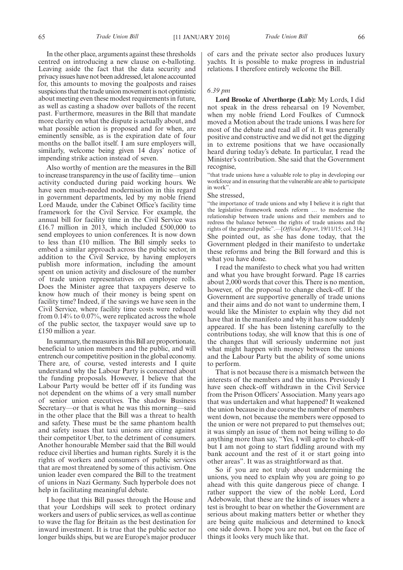In the other place, arguments against these thresholds centred on introducing a new clause on e-balloting. Leaving aside the fact that the data security and privacy issues have not been addressed, let alone accounted for, this amounts to moving the goalposts and raises suspicions that the trade union movement is not optimistic about meeting even these modest requirements in future, as well as casting a shadow over ballots of the recent past. Furthermore, measures in the Bill that mandate more clarity on what the dispute is actually about, and what possible action is proposed and for when, are eminently sensible, as is the expiration date of four months on the ballot itself. I am sure employers will, similarly, welcome being given 14 days' notice of impending strike action instead of seven.

Also worthy of mention are the measures in the Bill to increase transparency in the use of facility time—union activity conducted during paid working hours. We have seen much-needed modernisation in this regard in government departments, led by my noble friend Lord Maude, under the Cabinet Office's facility time framework for the Civil Service. For example, the annual bill for facility time in the Civil Service was £16.7 million in 2013, which included £500,000 to send employees to union conferences. It is now down to less than £10 million. The Bill simply seeks to embed a similar approach across the public sector, in addition to the Civil Service, by having employers publish more information, including the amount spent on union activity and disclosure of the number of trade union representatives on employee rolls. Does the Minister agree that taxpayers deserve to know how much of their money is being spent on facility time? Indeed, if the savings we have seen in the Civil Service, where facility time costs were reduced from 0.14% to 0.07%, were replicated across the whole of the public sector, the taxpayer would save up to £150 million a year.

In summary, the measures in this Bill are proportionate, beneficial to union members and the public, and will entrench our competitive position in the global economy. There are, of course, vested interests and I quite understand why the Labour Party is concerned about the funding proposals. However, I believe that the Labour Party would be better off if its funding was not dependent on the whims of a very small number of senior union executives. The shadow Business Secretary—or that is what he was this morning—said in the other place that the Bill was a threat to health and safety. These must be the same phantom health and safety issues that taxi unions are citing against their competitor Uber, to the detriment of consumers. Another honourable Member said that the Bill would reduce civil liberties and human rights. Surely it is the rights of workers and consumers of public services that are most threatened by some of this activism. One union leader even compared the Bill to the treatment of unions in Nazi Germany. Such hyperbole does not help in facilitating meaningful debate.

I hope that this Bill passes through the House and that your Lordships will seek to protect ordinary workers and users of public services, as well as continue to wave the flag for Britain as the best destination for inward investment. It is true that the public sector no longer builds ships, but we are Europe's major producer of cars and the private sector also produces luxury yachts. It is possible to make progress in industrial relations. I therefore entirely welcome the Bill.

#### *6.39 pm*

**Lord Brooke of Alverthorpe (Lab):** My Lords, I did not speak in the dress rehearsal on 19 November, when my noble friend Lord Foulkes of Cumnock moved a Motion about the trade unions. I was here for most of the debate and read all of it. It was generally positive and constructive and we did not get the digging in to extreme positions that we have occasionally heard during today's debate. In particular, I read the Minister's contribution. She said that the Government recognise,

"that trade unions have a valuable role to play in developing our workforce and in ensuring that the vulnerable are able to participate in work".

#### She stressed,

"the importance of trade unions and why I believe it is right that the legislative framework needs reform … to modernise the relationship between trade unions and their members and to redress the balance between the rights of trade unions and the rights of the general public".—[*Official Report*, 19/11/15; col. 314.] She pointed out, as she has done today, that the Government pledged in their manifesto to undertake these reforms and bring the Bill forward and this is what you have done.

I read the manifesto to check what you had written and what you have brought forward. Page 18 carries about 2,000 words that cover this. There is no mention, however, of the proposal to change check-off. If the Government are supportive generally of trade unions and their aims and do not want to undermine them, I would like the Minister to explain why they did not have that in the manifesto and why it has now suddenly appeared. If she has been listening carefully to the contributions today, she will know that this is one of the changes that will seriously undermine not just what might happen with money between the unions and the Labour Party but the ability of some unions to perform.

That is not because there is a mismatch between the interests of the members and the unions. Previously I have seen check-off withdrawn in the Civil Service from the Prison Officers' Association. Many years ago that was undertaken and what happened? It weakened the union because in due course the number of members went down, not because the members were opposed to the union or were not prepared to put themselves out; it was simply an issue of them not being willing to do anything more than say, "Yes, I will agree to check-off but I am not going to start fiddling around with my bank account and the rest of it or start going into other areas". It was as straightforward as that.

So if you are not truly about undermining the unions, you need to explain why you are going to go ahead with this quite dangerous piece of change. I rather support the view of the noble Lord, Lord Adebowale, that these are the kinds of issues where a test is brought to bear on whether the Government are serious about making matters better or whether they are being quite malicious and determined to knock one side down. I hope you are not, but on the face of things it looks very much like that.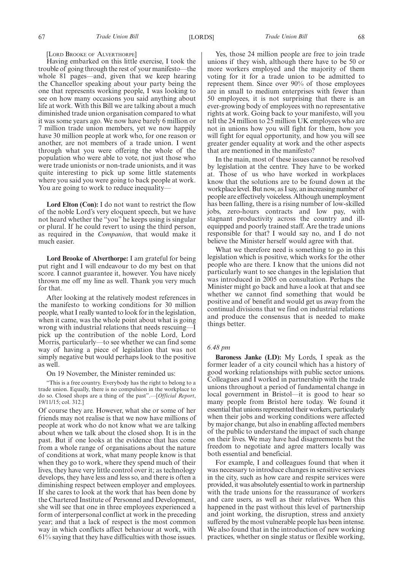#### [LORD BROOKE OF ALVERTHORPE]

Having embarked on this little exercise, I took the trouble of going through the rest of your manifesto—the whole 81 pages—and, given that we keep hearing the Chancellor speaking about your party being the one that represents working people, I was looking to see on how many occasions you said anything about life at work. With this Bill we are talking about a much diminished trade union organisation compared to what it was some years ago. We now have barely 6 million or 7 million trade union members, yet we now happily have 30 million people at work who, for one reason or another, are not members of a trade union. I went through what you were offering the whole of the population who were able to vote, not just those who were trade unionists or non-trade unionists, and it was quite interesting to pick up some little statements where you said you were going to back people at work. You are going to work to reduce inequality-

**Lord Elton (Con):** I do not want to restrict the flow of the noble Lord's very eloquent speech, but we have not heard whether the "you" he keeps using is singular or plural. If he could revert to using the third person, as required in the *Companion*, that would make it much easier.

**Lord Brooke of Alverthorpe:** I am grateful for being put right and I will endeavour to do my best on that score. I cannot guarantee it, however. You have nicely thrown me off my line as well. Thank you very much for that.

After looking at the relatively modest references in the manifesto to working conditions for 30 million people, what I really wanted to look for in the legislation, when it came, was the whole point about what is going wrong with industrial relations that needs rescuing—I pick up the contribution of the noble Lord, Lord Morris, particularly—to see whether we can find some way of having a piece of legislation that was not simply negative but would perhaps look to the positive as well.

On 19 November, the Minister reminded us:

"This is a free country. Everybody has the right to belong to a trade union. Equally, there is no compulsion in the workplace to do so. Closed shops are a thing of the past".—[*Official Report*, 19/11/15; col. 312.]

Of course they are. However, what she or some of her friends may not realise is that we now have millions of people at work who do not know what we are talking about when we talk about the closed shop. It is in the past. But if one looks at the evidence that has come from a whole range of organisations about the nature of conditions at work, what many people know is that when they go to work, where they spend much of their lives, they have very little control over it; as technology develops, they have less and less so, and there is often a diminishing respect between employer and employees. If she cares to look at the work that has been done by the Chartered Institute of Personnel and Development, she will see that one in three employees experienced a form of interpersonal conflict at work in the preceding year; and that a lack of respect is the most common way in which conflicts affect behaviour at work, with 61% saying that they have difficulties with those issues.

Yes, those 24 million people are free to join trade unions if they wish, although there have to be 50 or more workers employed and the majority of them voting for it for a trade union to be admitted to represent them. Since over 90% of those employees are in small to medium enterprises with fewer than 50 employees, it is not surprising that there is an ever-growing body of employees with no representative rights at work. Going back to your manifesto, will you tell the 24 million to 25 million UK employees who are not in unions how you will fight for them, how you will fight for equal opportunity, and how you will see greater gender equality at work and the other aspects that are mentioned in the manifesto?

In the main, most of these issues cannot be resolved by legislation at the centre. They have to be worked at. Those of us who have worked in workplaces know that the solutions are to be found down at the workplace level. But now, as I say, an increasing number of people are effectively voiceless. Although unemployment has been falling, there is a rising number of low-skilled jobs, zero-hours contracts and low pay, with stagnant productivity across the country and illequipped and poorly trained staff. Are the trade unions responsible for that? I would say no, and I do not believe the Minister herself would agree with that.

What we therefore need is something to go in this legislation which is positive, which works for the other people who are there. I know that the unions did not particularly want to see changes in the legislation that was introduced in 2005 on consultation. Perhaps the Minister might go back and have a look at that and see whether we cannot find something that would be positive and of benefit and would get us away from the continual divisions that we find on industrial relations and produce the consensus that is needed to make things better.

## *6.48 pm*

**Baroness Janke (LD):** My Lords, I speak as the former leader of a city council which has a history of good working relationships with public sector unions. Colleagues and I worked in partnership with the trade unions throughout a period of fundamental change in local government in Bristol—it is good to hear so many people from Bristol here today. We found it essential that unions represented their workers, particularly when their jobs and working conditions were affected by major change, but also in enabling affected members of the public to understand the impact of such change on their lives. We may have had disagreements but the freedom to negotiate and agree matters locally was both essential and beneficial.

For example, I and colleagues found that when it was necessary to introduce changes in sensitive services in the city, such as how care and respite services were provided, it was absolutely essential to work in partnership with the trade unions for the reassurance of workers and care users, as well as their relatives. When this happened in the past without this level of partnership and joint working, the disruption, stress and anxiety suffered by the most vulnerable people has been intense. We also found that in the introduction of new working practices, whether on single status or flexible working,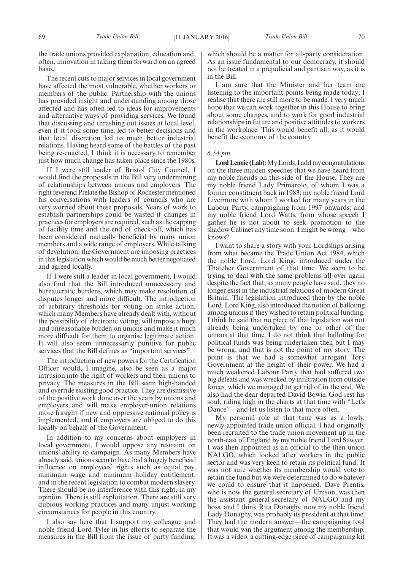the trade unions provided explanation, education and, often, innovation in taking them forward on an agreed basis.

The recent cuts to major services in local government have affected the most vulnerable, whether workers or members of the public. Partnership with the unions has provided insight and understanding among those affected and has often led to ideas for improvements and alternative ways of providing services. We found that discussing and thrashing out issues at local level, even if it took some time, led to better decisions and that local discretion led to much better industrial relations. Having heard some of the battles of the past being re-enacted, I think it is necessary to remember just how much change has taken place since the 1980s.

If I were still leader of Bristol City Council, I would find the proposals in the Bill very undermining of relationships between unions and employers. The right reverend Prelate the Bishop of Rochester mentioned his conversations with leaders of councils who are very worried about these proposals. Years of work to establish partnerships could be wasted if changes in practices for employers are required, such as the capping of facility time and the end of check-off, which has been considered mutually beneficial by many union members and a wide range of employers. While talking of devolution, the Government are imposing practices in this legislation which would be much better negotiated and agreed locally.

If I were still a leader in local government, I would also find that the Bill introduced unnecessary and bureaucratic burdens, which may make resolution of disputes longer and more difficult. The introduction of arbitrary thresholds for voting on strike action, which many Members have already dealt with, without the possibility of electronic voting, will impose a huge and unreasonable burden on unions and make it much more difficult for them to organise legitimate action. It will also seem unnecessarily punitive for public services that the Bill defines as "important services".

The introduction of new powers for the Certification Officer would, I imagine, also be seen as a major intrusion into the right of workers and their unions to privacy. The measures in the Bill seem high-handed and override existing good practice. They are dismissive of the positive work done over the years by unions and employers and will make employer-union relations more fraught if new and oppressive national policy is implemented, and if employers are obliged to do this locally on behalf of the Government.

In addition to my concerns about employers in local government, I would oppose any restraint on unions' ability to campaign. As many Members have already said, unions seem to have had a hugely beneficial influence on employees' rights such as equal pay, minimum wage and minimum holiday entitlement, and in the recent legislation to combat modern slavery. There should be no interference with this right, in my opinion. There is still exploitation. There are still very dubious working practices and many unjust working circumstances for people in this country.

I also say here that I support my colleague and noble friend Lord Tyler in his efforts to separate the measures in the Bill from the issue of party funding, which should be a matter for all-party consideration. As an issue fundamental to our democracy, it should not be treated in a prejudicial and partisan way, as it is in the Bill.

I am sure that the Minister and her team are listening to the important points being made today; I realise that there are still more to be made. I very much hope that we can work together in this House to bring about some changes, and to work for good industrial relationships in future and positive attitudes to workers in the workplace. This would benefit all, as it would benefit the economy of the country.

#### *6.54 pm*

**Lord Lennie (Lab):**My Lords, I add my congratulations on the three maiden speeches that we have heard from my noble friends on this side of the House. They are my noble friend Lady Primarolo, of whom I was a former constituent back in 1983; my noble friend Lord Livermore with whom I worked for many years in the Labour Party, campaigning from 1997 onwards; and my noble friend Lord Watts, from whose speech I gather he is not about to seek promotion to the shadow Cabinet any time soon. I might be wrong—who knows?

I want to share a story with your Lordships arising from what became the Trade Union Act 1984, which the noble Lord, Lord King, introduced under the Thatcher Government of that time. We seem to be trying to deal with the same problems all over again despite the fact that, as many people have said, they no longer exist in the industrial relations of modern Great Britain. The legislation introduced then by the noble Lord, Lord King, also introduced the notion of balloting among unions if they wished to retain political funding. I think he said that no piece of that legislation was not already being undertaken by one or other of the unions at that time. I do not think that balloting for political funds was being undertaken then but I may be wrong, and that is not the point of my story. The point is that we had a somewhat arrogant Tory Government at the height of their power. We had a much weakened Labour Party that had suffered two big defeats and was wrecked by infiltration from outside forces, which we managed to get rid of in the end. We also had the dear departed David Bowie, God rest his soul, riding high in the charts at that time with "Let's Dance"—and let us listen to that more often.

My personal role at that time was as a lowly, newly-appointed trade union official. I had originally been recruited to the trade union movement up in the north-east of England by my noble friend Lord Sawyer. I was then appointed as an official to the then union NALGO, which looked after workers in the public sector and was very keen to retain its political fund. It was not sure whether its membership would vote to retain the fund but we were determined to do whatever we could to ensure that it happened. Dave Prentis, who is now the general secretary of Unison, was then the assistant general-secretary of NALGO and my boss, and I think Rita Donaghy, now my noble friend Lady Donaghy, was probably its president at that time. They had the modern answer—the campaigning tool that would win the argument among the membership. It was a video, a cutting-edge piece of campaigning kit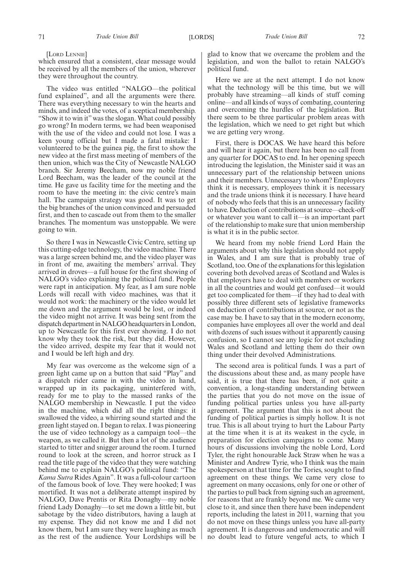[LORD LENNIE]

which ensured that a consistent, clear message would be received by all the members of the union, wherever they were throughout the country.

The video was entitled "NALGO—the political fund explained", and all the arguments were there. There was everything necessary to win the hearts and minds, and indeed the votes, of a sceptical membership. "Show it to win it" was the slogan. What could possibly go wrong? In modern terms, we had been weaponised with the use of the video and could not lose. I was a keen young official but I made a fatal mistake: I volunteered to be the guinea pig, the first to show the new video at the first mass meeting of members of the then union, which was the City of Newcastle NALGO branch. Sir Jeremy Beecham, now my noble friend Lord Beecham, was the leader of the council at the time. He gave us facility time for the meeting and the room to have the meeting in: the civic centre's main hall. The campaign strategy was good. It was to get the big branches of the union convinced and persuaded first, and then to cascade out from them to the smaller branches. The momentum was unstoppable. We were going to win.

So there I was in Newcastle Civic Centre, setting up this cutting-edge technology, the video machine. There was a large screen behind me, and the video player was in front of me, awaiting the members' arrival. They arrived in droves—a full house for the first showing of NALGO's video explaining the political fund. People were rapt in anticipation. My fear, as I am sure noble Lords will recall with video machines, was that it would not work: the machinery or the video would let me down and the argument would be lost, or indeed the video might not arrive. It was being sent from the dispatch department in NALGO headquarters in London, up to Newcastle for this first ever showing. I do not know why they took the risk, but they did. However, the video arrived, despite my fear that it would not and I would be left high and dry.

My fear was overcome as the welcome sign of a green light came up on a button that said "Play" and a dispatch rider came in with the video in hand, wrapped up in its packaging, uninterfered with, ready for me to play to the massed ranks of the NALGO membership in Newcastle. I put the video in the machine, which did all the right things: it swallowed the video, a whirring sound started and the green light stayed on. I began to relax. I was pioneering the use of video technology as a campaign tool—the weapon, as we called it. But then a lot of the audience started to titter and snigger around the room. I turned round to look at the screen, and horror struck as I read the title page of the video that they were watching behind me to explain NALGO's political fund: "The *Kama Sutra* Rides Again". It was a full-colour cartoon of the famous book of love. They were hooked; I was mortified. It was not a deliberate attempt inspired by NALGO, Dave Prentis or Rita Donaghy—my noble friend Lady Donaghy—to set me down a little bit, but sabotage by the video distributors, having a laugh at my expense. They did not know me and I did not know them, but I am sure they were laughing as much as the rest of the audience. Your Lordships will be glad to know that we overcame the problem and the legislation, and won the ballot to retain NALGO's political fund.

Here we are at the next attempt. I do not know what the technology will be this time, but we will probably have streaming—all kinds of stuff coming online—and all kinds of ways of combating, countering and overcoming the hurdles of the legislation. But there seem to be three particular problem areas with the legislation, which we need to get right but which we are getting very wrong.

First, there is DOCAS. We have heard this before and will hear it again, but there has been no call from any quarter for DOCAS to end. In her opening speech introducing the legislation, the Minister said it was an unnecessary part of the relationship between unions and their members. Unnecessary to whom? Employers think it is necessary, employees think it is necessary and the trade unions think it is necessary. I have heard of nobody who feels that this is an unnecessary facility to have. Deduction of contributions at source—check-off or whatever you want to call it—is an important part of the relationship to make sure that union membership is what it is in the public sector.

We heard from my noble friend Lord Hain the arguments about why this legislation should not apply in Wales, and I am sure that is probably true of Scotland, too. One of the explanations for this legislation covering both devolved areas of Scotland and Wales is that employers have to deal with members or workers in all the countries and would get confused—it would get too complicated for them—if they had to deal with possibly three different sets of legislative frameworks on deduction of contributions at source, or not as the case may be. I have to say that in the modern economy, companies have employees all over the world and deal with dozens of such issues without it apparently causing confusion, so I cannot see any logic for not excluding Wales and Scotland and letting them do their own thing under their devolved Administrations.

The second area is political funds. I was a part of the discussions about these and, as many people have said, it is true that there has been, if not quite a convention, a long-standing understanding between the parties that you do not move on the issue of funding political parties unless you have all-party agreement. The argument that this is not about the funding of political parties is simply hollow. It is not true. This is all about trying to hurt the Labour Party at the time when it is at its weakest in the cycle, in preparation for election campaigns to come. Many hours of discussions involving the noble Lord, Lord Tyler, the right honourable Jack Straw when he was a Minister and Andrew Tyrie, who I think was the main spokesperson at that time for the Tories, sought to find agreement on these things. We came very close to agreement on many occasions, only for one or other of the parties to pull back from signing such an agreement, for reasons that are frankly beyond me. We came very close to it, and since then there have been independent reports, including the latest in 2011, warning that you do not move on these things unless you have all-party agreement. It is dangerous and undemocratic and will no doubt lead to future vengeful acts, to which I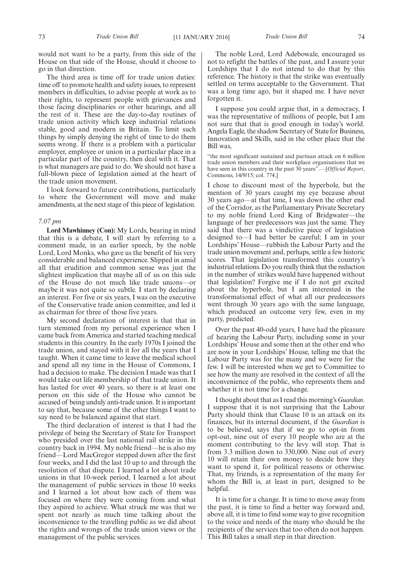would not want to be a party, from this side of the House on that side of the House, should it choose to go in that direction.

The third area is time off for trade union duties: time off to promote health and safety issues, to represent members in difficulties, to advise people at work as to their rights, to represent people with grievances and those facing disciplinaries or other hearings, and all the rest of it. These are the day-to-day routines of trade union activity which keep industrial relations stable, good and modern in Britain. To limit such things by simply denying the right of time to do them seems wrong. If there is a problem with a particular employer, employee or union in a particular place in a particular part of the country, then deal with it. That is what managers are paid to do. We should not have a full-blown piece of legislation aimed at the heart of the trade union movement.

I look forward to future contributions, particularly to where the Government will move and make amendments, at the next stage of this piece of legislation.

#### *7.07 pm*

**Lord Mawhinney (Con):** My Lords, bearing in mind that this is a debate, I will start by referring to a comment made, in an earlier speech, by the noble Lord, Lord Monks, who gave us the benefit of his very considerable and balanced experience. Slipped in amid all that erudition and common sense was just the slightest implication that maybe all of us on this side of the House do not much like trade unions—or maybe it was not quite so subtle. I start by declaring an interest. For five or six years, I was on the executive of the Conservative trade union committee, and led it as chairman for three of those five years.

My second declaration of interest is that that in turn stemmed from my personal experience when I came back from America and started teaching medical students in this country. In the early 1970s I joined the trade union, and stayed with it for all the years that I taught. When it came time to leave the medical school and spend all my time in the House of Commons, I had a decision to make. The decision I made was that I would take out life membership of that trade union. It has lasted for over 40 years, so there is at least one person on this side of the House who cannot be accused of being unduly anti-trade union. It is important to say that, because some of the other things I want to say need to be balanced against that start.

The third declaration of interest is that I had the privilege of being the Secretary of State for Transport who presided over the last national rail strike in this country back in 1994. My noble friend—he is also my friend—Lord MacGregor stepped down after the first four weeks, and I did the last 10 up to and through the resolution of that dispute. I learned a lot about trade unions in that 10-week period, I learned a lot about the management of public services in those 10 weeks and I learned a lot about how each of them was focused on where they were coming from and what they aspired to achieve. What struck me was that we spent not nearly as much time talking about the inconvenience to the travelling public as we did about the rights and wrongs of the trade union views or the management of the public services.

The noble Lord, Lord Adebowale, encouraged us not to refight the battles of the past, and I assure your Lordships that I do not intend to do that by this reference. The history is that the strike was eventually settled on terms acceptable to the Government. That was a long time ago, but it shaped me. I have never forgotten it.

I suppose you could argue that, in a democracy, I was the representative of millions of people, but I am not sure that that is good enough in today's world. Angela Eagle, the shadow Secretary of State for Business, Innovation and Skills, said in the other place that the Bill was,

"the most significant sustained and partisan attack on 6 million trade union members and their workplace organisations that we have seen in this country in the past 30 years".—[*Official Report*, Commons, 14/9/15; col. 774.]

I chose to discount most of the hyperbole, but the mention of 30 years caught my eye because about 30 years ago—at that time, I was down the other end of the Corridor, as the Parliamentary Private Secretary to my noble friend Lord King of Bridgwater—the language of her predecessors was just the same. They said that there was a vindictive piece of legislation designed to—I had better be careful; I am in your Lordships' House—rubbish the Labour Party and the trade union movement and, perhaps, settle a few historic scores. That legislation transformed this country's industrial relations. Do you really think that the reduction in the number of strikes would have happened without that legislation? Forgive me if I do not get excited about the hyperbole, but I am interested in the transformational effect of what all our predecessors went through 30 years ago with the same language, which produced an outcome very few, even in my party, predicted.

Over the past 40-odd years, I have had the pleasure of hearing the Labour Party, including some in your Lordships' House and some then at the other end who are now in your Lordships' House, telling me that the Labour Party was for the many and we were for the few. I will be interested when we get to Committee to see how the many are resolved in the context of all the inconvenience of the public, who represents them and whether it is not time for a change.

I thought about that as I read this morning's *Guardian*. I suppose that it is not surprising that the Labour Party should think that Clause 10 is an attack on its finances, but its internal document, if the *Guardian* is to be believed, says that if we go to opt-in from opt-out, nine out of every 10 people who are at the moment contributing to the levy will stop. That is from 3.3 million down to 330,000. Nine out of every 10 will retain their own money to decide how they want to spend it, for political reasons or otherwise. That, my friends, is a representation of the many for whom the Bill is, at least in part, designed to be helpful.

It is time for a change. It is time to move away from the past, it is time to find a better way forward and, above all, it is time to find some way to give recognition to the voice and needs of the many who should be the recipients of the services that too often do not happen. This Bill takes a small step in that direction.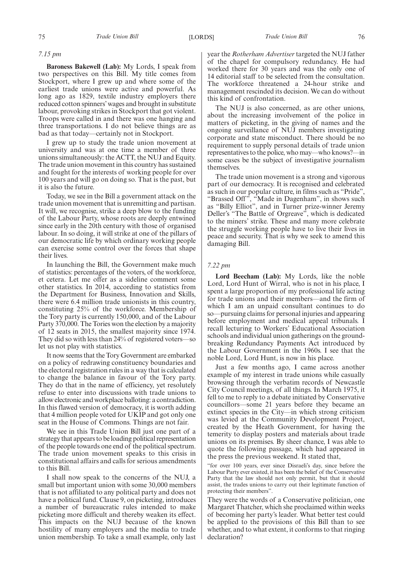# *7.15 pm*

**Baroness Bakewell (Lab):** My Lords, I speak from two perspectives on this Bill. My title comes from Stockport, where I grew up and where some of the earliest trade unions were active and powerful. As long ago as 1829, textile industry employers there reduced cotton spinners' wages and brought in substitute labour, provoking strikes in Stockport that got violent. Troops were called in and there was one hanging and three transportations. I do not believe things are as bad as that today—certainly not in Stockport.

I grew up to study the trade union movement at university and was at one time a member of three unions simultaneously: the ACTT, the NUJ and Equity. The trade union movement in this country has sustained and fought for the interests of working people for over 100 years and will go on doing so. That is the past, but it is also the future.

Today, we see in the Bill a government attack on the trade union movement that is unremitting and partisan. It will, we recognise, strike a deep blow to the funding of the Labour Party, whose roots are deeply entwined since early in the 20th century with those of organised labour. In so doing, it will strike at one of the pillars of our democratic life by which ordinary working people can exercise some control over the forces that shape their lives.

In launching the Bill, the Government make much of statistics: percentages of the voters, of the workforce, et cetera. Let me offer as a sideline comment some other statistics. In 2014, according to statistics from the Department for Business, Innovation and Skills, there were 6.4 million trade unionists in this country, constituting 25% of the workforce. Membership of the Tory party is currently 150,000, and of the Labour Party 370,000. The Tories won the election by a majority of 12 seats in 2015, the smallest majority since 1974. They did so with less than 24% of registered voters—so let us not play with statistics.

It now seems that the Tory Government are embarked on a policy of redrawing constituency boundaries and the electoral registration rules in a way that is calculated to change the balance in favour of the Tory party. They do that in the name of efficiency, yet resolutely refuse to enter into discussions with trade unions to allow electronic and workplace balloting: a contradiction. In this flawed version of democracy, it is worth adding that 4 million people voted for UKIP and got only one seat in the House of Commons. Things are not fair.

We see in this Trade Union Bill just one part of a strategy that appears to be loading political representation of the people towards one end of the political spectrum. The trade union movement speaks to this crisis in constitutional affairs and calls for serious amendments to this Bill.

I shall now speak to the concerns of the NUJ, a small but important union with some 30,000 members that is not affiliated to any political party and does not have a political fund. Clause 9, on picketing, introduces a number of bureaucratic rules intended to make picketing more difficult and thereby weaken its effect. This impacts on the NUJ because of the known hostility of many employers and the media to trade union membership. To take a small example, only last

year the *Rotherham Advertiser* targeted the NUJ father of the chapel for compulsory redundancy. He had worked there for 30 years and was the only one of 14 editorial staff to be selected from the consultation. The workforce threatened a 24-hour strike and management rescinded its decision. We can do without this kind of confrontation.

The NUJ is also concerned, as are other unions, about the increasing involvement of the police in matters of picketing, in the giving of names and the ongoing surveillance of NUJ members investigating corporate and state misconduct. There should be no requirement to supply personal details of trade union representatives to the police, who may—who knows?—in some cases be the subject of investigative journalism themselves.

The trade union movement is a strong and vigorous part of our democracy. It is recognised and celebrated as such in our popular culture, in films such as "Pride", "Brassed Off", "Made in Dagenham", in shows such as "Billy Elliot", and in Turner prize-winner Jeremy Deller's "The Battle of Orgreave", which is dedicated to the miners' strike. These and many more celebrate the struggle working people have to live their lives in peace and security. That is why we seek to amend this damaging Bill.

#### *7.22 pm*

**Lord Beecham (Lab):** My Lords, like the noble Lord, Lord Hunt of Wirral, who is not in his place, I spent a large proportion of my professional life acting for trade unions and their members—and the firm of which I am an unpaid consultant continues to do so—pursuing claims for personal injuries and appearing before employment and medical appeal tribunals. I recall lecturing to Workers' Educational Association schools and individual union gatherings on the groundbreaking Redundancy Payments Act introduced by the Labour Government in the 1960s. I see that the noble Lord, Lord Hunt, is now in his place.

Just a few months ago, I came across another example of my interest in trade unions while casually browsing through the verbatim records of Newcastle City Council meetings, of all things. In March 1975, it fell to me to reply to a debate initiated by Conservative councillors—some 21 years before they became an extinct species in the City—in which strong criticism was levied at the Community Development Project, created by the Heath Government, for having the temerity to display posters and materials about trade unions on its premises. By sheer chance, I was able to quote the following passage, which had appeared in the press the previous weekend. It stated that,

"for over 100 years, ever since Disraeli's day, since before the Labour Party ever existed, it has been the belief of the Conservative Party that the law should not only permit, but that it should assist, the trades unions to carry out their legitimate function of protecting their members".

They were the words of a Conservative politician, one Margaret Thatcher, which she proclaimed within weeks of becoming her party's leader. What better test could be applied to the provisions of this Bill than to see whether, and to what extent, it conforms to that ringing declaration?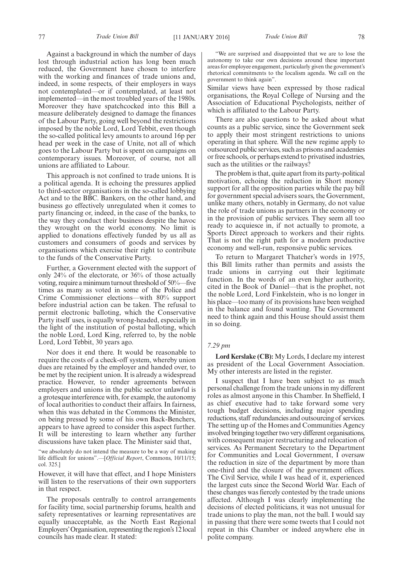Against a background in which the number of days lost through industrial action has long been much reduced, the Government have chosen to interfere with the working and finances of trade unions and, indeed, in some respects, of their employers in ways not contemplated—or if contemplated, at least not implemented—in the most troubled years of the 1980s. Moreover they have spatchcocked into this Bill a measure deliberately designed to damage the finances of the Labour Party, going well beyond the restrictions imposed by the noble Lord, Lord Tebbit, even though the so-called political levy amounts to around 16p per head per week in the case of Unite, not all of which goes to the Labour Party but is spent on campaigns on contemporary issues. Moreover, of course, not all unions are affiliated to Labour.

This approach is not confined to trade unions. It is a political agenda. It is echoing the pressures applied to third-sector organisations in the so-called lobbying Act and to the BBC. Bankers, on the other hand, and business go effectively unregulated when it comes to party financing or, indeed, in the case of the banks, to the way they conduct their business despite the havoc they wrought on the world economy. No limit is applied to donations effectively funded by us all as customers and consumers of goods and services by organisations which exercise their right to contribute to the funds of the Conservative Party.

Further, a Government elected with the support of only 24% of the electorate, or 36% of those actually voting, require aminimum turnout threshold of 50%—five times as many as voted in some of the Police and Crime Commissioner elections—with 80% support before industrial action can be taken. The refusal to permit electronic balloting, which the Conservative Party itself uses, is equally wrong-headed, especially in the light of the institution of postal balloting, which the noble Lord, Lord King, referred to, by the noble Lord, Lord Tebbit, 30 years ago.

Nor does it end there. It would be reasonable to require the costs of a check-off system, whereby union dues are retained by the employer and handed over, to be met by the recipient union. It is already a widespread practice. However, to render agreements between employers and unions in the public sector unlawful is a grotesque interference with, for example, the autonomy of local authorities to conduct their affairs. In fairness, when this was debated in the Commons the Minister, on being pressed by some of his own Back-Benchers, appears to have agreed to consider this aspect further. It will be interesting to learn whether any further discussions have taken place. The Minister said that,

"we absolutely do not intend the measure to be a way of making life difficult for unions".—[*Official Report*, Commons, 10/11/15; col. 325.]

However, it will have that effect, and I hope Ministers will listen to the reservations of their own supporters in that respect.

The proposals centrally to control arrangements for facility time, social partnership forums, health and safety representatives or learning representatives are equally unacceptable, as the North East Regional Employers'Organisation, representing the region's 12 local councils has made clear. It stated:

"We are surprised and disappointed that we are to lose the autonomy to take our own decisions around these important areas for employee engagement, particularly given the government's rhetorical commitments to the localism agenda. We call on the government to think again".

Similar views have been expressed by those radical organisations, the Royal College of Nursing and the Association of Educational Psychologists, neither of which is affiliated to the Labour Party.

There are also questions to be asked about what counts as a public service, since the Government seek to apply their most stringent restrictions to unions operating in that sphere. Will the new regime apply to outsourced public services, such as prisons and academies or free schools, or perhaps extend to privatised industries, such as the utilities or the railways?

The problem is that, quite apart from its party-political motivation, echoing the reduction in Short money support for all the opposition parties while the pay bill for government special advisers soars, the Government, unlike many others, notably in Germany, do not value the role of trade unions as partners in the economy or in the provision of public services. They seem all too ready to acquiesce in, if not actually to promote, a Sports Direct approach to workers and their rights. That is not the right path for a modern productive economy and well-run, responsive public services.

To return to Margaret Thatcher's words in 1975, this Bill limits rather than permits and assists the trade unions in carrying out their legitimate function. In the words of an even higher authority, cited in the Book of Daniel—that is the prophet, not the noble Lord, Lord Finkelstein, who is no longer in his place—too many of its provisions have been weighed in the balance and found wanting. The Government need to think again and this House should assist them in so doing.

#### *7.29 pm*

**Lord Kerslake (CB):** My Lords, I declare my interest as president of the Local Government Association. My other interests are listed in the register.

I suspect that I have been subject to as much personal challenge from the trade unions in my different roles as almost anyone in this Chamber. In Sheffield, I as chief executive had to take forward some very tough budget decisions, including major spending reductions, staff redundancies and outsourcing of services. The setting up of the Homes and Communities Agency involved bringing together two very different organisations, with consequent major restructuring and relocation of services. As Permanent Secretary to the Department for Communities and Local Government, I oversaw the reduction in size of the department by more than one-third and the closure of the government offices. The Civil Service, while I was head of it, experienced the largest cuts since the Second World War. Each of these changes was fiercely contested by the trade unions affected. Although I was clearly implementing the decisions of elected politicians, it was not unusual for trade unions to play the man, not the ball. I would say in passing that there were some tweets that I could not repeat in this Chamber or indeed anywhere else in polite company.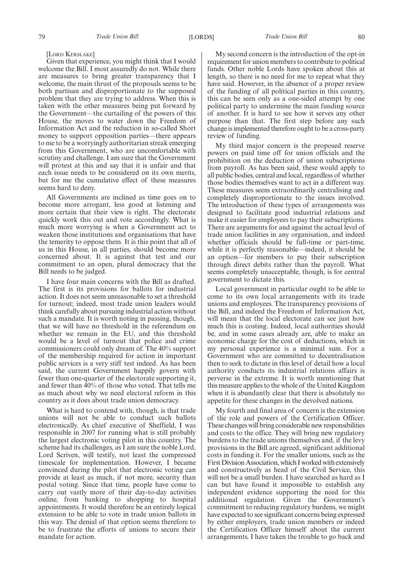[LORD KERSLAKE]

Given that experience, you might think that I would welcome the Bill. I most assuredly do not. While there are measures to bring greater transparency that I welcome, the main thrust of the proposals seems to be both partisan and disproportionate to the supposed problem that they are trying to address. When this is taken with the other measures being put forward by the Government—the curtailing of the powers of this House, the moves to water down the Freedom of Information Act and the reduction in so-called Short money to support opposition parties—there appears to me to be a worryingly authoritarian streak emerging from this Government, who are uncomfortable with scrutiny and challenge. I am sure that the Government will protest at this and say that it is unfair and that each issue needs to be considered on its own merits, but for me the cumulative effect of these measures seems hard to deny.

All Governments are inclined as time goes on to become more arrogant, less good at listening and more certain that their view is right. The electorate quickly work this out and vote accordingly. What is much more worrying is when a Government act to weaken those institutions and organisations that have the temerity to oppose them. It is this point that all of us in this House, in all parties, should become more concerned about. It is against that test and our commitment to an open, plural democracy that the Bill needs to be judged.

I have four main concerns with the Bill as drafted. The first is its provisions for ballots for industrial action. It does not seem unreasonable to set a threshold for turnout; indeed, most trade union leaders would think carefully about pursuing industrial action without such a mandate. It is worth noting in passing, though, that we will have no threshold in the referendum on whether we remain in the EU, and this threshold would be a level of turnout that police and crime commissioners could only dream of. The 40% support of the membership required for action in important public services is a very stiff test indeed. As has been said, the current Government happily govern with fewer than one-quarter of the electorate supporting it, and fewer than 40% of those who voted. That tells me as much about why we need electoral reform in this country as it does about trade union democracy.

What is hard to contend with, though, is that trade unions will not be able to conduct such ballots electronically. As chief executive of Sheffield, I was responsible in 2007 for running what is still probably the largest electronic voting pilot in this country. The scheme had its challenges, as I am sure the noble Lord, Lord Scriven, will testify, not least the compressed timescale for implementation. However, I became convinced during the pilot that electronic voting can provide at least as much, if not more, security than postal voting. Since that time, people have come to carry out vastly more of their day-to-day activities online, from banking to shopping to hospital appointments. It would therefore be an entirely logical extension to be able to vote in trade union ballots in this way. The denial of that option seems therefore to be to frustrate the efforts of unions to secure their mandate for action.

My second concern is the introduction of the opt-in requirement for union members to contribute to political funds. Other noble Lords have spoken about this at length, so there is no need for me to repeat what they have said. However, in the absence of a proper review of the funding of all political parties in this country, this can be seen only as a one-sided attempt by one political party to undermine the main funding source of another. It is hard to see how it serves any other purpose than that. The first step before any such change is implemented therefore ought to be a cross-party review of funding.

My third major concern is the proposed reserve powers on paid time off for union officials and the prohibition on the deduction of union subscriptions from payroll. As has been said, these would apply to all public bodies, central and local, regardless of whether those bodies themselves want to act in a different way. These measures seem extraordinarily centralising and completely disproportionate to the issues involved. The introduction of these types of arrangements was designed to facilitate good industrial relations and make it easier for employees to pay their subscriptions. There are arguments for and against the actual level of trade union facilities in any organisation, and indeed whether officials should be full-time or part-time, while it is perfectly reasonable—indeed, it should be an option—for members to pay their subscription through direct debits rather than the payroll. What seems completely unacceptable, though, is for central government to dictate this.

Local government in particular ought to be able to come to its own local arrangements with its trade unions and employees. The transparency provisions of the Bill, and indeed the Freedom of Information Act, will mean that the local electorate can see just how much this is costing. Indeed, local authorities should be, and in some cases already are, able to make an economic charge for the cost of deductions, which in my personal experience is a minimal sum. For a Government who are committed to decentralisation then to seek to dictate in this level of detail how a local authority conducts its industrial relations affairs is perverse in the extreme. It is worth mentioning that this measure applies to the whole of the United Kingdom when it is abundantly clear that there is absolutely no appetite for these changes in the devolved nations.

My fourth and final area of concern is the extension of the role and powers of the Certification Officer. These changes will bring considerable new responsibilities and costs to the office. They will bring new regulatory burdens to the trade unions themselves and, if the levy provisions in the Bill are agreed, significant additional costs in funding it. For the smaller unions, such as the First Division Association, which I worked with extensively and constructively as head of the Civil Service, this will not be a small burden. I have searched as hard as I can but have found it impossible to establish any independent evidence supporting the need for this additional regulation. Given the Government's commitment to reducing regulatory burdens, we might have expected to see significant concerns being expressed by either employers, trade union members or indeed the Certification Officer himself about the current arrangements. I have taken the trouble to go back and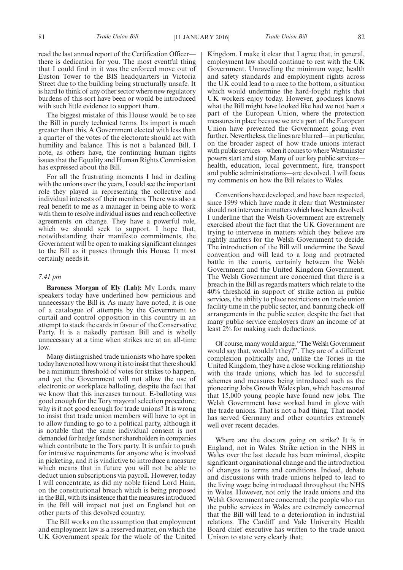read the last annual report of the Certification Officer there is dedication for you. The most eventful thing that I could find in it was the enforced move out of Euston Tower to the BIS headquarters in Victoria Street due to the building being structurally unsafe. It is hard to think of any other sector where new regulatory burdens of this sort have been or would be introduced with such little evidence to support them.

The biggest mistake of this House would be to see the Bill in purely technical terms. Its import is much greater than this. A Government elected with less than a quarter of the votes of the electorate should act with humility and balance. This is not a balanced Bill. I note, as others have, the continuing human rights issues that the Equality and Human Rights Commission has expressed about the Bill.

For all the frustrating moments I had in dealing with the unions over the years, I could see the important role they played in representing the collective and individual interests of their members. There was also a real benefit to me as a manager in being able to work with them to resolve individual issues and reach collective agreements on change. They have a powerful role, which we should seek to support. I hope that, notwithstanding their manifesto commitments, the Government will be open to making significant changes to the Bill as it passes through this House. It most certainly needs it.

## *7.41 pm*

**Baroness Morgan of Ely (Lab):** My Lords, many speakers today have underlined how pernicious and unnecessary the Bill is. As many have noted, it is one of a catalogue of attempts by the Government to curtail and control opposition in this country in an attempt to stack the cards in favour of the Conservative Party. It is a nakedly partisan Bill and is wholly unnecessary at a time when strikes are at an all-time low.

Many distinguished trade unionists who have spoken today have noted how wrong it is to insist that there should be a minimum threshold of votes for strikes to happen, and yet the Government will not allow the use of electronic or workplace balloting, despite the fact that we know that this increases turnout. E-balloting was good enough for the Tory mayoral selection procedure; why is it not good enough for trade unions? It is wrong to insist that trade union members will have to opt in to allow funding to go to a political party, although it is notable that the same individual consent is not demanded for hedge funds nor shareholders in companies which contribute to the Tory party. It is unfair to push for intrusive requirements for anyone who is involved in picketing, and it is vindictive to introduce a measure which means that in future you will not be able to deduct union subscriptions via payroll. However, today I will concentrate, as did my noble friend Lord Hain, on the constitutional breach which is being proposed in the Bill, with its insistence that the measures introduced in the Bill will impact not just on England but on other parts of this devolved country.

The Bill works on the assumption that employment and employment law is a reserved matter, on which the UK Government speak for the whole of the United

Kingdom. I make it clear that I agree that, in general, employment law should continue to rest with the UK Government. Unravelling the minimum wage, health and safety standards and employment rights across the UK could lead to a race to the bottom, a situation which would undermine the hard-fought rights that UK workers enjoy today. However, goodness knows what the Bill might have looked like had we not been a part of the European Union, where the protection measures in place because we are a part of the European Union have prevented the Government going even further. Nevertheless, the lines are blurred—in particular, on the broader aspect of how trade unions interact with public services—when it comes to where Westminster powers start and stop. Many of our key public services health, education, local government, fire, transport and public administrations—are devolved. I will focus my comments on how the Bill relates to Wales.

Conventions have developed, and have been respected, since 1999 which have made it clear that Westminster should not intervene in matters which have been devolved. I underline that the Welsh Government are extremely exercised about the fact that the UK Government are trying to intervene in matters which they believe are rightly matters for the Welsh Government to decide. The introduction of the Bill will undermine the Sewel convention and will lead to a long and protracted battle in the courts, certainly between the Welsh Government and the United Kingdom Government. The Welsh Government are concerned that there is a breach in the Bill as regards matters which relate to the 40% threshold in support of strike action in public services, the ability to place restrictions on trade union facility time in the public sector, and banning check-off arrangements in the public sector, despite the fact that many public service employers draw an income of at least 2% for making such deductions.

Of course,many would argue, "TheWelshGovernment would say that, wouldn't they?". They are of a different complexion politically and, unlike the Tories in the United Kingdom, they have a close working relationship with the trade unions, which has led to successful schemes and measures being introduced such as the pioneering Jobs Growth Wales plan, which has ensured that 15,000 young people have found new jobs. The Welsh Government have worked hand in glove with the trade unions. That is not a bad thing. That model has served Germany and other countries extremely well over recent decades.

Where are the doctors going on strike? It is in England, not in Wales. Strike action in the NHS in Wales over the last decade has been minimal, despite significant organisational change and the introduction of changes to terms and conditions. Indeed, debate and discussions with trade unions helped to lead to the living wage being introduced throughout the NHS in Wales. However, not only the trade unions and the Welsh Government are concerned; the people who run the public services in Wales are extremely concerned that the Bill will lead to a deterioration in industrial relations. The Cardiff and Vale University Health Board chief executive has written to the trade union Unison to state very clearly that;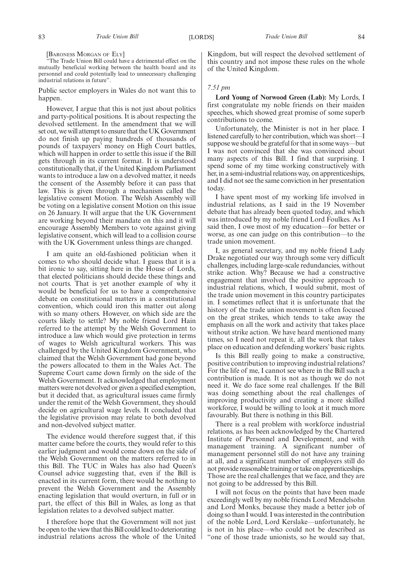[BARONESS MORGAN OF ELY]

"The Trade Union Bill could have a detrimental effect on the mutually beneficial working between the health board and its personnel and could potentially lead to unnecessary challenging industrial relations in future".

Public sector employers in Wales do not want this to happen.

However, I argue that this is not just about politics and party-political positions. It is about respecting the devolved settlement. In the amendment that we will set out, we will attempt to ensure that the UK Government do not finish up paying hundreds of thousands of pounds of taxpayers' money on High Court battles, which will happen in order to settle this issue if the Bill gets through in its current format. It is understood constitutionally that, if the United Kingdom Parliament wants to introduce a law on a devolved matter, it needs the consent of the Assembly before it can pass that law. This is given through a mechanism called the legislative consent Motion. The Welsh Assembly will be voting on a legislative consent Motion on this issue on 26 January. It will argue that the UK Government are working beyond their mandate on this and it will encourage Assembly Members to vote against giving legislative consent, which will lead to a collision course with the UK Government unless things are changed.

I am quite an old-fashioned politician when it comes to who should decide what. I guess that it is a bit ironic to say, sitting here in the House of Lords, that elected politicians should decide these things and not courts. That is yet another example of why it would be beneficial for us to have a comprehensive debate on constitutional matters in a constitutional convention, which could iron this matter out along with so many others. However, on which side are the courts likely to settle? My noble friend Lord Hain referred to the attempt by the Welsh Government to introduce a law which would give protection in terms of wages to Welsh agricultural workers. This was challenged by the United Kingdom Government, who claimed that the Welsh Government had gone beyond the powers allocated to them in the Wales Act. The Supreme Court came down firmly on the side of the Welsh Government. It acknowledged that employment matters were not devolved or given a specified exemption, but it decided that, as agricultural issues came firmly under the remit of the Welsh Government, they should decide on agricultural wage levels. It concluded that the legislative provision may relate to both devolved and non-devolved subject matter.

The evidence would therefore suggest that, if this matter came before the courts, they would refer to this earlier judgment and would come down on the side of the Welsh Government on the matters referred to in this Bill. The TUC in Wales has also had Queen's Counsel advice suggesting that, even if the Bill is enacted in its current form, there would be nothing to prevent the Welsh Government and the Assembly enacting legislation that would overturn, in full or in part, the effect of this Bill in Wales, as long as that legislation relates to a devolved subject matter.

I therefore hope that the Government will not just be open to the view that this Bill could lead to deteriorating industrial relations across the whole of the United Kingdom, but will respect the devolved settlement of this country and not impose these rules on the whole of the United Kingdom.

#### *7.51 pm*

**Lord Young of Norwood Green (Lab):** My Lords, I first congratulate my noble friends on their maiden speeches, which showed great promise of some superb contributions to come.

Unfortunately, the Minister is not in her place. I listened carefully to her contribution, which was short—I suppose we should be grateful for that in some ways—but I was not convinced that she was convinced about many aspects of this Bill. I find that surprising. I spend some of my time working constructively with her, in a semi-industrial relations way, on apprenticeships, and I did not see the same conviction in her presentation today.

I have spent most of my working life involved in industrial relations, as I said in the 19 November debate that has already been quoted today, and which was introduced by my noble friend Lord Foulkes. As I said then, I owe most of my education—for better or worse, as one can judge on this contribution—to the trade union movement.

I, as general secretary, and my noble friend Lady Drake negotiated our way through some very difficult challenges, including large-scale redundancies, without strike action. Why? Because we had a constructive engagement that involved the positive approach to industrial relations, which, I would submit, most of the trade union movement in this country participates in. I sometimes reflect that it is unfortunate that the history of the trade union movement is often focused on the great strikes, which tends to take away the emphasis on all the work and activity that takes place without strike action. We have heard mentioned many times, so I need not repeat it, all the work that takes place on education and defending workers' basic rights.

Is this Bill really going to make a constructive, positive contribution to improving industrial relations? For the life of me, I cannot see where in the Bill such a contribution is made. It is not as though we do not need it. We do face some real challenges. If the Bill was doing something about the real challenges of improving productivity and creating a more skilled workforce, I would be willing to look at it much more favourably. But there is nothing in this Bill.

There is a real problem with workforce industrial relations, as has been acknowledged by the Chartered Institute of Personnel and Development, and with management training. A significant number of management personnel still do not have any training at all, and a significant number of employers still do not provide reasonable training or take on apprenticeships. Those are the real challenges that we face, and they are not going to be addressed by this Bill.

I will not focus on the points that have been made exceedingly well by my noble friends Lord Mendelsohn and Lord Monks, because they made a better job of doing so than I would. I was interested in the contribution of the noble Lord, Lord Kerslake—unfortunately, he is not in his place—who could not be described as "one of those trade unionists, so he would say that,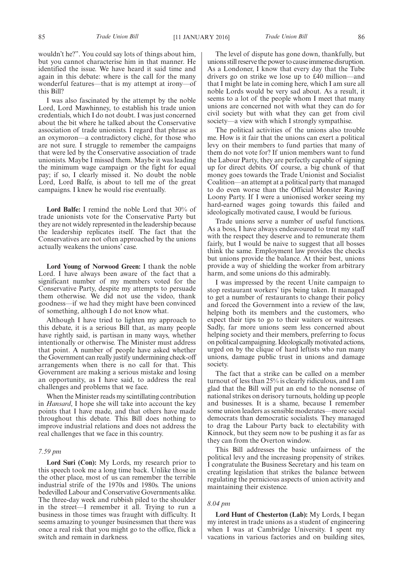wouldn't he?". You could say lots of things about him, but you cannot characterise him in that manner. He identified the issue. We have heard it said time and again in this debate: where is the call for the many wonderful features—that is my attempt at irony—of this Bill?

I was also fascinated by the attempt by the noble Lord, Lord Mawhinney, to establish his trade union credentials, which I do not doubt. I was just concerned about the bit where he talked about the Conservative association of trade unionists. I regard that phrase as an oxymoron—a contradictory cliché, for those who are not sure. I struggle to remember the campaigns that were led by the Conservative association of trade unionists. Maybe I missed them. Maybe it was leading the minimum wage campaign or the fight for equal pay; if so, I clearly missed it. No doubt the noble Lord, Lord Balfe, is about to tell me of the great campaigns. I knew he would rise eventually.

**Lord Balfe:** I remind the noble Lord that 30% of trade unionists vote for the Conservative Party but they are not widely represented in the leadership because the leadership replicates itself. The fact that the Conservatives are not often approached by the unions actually weakens the unions' case.

**Lord Young of Norwood Green:** I thank the noble Lord. I have always been aware of the fact that a significant number of my members voted for the Conservative Party, despite my attempts to persuade them otherwise. We did not use the video, thank goodness—if we had they might have been convinced of something, although I do not know what.

Although I have tried to lighten my approach to this debate, it is a serious Bill that, as many people have rightly said, is partisan in many ways, whether intentionally or otherwise. The Minister must address that point. A number of people have asked whether the Government can really justify undermining check-off arrangements when there is no call for that. This Government are making a serious mistake and losing an opportunity, as I have said, to address the real challenges and problems that we face.

When the Minister reads my scintillating contribution in *Hansard*, I hope she will take into account the key points that I have made, and that others have made throughout this debate. This Bill does nothing to improve industrial relations and does not address the real challenges that we face in this country.

# *7.59 pm*

**Lord Suri (Con):** My Lords, my research prior to this speech took me a long time back. Unlike those in the other place, most of us can remember the terrible industrial strife of the 1970s and 1980s. The unions bedevilled Labour and Conservative Governments alike. The three-day week and rubbish piled to the shoulder in the street—I remember it all. Trying to run a business in those times was fraught with difficulty. It seems amazing to younger businessmen that there was once a real risk that you might go to the office, flick a switch and remain in darkness.

The level of dispute has gone down, thankfully, but unions still reserve the power to cause immense disruption. As a Londoner, I know that every day that the Tube drivers go on strike we lose up to £40 million—and that I might be late in coming here, which I am sure all noble Lords would be very sad about. As a result, it seems to a lot of the people whom I meet that many unions are concerned not with what they can do for civil society but with what they can get from civil society—a view with which I strongly sympathise.

The political activities of the unions also trouble me. How is it fair that the unions can exert a political levy on their members to fund parties that many of them do not vote for? If union members want to fund the Labour Party, they are perfectly capable of signing up for direct debits. Of course, a big chunk of that money goes towards the Trade Unionist and Socialist Coalition—an attempt at a political party that managed to do even worse than the Official Monster Raving Loony Party. If I were a unionised worker seeing my hard-earned wages going towards this failed and ideologically motivated cause, I would be furious.

Trade unions serve a number of useful functions. As a boss, I have always endeavoured to treat my staff with the respect they deserve and to remunerate them fairly, but I would be naive to suggest that all bosses think the same. Employment law provides the checks but unions provide the balance. At their best, unions provide a way of shielding the worker from arbitrary harm, and some unions do this admirably.

I was impressed by the recent Unite campaign to stop restaurant workers' tips being taken. It managed to get a number of restaurants to change their policy and forced the Government into a review of the law, helping both its members and the customers, who expect their tips to go to their waiters or waitresses. Sadly, far more unions seem less concerned about helping society and their members, preferring to focus on political campaigning. Ideologically motivated actions, urged on by the clique of hard leftists who run many unions, damage public trust in unions and damage society.

The fact that a strike can be called on a member turnout of less than 25% is clearly ridiculous, and I am glad that the Bill will put an end to the nonsense of national strikes on derisory turnouts, holding up people and businesses. It is a shame, because I remember some union leaders as sensible moderates—more social democrats than democratic socialists. They managed to drag the Labour Party back to electability with Kinnock, but they seem now to be pushing it as far as they can from the Overton window.

This Bill addresses the basic unfairness of the political levy and the increasing propensity of strikes. I congratulate the Business Secretary and his team on creating legislation that strikes the balance between regulating the pernicious aspects of union activity and maintaining their existence.

#### *8.04 pm*

**Lord Hunt of Chesterton (Lab):** My Lords, I began my interest in trade unions as a student of engineering when I was at Cambridge University. I spent my vacations in various factories and on building sites,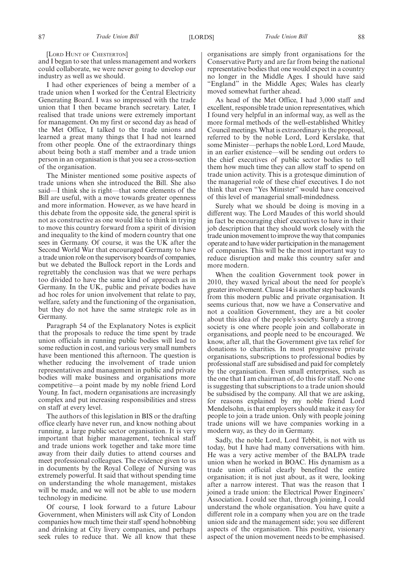[LORD HUNT OF CHESTERTON]

and I began to see that unless management and workers could collaborate, we were never going to develop our industry as well as we should.

I had other experiences of being a member of a trade union when I worked for the Central Electricity Generating Board. I was so impressed with the trade union that I then became branch secretary. Later, I realised that trade unions were extremely important for management. On my first or second day as head of the Met Office, I talked to the trade unions and learned a great many things that I had not learned from other people. One of the extraordinary things about being both a staff member and a trade union person in an organisation is that you see a cross-section of the organisation.

The Minister mentioned some positive aspects of trade unions when she introduced the Bill. She also said—I think she is right—that some elements of the Bill are useful, with a move towards greater openness and more information. However, as we have heard in this debate from the opposite side, the general spirit is not as constructive as one would like to think in trying to move this country forward from a spirit of division and inequality to the kind of modern country that one sees in Germany. Of course, it was the UK after the Second World War that encouraged Germany to have a trade union role on the supervisory boards of companies, but we debated the Bullock report in the Lords and regrettably the conclusion was that we were perhaps too divided to have the same kind of approach as in Germany. In the UK, public and private bodies have ad hoc roles for union involvement that relate to pay, welfare, safety and the functioning of the organisation, but they do not have the same strategic role as in Germany.

Paragraph 54 of the Explanatory Notes is explicit that the proposals to reduce the time spent by trade union officials in running public bodies will lead to some reduction in cost, and various very small numbers have been mentioned this afternoon. The question is whether reducing the involvement of trade union representatives and management in public and private bodies will make business and organisations more competitive—a point made by my noble friend Lord Young. In fact, modern organisations are increasingly complex and put increasing responsibilities and stress on staff at every level.

The authors of this legislation in BIS or the drafting office clearly have never run, and know nothing about running, a large public sector organisation. It is very important that higher management, technical staff and trade unions work together and take more time away from their daily duties to attend courses and meet professional colleagues. The evidence given to us in documents by the Royal College of Nursing was extremely powerful. It said that without spending time on understanding the whole management, mistakes will be made, and we will not be able to use modern technology in medicine.

Of course, I look forward to a future Labour Government, when Ministers will ask City of London companies how much time their staff spend hobnobbing and drinking at City livery companies, and perhaps seek rules to reduce that. We all know that these organisations are simply front organisations for the Conservative Party and are far from being the national representative bodies that one would expect in a country no longer in the Middle Ages. I should have said "England" in the Middle Ages; Wales has clearly moved somewhat further ahead.

As head of the Met Office, I had 3,000 staff and excellent, responsible trade union representatives, which I found very helpful in an informal way, as well as the more formal methods of the well-established Whitley Council meetings. What is extraordinary is the proposal, referred to by the noble Lord, Lord Kerslake, that some Minister—perhaps the noble Lord, Lord Maude, in an earlier existence—will be sending out orders to the chief executives of public sector bodies to tell them how much time they can allow staff to spend on trade union activity. This is a grotesque diminution of the managerial role of these chief executives. I do not think that even "Yes Minister" would have conceived of this level of managerial small-mindedness.

Surely what we should be doing is moving in a different way. The Lord Maudes of this world should in fact be encouraging chief executives to have in their job description that they should work closely with the trade union movement to improve the way that companies operate and to have wider participation in the management of companies. This will be the most important way to reduce disruption and make this country safer and more modern.

When the coalition Government took power in 2010, they waxed lyrical about the need for people's greater involvement. Clause 14 is another step backwards from this modern public and private organisation. It seems curious that, now we have a Conservative and not a coalition Government, they are a bit cooler about this idea of the people's society. Surely a strong society is one where people join and collaborate in organisations, and people need to be encouraged. We know, after all, that the Government give tax relief for donations to charities. In most progressive private organisations, subscriptions to professional bodies by professional staff are subsidised and paid for completely by the organisation. Even small enterprises, such as the one that I am chairman of, do this for staff. No one is suggesting that subscriptions to a trade union should be subsidised by the company. All that we are asking, for reasons explained by my noble friend Lord Mendelsohn, is that employers should make it easy for people to join a trade union. Only with people joining trade unions will we have companies working in a modern way, as they do in Germany.

Sadly, the noble Lord, Lord Tebbit, is not with us today, but I have had many conversations with him. He was a very active member of the BALPA trade union when he worked in BOAC. His dynamism as a trade union official clearly benefited the entire organisation; it is not just about, as it were, looking after a narrow interest. That was the reason that I joined a trade union: the Electrical Power Engineers' Association. I could see that, through joining, I could understand the whole organisation. You have quite a different role in a company when you are on the trade union side and the management side; you see different aspects of the organisation. This positive, visionary aspect of the union movement needs to be emphasised.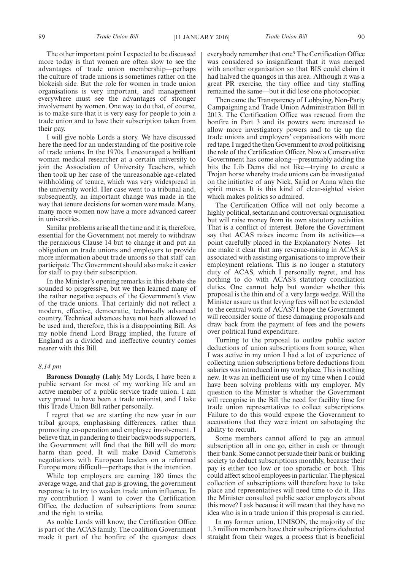The other important point I expected to be discussed more today is that women are often slow to see the advantages of trade union membership—perhaps the culture of trade unions is sometimes rather on the blokeish side. But the role for women in trade union organisations is very important, and management everywhere must see the advantages of stronger involvement by women. One way to do that, of course, is to make sure that it is very easy for people to join a trade union and to have their subscription taken from their pay.

I will give noble Lords a story. We have discussed here the need for an understanding of the positive role of trade unions. In the 1970s, I encouraged a brilliant woman medical researcher at a certain university to join the Association of University Teachers, which then took up her case of the unreasonable age-related withholding of tenure, which was very widespread in the university world. Her case went to a tribunal and, subsequently, an important change was made in the way that tenure decisions for women were made. Many, many more women now have a more advanced career in universities.

Similar problems arise all the time and it is, therefore, essential for the Government not merely to withdraw the pernicious Clause 14 but to change it and put an obligation on trade unions and employers to provide more information about trade unions so that staff can participate. The Government should also make it easier for staff to pay their subscription.

In the Minister's opening remarks in this debate she sounded so progressive, but we then learned many of the rather negative aspects of the Government's view of the trade unions. That certainly did not reflect a modern, effective, democratic, technically advanced country. Technical advances have not been allowed to be used and, therefore, this is a disappointing Bill. As my noble friend Lord Bragg implied, the future of England as a divided and ineffective country comes nearer with this Bill.

# *8.14 pm*

**Baroness Donaghy (Lab):** My Lords, I have been a public servant for most of my working life and an active member of a public service trade union. I am very proud to have been a trade unionist, and I take this Trade Union Bill rather personally.

I regret that we are starting the new year in our tribal groups, emphasising differences, rather than promoting co-operation and employee involvement. I believe that, in pandering to their backwoods supporters, the Government will find that the Bill will do more harm than good. It will make David Cameron's negotiations with European leaders on a reformed Europe more difficult—perhaps that is the intention.

While top employers are earning 180 times the average wage, and that gap is growing, the government response is to try to weaken trade union influence. In my contribution I want to cover the Certification Office, the deduction of subscriptions from source and the right to strike.

As noble Lords will know, the Certification Office is part of the ACAS family. The coalition Government made it part of the bonfire of the quangos: does everybody remember that one? The Certification Office was considered so insignificant that it was merged with another organisation so that BIS could claim it had halved the quangos in this area. Although it was a great PR exercise, the tiny office and tiny staffing remained the same—but it did lose one photocopier.

Then came the Transparency of Lobbying, Non-Party Campaigning and Trade Union Administration Bill in 2013. The Certification Office was rescued from the bonfire in Part 3 and its powers were increased to allow more investigatory powers and to tie up the trade unions and employers' organisations with more red tape. I urged the then Government to avoid politicising the role of the Certification Officer. Now a Conservative Government has come along—presumably adding the bits the Lib Dems did not like—trying to create a Trojan horse whereby trade unions can be investigated on the initiative of any Nick, Sajid or Anna when the spirit moves. It is this kind of clear-sighted vision which makes politics so admired.

The Certification Office will not only become a highly political, sectarian and controversial organisation but will raise money from its own statutory activities. That is a conflict of interest. Before the Government say that ACAS raises income from its activities—a point carefully placed in the Explanatory Notes—let me make it clear that any revenue-raising in ACAS is associated with assisting organisations to improve their employment relations. This is no longer a statutory duty of ACAS, which I personally regret, and has nothing to do with ACAS's statutory conciliation duties. One cannot help but wonder whether this proposal is the thin end of a very large wedge. Will the Minister assure us that levying fees will not be extended to the central work of ACAS? I hope the Government will reconsider some of these damaging proposals and draw back from the payment of fees and the powers over political fund expenditure.

Turning to the proposal to outlaw public sector deductions of union subscriptions from source, when I was active in my union I had a lot of experience of collecting union subscriptions before deductions from salaries was introduced in my workplace. This is nothing new. It was an inefficient use of my time when I could have been solving problems with my employer. My question to the Minister is whether the Government will recognise in the Bill the need for facility time for trade union representatives to collect subscriptions. Failure to do this would expose the Government to accusations that they were intent on sabotaging the ability to recruit.

Some members cannot afford to pay an annual subscription all in one go, either in cash or through their bank. Some cannot persuade their bank or building society to deduct subscriptions monthly, because their pay is either too low or too sporadic or both. This could affect school employees in particular. The physical collection of subscriptions will therefore have to take place and representatives will need time to do it. Has the Minister consulted public sector employers about this move? I ask because it will mean that they have no idea who is in a trade union if this proposal is carried.

In my former union, UNISON, the majority of the 1.3 million members have their subscriptions deducted straight from their wages, a process that is beneficial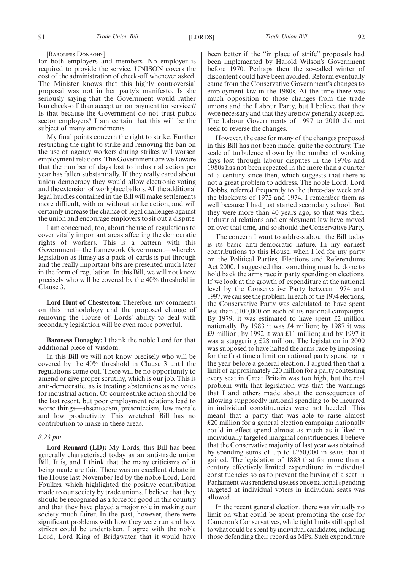[BARONESS DONAGHY]

for both employers and members. No employer is required to provide the service. UNISON covers the cost of the administration of check-off whenever asked. The Minister knows that this highly controversial proposal was not in her party's manifesto. Is she seriously saying that the Government would rather ban check-off than accept union payment for services? Is that because the Government do not trust public sector employers? I am certain that this will be the subject of many amendments.

My final points concern the right to strike. Further restricting the right to strike and removing the ban on the use of agency workers during strikes will worsen employment relations. The Government are well aware that the number of days lost to industrial action per year has fallen substantially. If they really cared about union democracy they would allow electronic voting and the extension of workplace ballots. All the additional legal hurdles contained in the Bill will make settlements more difficult, with or without strike action, and will certainly increase the chance of legal challenges against the union and encourage employers to sit out a dispute.

I am concerned, too, about the use of regulations to cover vitally important areas affecting the democratic rights of workers. This is a pattern with this Government—the framework Government—whereby legislation as flimsy as a pack of cards is put through and the really important bits are presented much later in the form of regulation. In this Bill, we will not know precisely who will be covered by the 40% threshold in Clause 3.

**Lord Hunt of Chesterton:** Therefore, my comments on this methodology and the proposed change of removing the House of Lords' ability to deal with secondary legislation will be even more powerful.

**Baroness Donaghy:** I thank the noble Lord for that additional piece of wisdom.

In this Bill we will not know precisely who will be covered by the 40% threshold in Clause 3 until the regulations come out. There will be no opportunity to amend or give proper scrutiny, which is our job. This is anti-democratic, as is treating abstentions as no votes for industrial action. Of course strike action should be the last resort, but poor employment relations lead to worse things—absenteeism, presenteeism, low morale and low productivity. This wretched Bill has no contribution to make in these areas.

#### *8.23 pm*

**Lord Rennard (LD):** My Lords, this Bill has been generally characterised today as an anti-trade union Bill. It is, and I think that the many criticisms of it being made are fair. There was an excellent debate in the House last November led by the noble Lord, Lord Foulkes, which highlighted the positive contribution made to our society by trade unions. I believe that they should be recognised as a force for good in this country and that they have played a major role in making our society much fairer. In the past, however, there were significant problems with how they were run and how strikes could be undertaken. I agree with the noble Lord, Lord King of Bridgwater, that it would have been better if the "in place of strife" proposals had been implemented by Harold Wilson's Government before 1970. Perhaps then the so-called winter of discontent could have been avoided. Reform eventually came from the Conservative Government's changes to employment law in the 1980s. At the time there was much opposition to those changes from the trade unions and the Labour Party, but I believe that they were necessary and that they are now generally accepted. The Labour Governments of 1997 to 2010 did not seek to reverse the changes.

However, the case for many of the changes proposed in this Bill has not been made; quite the contrary. The scale of turbulence shown by the number of working days lost through labour disputes in the 1970s and 1980s has not been repeated in the more than a quarter of a century since then, which suggests that there is not a great problem to address. The noble Lord, Lord Dobbs, referred frequently to the three-day week and the blackouts of 1972 and 1974. I remember them as well because I had just started secondary school. But they were more than 40 years ago, so that was then. Industrial relations and employment law have moved on over that time, and so should the Conservative Party.

The concern I want to address about the Bill today is its basic anti-democratic nature. In my earliest contributions to this House, when I led for my party on the Political Parties, Elections and Referendums Act 2000, I suggested that something must be done to hold back the arms race in party spending on elections. If we look at the growth of expenditure at the national level by the Conservative Party between 1974 and 1997, we can see the problem. In each of the 1974 elections, the Conservative Party was calculated to have spent less than £100,000 on each of its national campaigns. By 1979, it was estimated to have spent £2 million nationally. By 1983 it was £4 million; by 1987 it was £9 million; by 1992 it was £11 million; and by 1997 it was a staggering £28 million. The legislation in 2000 was supposed to have halted the arms race by imposing for the first time a limit on national party spending in the year before a general election. I argued then that a limit of approximately £20 million for a party contesting every seat in Great Britain was too high, but the real problem with that legislation was that the warnings that I and others made about the consequences of allowing supposedly national spending to be incurred in individual constituencies were not heeded. This meant that a party that was able to raise almost £20 million for a general election campaign nationally could in effect spend almost as much as it liked in individually targeted marginal constituencies. I believe that the Conservative majority of last year was obtained by spending sums of up to £250,000 in seats that it gained. The legislation of 1883 that for more than a century effectively limited expenditure in individual constituencies so as to prevent the buying of a seat in Parliament was rendered useless once national spending targeted at individual voters in individual seats was allowed.

In the recent general election, there was virtually no limit on what could be spent promoting the case for Cameron's Conservatives, while tight limits still applied to what could be spent by individual candidates, including those defending their record as MPs. Such expenditure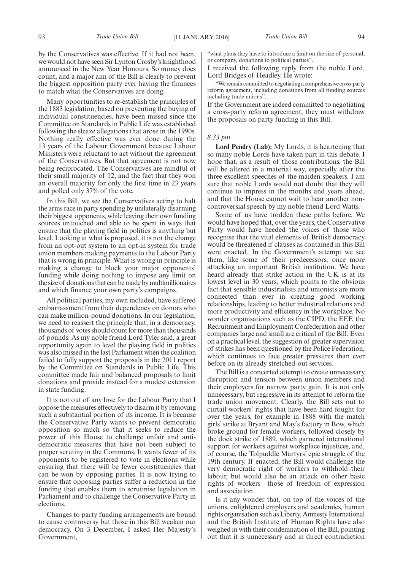by the Conservatives was effective. If it had not been, we would not have seen Sir Lynton Crosby's knighthood announced in the New Year Honours. So money does count, and a major aim of the Bill is clearly to prevent the biggest opposition party ever having the finances to match what the Conservatives are doing.

Many opportunities to re-establish the principles of the 1883 legislation, based on preventing the buying of individual constituencies, have been missed since the Committee on Standards in Public Life was established following the sleaze allegations that arose in the 1990s. Nothing really effective was ever done during the 13 years of the Labour Government because Labour Ministers were reluctant to act without the agreement of the Conservatives. But that agreement is not now being reciprocated. The Conservatives are mindful of their small majority of 12, and the fact that they won an overall majority for only the first time in 23 years and polled only 37% of the vote.

In this Bill, we see the Conservatives acting to halt the arms race in party spending by unilaterally disarming their biggest opponents, while leaving their own funding sources untouched and able to be spent in ways that ensure that the playing field in politics is anything but level. Looking at what is proposed, it is not the change from an opt-out system to an opt-in system for trade union members making payments to the Labour Party that is wrong in principle. What is wrong in principle is making a change to block your major opponents' funding while doing nothing to impose any limit on the size of donations that can bemade bymultimillionaires and which finance your own party's campaigns.

All political parties, my own included, have suffered embarrassment from their dependency on donors who can make million-pound donations. In our legislation, we need to reassert the principle that, in a democracy, thousands of votes should count for more than thousands of pounds. As my noble friend Lord Tyler said, a great opportunity again to level the playing field in politics was also missed in the last Parliament when the coalition failed to fully support the proposals in the 2011 report by the Committee on Standards in Public Life. This committee made fair and balanced proposals to limit donations and provide instead for a modest extension in state funding.

It is not out of any love for the Labour Party that I oppose the measures effectively to disarm it by removing such a substantial portion of its income. It is because the Conservative Party wants to prevent democratic opposition so much so that it seeks to reduce the power of this House to challenge unfair and antidemocratic measures that have not been subject to proper scrutiny in the Commons. It wants fewer of its opponents to be registered to vote in elections while ensuring that there will be fewer constituencies that can be won by opposing parties. It is now trying to ensure that opposing parties suffer a reduction in the funding that enables them to scrutinise legislation in Parliament and to challenge the Conservative Party in elections.

Changes to party funding arrangements are bound to cause controversy but those in this Bill weaken our democracy. On 3 December, I asked Her Majesty's Government,

"what plans they have to introduce a limit on the size of personal, or company, donations to political parties".

I received the following reply from the noble Lord, Lord Bridges of Headley. He wrote:

"We remain committed to negotiating a comprehensive cross-party reform agreement, including donations from all funding sources including trade unions".

If the Government are indeed committed to negotiating a cross-party reform agreement, they must withdraw the proposals on party funding in this Bill.

## *8.33 pm*

**Lord Pendry (Lab):** My Lords, it is heartening that so many noble Lords have taken part in this debate. I hope that, as a result of those contributions, the Bill will be altered in a material way, especially after the three excellent speeches of the maiden speakers. I am sure that noble Lords would not doubt that they will continue to impress in the months and years ahead, and that the House cannot wait to hear another noncontroversial speech by my noble friend Lord Watts.

Some of us have trodden these paths before. We would have hoped that, over the years, the Conservative Party would have heeded the voices of those who recognise that the vital elements of British democracy would be threatened if clauses as contained in this Bill were enacted. In the Government's attempt we see them, like some of their predecessors, once more attacking an important British institution. We have heard already that strike action in the UK is at its lowest level in 30 years, which points to the obvious fact that sensible industrialists and unionists are more connected than ever in creating good working relationships, leading to better industrial relations and more productivity and efficiency in the workplace. No wonder organisations such as the CIPD, the EEF, the Recruitment and Employment Confederation and other companies large and small are critical of the Bill. Even on a practical level, the suggestion of greater supervision of strikes has been questioned by the Police Federation, which continues to face greater pressures than ever before on its already stretched-out services.

The Bill is a concerted attempt to create unnecessary disruption and tension between union members and their employers for narrow party gain. It is not only unnecessary, but regressive in its attempt to reform the trade union movement. Clearly, the Bill sets out to curtail workers' rights that have been hard fought for over the years, for example in 1888 with the match girls' strike at Bryant and May's factory in Bow, which broke ground for female workers, followed closely by the dock strike of 1889, which garnered international support for workers against workplace injustices, and, of course, the Tolpuddle Martyrs' epic struggle of the 19th century. If enacted, the Bill would challenge the very democratic right of workers to withhold their labour, but would also be an attack on other basic rights of workers—those of freedom of expression and association.

Is it any wonder that, on top of the voices of the unions, enlightened employers and academics, human rights organisation such as Liberty, Amnesty International and the British Institute of Human Rights have also weighed in with their condemnation of the Bill, pointing out that it is unnecessary and in direct contradiction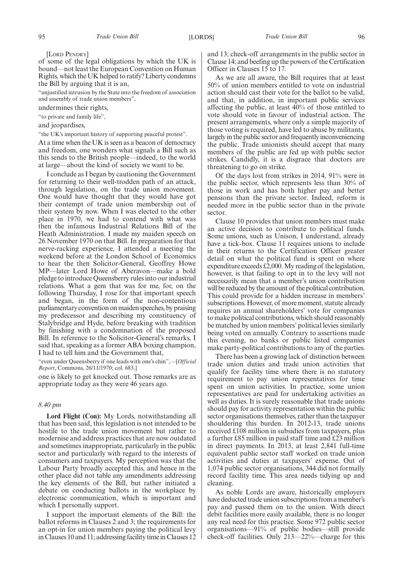[LORD PENDRY]

of some of the legal obligations by which the UK is bound—not least the European Convention on Human Rights, which the UK helped to ratify? Liberty condemns the Bill by arguing that it is an,

"unjustified intrusion by the State into the freedom of association and assembly of trade union members",

undermines their rights,

"to private and family life",

and jeopardises,

"the UK's important history of supporting peaceful protest".

At a time when the UK is seen as a beacon of democracy and freedom, one wonders what signals a Bill such as this sends to the British people—indeed, to the world at large—about the kind of society we want to be.

I conclude as I began by cautioning the Government for returning to their well-trodden path of an attack, through legislation, on the trade union movement. One would have thought that they would have got their contempt of trade union membership out of their system by now. When I was elected to the other place in 1970, we had to contend with what was then the infamous Industrial Relations Bill of the Heath Administration. I made my maiden speech on 26 November 1970 on that Bill. In preparation for that nerve-racking experience, I attended a meeting the weekend before at the London School of Economics to hear the then Solicitor-General, Geoffrey Howe MP—later Lord Howe of Aberavon—make a bold pledge to introduce Queensberry rules into our industrial relations. What a gem that was for me, for, on the following Thursday, I rose for that important speech and began, in the form of the non-contentious parliamentary convention on maiden speeches, by praising my predecessor and describing my constituency of Stalybridge and Hyde, before breaking with tradition by finishing with a condemnation of the proposed Bill. In reference to the Solicitor-General's remarks, I said that, speaking as a former ABA boxing champion, I had to tell him and the Government that,

"even under Queensberry if one leads with one's chin",—[*Official Report*, Commons, 26/11/1970; col. 683.]

one is likely to get knocked out. Those remarks are as appropriate today as they were 46 years ago.

#### *8.40 pm*

**Lord Flight (Con):** My Lords, notwithstanding all that has been said, this legislation is not intended to be hostile to the trade union movement but rather to modernise and address practices that are now outdated and sometimes inappropriate, particularly in the public sector and particularly with regard to the interests of consumers and taxpayers. My perception was that the Labour Party broadly accepted this, and hence in the other place did not table any amendments addressing the key elements of the Bill, but rather initiated a debate on conducting ballots in the workplace by electronic communication, which is important and which I personally support.

I support the important elements of the Bill: the ballot reforms in Clauses 2 and 3; the requirements for an opt-in for union members paying the political levy in Clauses 10 and 11; addressing facility time in Clauses 12 and 13; check-off arrangements in the public sector in Clause 14; and beefing up the powers of the Certification Officer in Clauses 15 to 17.

As we are all aware, the Bill requires that at least 50% of union members entitled to vote on industrial action should cast their vote for the ballot to be valid, and that, in addition, in important public services affecting the public, at least 40% of those entitled to vote should vote in favour of industrial action. The present arrangements, where only a simple majority of those voting is required, have led to abuse by militants, largely in the public sector and frequently inconveniencing the public. Trade unionists should accept that many members of the public are fed up with public sector strikes. Candidly, it is a disgrace that doctors are threatening to go on strike.

Of the days lost from strikes in 2014, 91% were in the public sector, which represents less than 30% of those in work and has both higher pay and better pensions than the private sector. Indeed, reform is needed more in the public sector than in the private sector.

Clause 10 provides that union members must make an active decision to contribute to political funds. Some unions, such as Unison, I understand, already have a tick-box. Clause 11 requires unions to include in their returns to the Certification Officer greater detail on what the political fund is spent on where expenditure exceeds £2,000.My reading of the legislation, however, is that failing to opt in to the levy will not necessarily mean that a member's union contribution will be reduced by the amount of the political contribution. This could provide for a hidden increase in members' subscriptions. However, of more moment, statute already requires an annual shareholders' vote for companies to make political contributions, which should reasonably be matched by union members' political levies similarly being voted on annually. Contrary to assertions made this evening, no banks or public listed companies make party-political contributions to any of the parties.

There has been a growing lack of distinction between trade union duties and trade union activities that qualify for facility time where there is no statutory requirement to pay union representatives for time spent on union activities. In practice, some union representatives are paid for undertaking activities as well as duties. It is surely reasonable that trade unions should pay for activity representation within the public sector organisations themselves, rather than the taxpayer shouldering this burden. In 2012-13, trade unions received £108 million in subsidies from taxpayers, plus a further £85 million in paid staff time and £23 million in direct payments. In 2013, at least 2,841 full-time equivalent public sector staff worked on trade union activities and duties at taxpayers' expense. Out of 1,074 public sector organisations, 344 did not formally record facility time. This area needs tidying up and cleaning.

As noble Lords are aware, historically employers have deducted trade union subscriptions from a member's pay and passed them on to the union. With direct debit facilities more easily available, there is no longer any real need for this practice. Some 972 public sector organisations—91% of public bodies—still provide check-off facilities. Only 213—22%—charge for this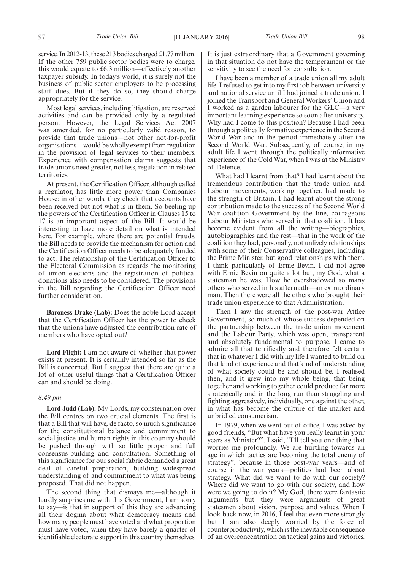service. In 2012-13, these 213 bodies charged £1.77 million. If the other 759 public sector bodies were to charge, this would equate to £6.3 million—effectively another taxpayer subsidy. In today's world, it is surely not the business of public sector employers to be processing staff dues. But if they do so, they should charge appropriately for the service.

Most legal services, including litigation, are reserved activities and can be provided only by a regulated person. However, the Legal Services Act 2007 was amended, for no particularly valid reason, to provide that trade unions—not other not-for-profit organisations—would be wholly exempt from regulation in the provision of legal services to their members. Experience with compensation claims suggests that trade unions need greater, not less, regulation in related territories.

At present, the Certification Officer, although called a regulator, has little more power than Companies House: in other words, they check that accounts have been received but not what is in them. So beefing up the powers of the Certification Officer in Clauses 15 to 17 is an important aspect of the Bill. It would be interesting to have more detail on what is intended here. For example, where there are potential frauds, the Bill needs to provide the mechanism for action and the Certification Officer needs to be adequately funded to act. The relationship of the Certification Officer to the Electoral Commission as regards the monitoring of union elections and the registration of political donations also needs to be considered. The provisions in the Bill regarding the Certification Officer need further consideration.

**Baroness Drake (Lab):** Does the noble Lord accept that the Certification Officer has the power to check that the unions have adjusted the contribution rate of members who have opted out?

**Lord Flight:** I am not aware of whether that power exists at present. It is certainly intended so far as the Bill is concerned. But I suggest that there are quite a lot of other useful things that a Certification Officer can and should be doing.

# *8.49 pm*

**Lord Judd (Lab):** My Lords, my consternation over the Bill centres on two crucial elements. The first is that a Bill that will have, de facto, so much significance for the constitutional balance and commitment to social justice and human rights in this country should be pushed through with so little proper and full consensus-building and consultation. Something of this significance for our social fabric demanded a great deal of careful preparation, building widespread understanding of and commitment to what was being proposed. That did not happen.

The second thing that dismays me—although it hardly surprises me with this Government, I am sorry to say—is that in support of this they are advancing all their dogma about what democracy means and how many people must have voted and what proportion must have voted, when they have barely a quarter of identifiable electorate support in this country themselves.

It is just extraordinary that a Government governing in that situation do not have the temperament or the sensitivity to see the need for consultation.

I have been a member of a trade union all my adult life. I refused to get into my first job between university and national service until I had joined a trade union. I joined the Transport and General Workers' Union and I worked as a garden labourer for the GLC—a very important learning experience so soon after university. Why had I come to this position? Because I had been through a politically formative experience in the Second World War and in the period immediately after the Second World War. Subsequently, of course, in my adult life I went through the politically informative experience of the Cold War, when I was at the Ministry of Defence.

What had I learnt from that? I had learnt about the tremendous contribution that the trade union and Labour movements, working together, had made to the strength of Britain. I had learnt about the strong contribution made to the success of the Second World War coalition Government by the fine, courageous Labour Ministers who served in that coalition. It has become evident from all the writing—biographies, autobiographies and the rest—that in the work of the coalition they had, personally, not unlively relationships with some of their Conservative colleagues, including the Prime Minister, but good relationships with them. I think particularly of Ernie Bevin. I did not agree with Ernie Bevin on quite a lot but, my God, what a statesman he was. How he overshadowed so many others who served in his aftermath—an extraordinary man. Then there were all the others who brought their trade union experience to that Administration.

Then I saw the strength of the post-war Attlee Government, so much of whose success depended on the partnership between the trade union movement and the Labour Party, which was open, transparent and absolutely fundamental to purpose. I came to admire all that terrifically and therefore felt certain that in whatever I did with my life I wanted to build on that kind of experience and that kind of understanding of what society could be and should be. I realised then, and it grew into my whole being, that being together and working together could produce far more strategically and in the long run than struggling and fighting aggressively, individually, one against the other, in what has become the culture of the market and unbridled consumerism.

In 1979, when we went out of office, I was asked by good friends, "But what have you really learnt in your years as Minister?". I said, "I'll tell you one thing that worries me profoundly. We are hurtling towards an age in which tactics are becoming the total enemy of strategy", because in those post-war years—and of course in the war years—politics had been about strategy. What did we want to do with our society? Where did we want to go with our society, and how were we going to do it? My God, there were fantastic arguments but they were arguments of great statesmen about vision, purpose and values. When I look back now, in 2016, I feel that even more strongly but I am also deeply worried by the force of counterproductivity, which is the inevitable consequence of an overconcentration on tactical gains and victories.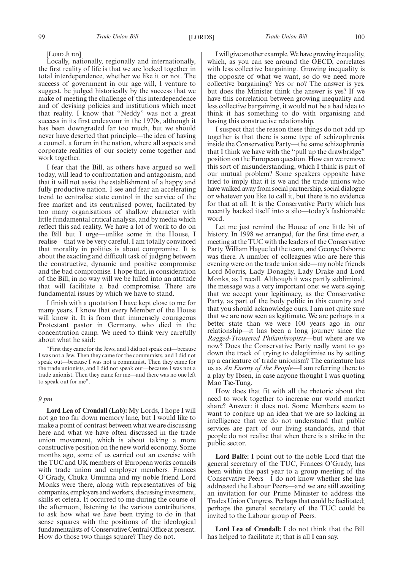[LORD JUDD]

Locally, nationally, regionally and internationally, the first reality of life is that we are locked together in total interdependence, whether we like it or not. The success of government in our age will, I venture to suggest, be judged historically by the success that we make of meeting the challenge of this interdependence and of devising policies and institutions which meet that reality. I know that "Neddy" was not a great success in its first endeavour in the 1970s, although it has been downgraded far too much, but we should never have deserted that principle—the idea of having a council, a forum in the nation, where all aspects and corporate realities of our society come together and work together.

I fear that the Bill, as others have argued so well today, will lead to confrontation and antagonism, and that it will not assist the establishment of a happy and fully productive nation. I see and fear an accelerating trend to centralise state control in the service of the free market and its centralised power, facilitated by too many organisations of shallow character with little fundamental critical analysis, and by media which reflect this sad reality. We have a lot of work to do on the Bill but I urge—unlike some in the House, I realise—that we be very careful. I am totally convinced that morality in politics is about compromise. It is about the exacting and difficult task of judging between the constructive, dynamic and positive compromise and the bad compromise. I hope that, in consideration of the Bill, in no way will we be lulled into an attitude that will facilitate a bad compromise. There are fundamental issues by which we have to stand.

I finish with a quotation I have kept close to me for many years. I know that every Member of the House will know it. It is from that immensely courageous Protestant pastor in Germany, who died in the concentration camp. We need to think very carefully about what he said:

"First they came for the Jews, and I did not speak out—because I was not a Jew. Then they came for the communists, and I did not speak out—because I was not a communist. Then they came for the trade unionists, and I did not speak out—because I was not a trade unionist. Then they came for me—and there was no one left to speak out for me".

## *9 pm*

**Lord Lea of Crondall (Lab):** My Lords, I hope I will not go too far down memory lane, but I would like to make a point of contrast between what we are discussing here and what we have often discussed in the trade union movement, which is about taking a more constructive position on the new world economy. Some months ago, some of us carried out an exercise with the TUC and UK members of European works councils with trade union and employer members. Frances O'Grady, Chuka Umunna and my noble friend Lord Monks were there, along with representatives of big companies, employers and workers, discussing investment, skills et cetera. It occurred to me during the course of the afternoon, listening to the various contributions, to ask how what we have been trying to do in that sense squares with the positions of the ideological fundamentalists of Conservative Central Office at present. How do those two things square? They do not.

I will give another example.We have growing inequality, which, as you can see around the OECD, correlates with less collective bargaining. Growing inequality is the opposite of what we want, so do we need more collective bargaining? Yes or no? The answer is yes, but does the Minister think the answer is yes? If we have this correlation between growing inequality and less collective bargaining, it would not be a bad idea to think it has something to do with organising and having this constructive relationship.

I suspect that the reason these things do not add up together is that there is some type of schizophrenia inside the Conservative Party—the same schizophrenia that I think we have with the "pull up the drawbridge" position on the European question. How can we remove this sort of misunderstanding, which I think is part of our mutual problem? Some speakers opposite have tried to imply that it is we and the trade unions who have walked away from social partnership, social dialogue or whatever you like to call it, but there is no evidence for that at all. It is the Conservative Party which has recently backed itself into a silo—today's fashionable word.

Let me just remind the House of one little bit of history. In 1998 we arranged, for the first time ever, a meeting at the TUC with the leaders of the Conservative Party. William Hague led the team, and George Osborne was there. A number of colleagues who are here this evening were on the trade union side—my noble friends Lord Morris, Lady Donaghy, Lady Drake and Lord Monks, as I recall. Although it was partly subliminal, the message was a very important one: we were saying that we accept your legitimacy, as the Conservative Party, as part of the body politic in this country and that you should acknowledge ours. I am not quite sure that we are now seen as legitimate. We are perhaps in a better state than we were 100 years ago in our relationship—it has been a long journey since the *Ragged-Trousered Philanthropists*—but where are we now? Does the Conservative Party really want to go down the track of trying to delegitimise us by setting up a caricature of trade unionism? The caricature has us as *An Enemy of the People*—I am referring there to a play by Ibsen, in case anyone thought I was quoting Mao Tse-Tung.

How does that fit with all the rhetoric about the need to work together to increase our world market share? Answer: it does not. Some Members seem to want to conjure up an idea that we are so lacking in intelligence that we do not understand that public services are part of our living standards, and that people do not realise that when there is a strike in the public sector.

**Lord Balfe:** I point out to the noble Lord that the general secretary of the TUC, Frances O'Grady, has been within the past year to a group meeting of the Conservative Peers—I do not know whether she has addressed the Labour Peers—and we are still awaiting an invitation for our Prime Minister to address the Trades Union Congress. Perhaps that could be facilitated; perhaps the general secretary of the TUC could be invited to the Labour group of Peers.

**Lord Lea of Crondall:** I do not think that the Bill has helped to facilitate it; that is all I can say.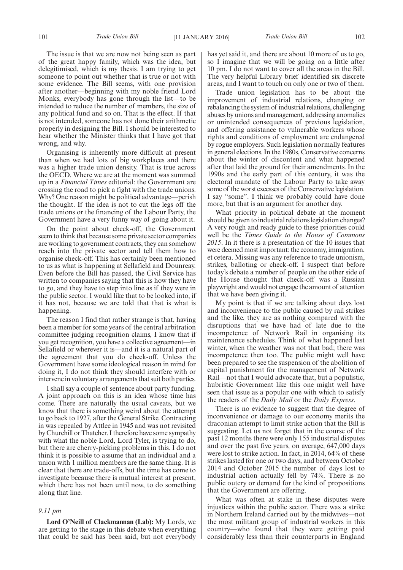The issue is that we are now not being seen as part of the great happy family, which was the idea, but delegitimised, which is my thesis. I am trying to get someone to point out whether that is true or not with some evidence. The Bill seems, with one provision after another—beginning with my noble friend Lord Monks, everybody has gone through the list—to be intended to reduce the number of members, the size of any political fund and so on. That is the effect. If that is not intended, someone has not done their arithmetic properly in designing the Bill. I should be interested to hear whether the Minister thinks that I have got that wrong, and why.

Organising is inherently more difficult at present than when we had lots of big workplaces and there was a higher trade union density. That is true across the OECD. Where we are at the moment was summed up in a *Financial Times* editorial: the Government are crossing the road to pick a fight with the trade unions. Why? One reason might be political advantage—perish the thought. If the idea is not to cut the legs off the trade unions or the financing of the Labour Party, the Government have a very funny way of going about it.

On the point about check-off, the Government seem to think that because some private sector companies are working to government contracts, they can somehow reach into the private sector and tell them how to organise check-off. This has certainly been mentioned to us as what is happening at Sellafield and Dounreay. Even before the Bill has passed, the Civil Service has written to companies saying that this is how they have to go, and they have to step into line as if they were in the public sector. I would like that to be looked into, if it has not, because we are told that that is what is happening.

The reason I find that rather strange is that, having been a member for some years of the central arbitration committee judging recognition claims, I know that if you get recognition, you have a collective agreement—in Sellafield or wherever it is—and it is a natural part of the agreement that you do check-off. Unless the Government have some ideological reason in mind for doing it, I do not think they should interfere with or intervene in voluntary arrangements that suit both parties.

I shall say a couple of sentence about party funding. A joint approach on this is an idea whose time has come. There are naturally the usual caveats, but we know that there is something weird about the attempt to go back to 1927, after the General Strike. Contracting in was repealed by Attlee in 1945 and was not revisited by Churchill or Thatcher. I therefore have some sympathy with what the noble Lord, Lord Tyler, is trying to do, but there are cherry-picking problems in this. I do not think it is possible to assume that an individual and a union with 1 million members are the same thing. It is clear that there are trade-offs, but the time has come to investigate because there is mutual interest at present, which there has not been until now, to do something along that line.

# *9.11 pm*

**Lord O'Neill of Clackmannan (Lab):** My Lords, we are getting to the stage in this debate when everything that could be said has been said, but not everybody has yet said it, and there are about 10 more of us to go, so I imagine that we will be going on a little after 10 pm. I do not want to cover all the areas in the Bill. The very helpful Library brief identified six discrete areas, and I want to touch on only one or two of them.

Trade union legislation has to be about the improvement of industrial relations, changing or rebalancing the system of industrial relations, challenging abuses by unions and management, addressing anomalies or unintended consequences of previous legislation, and offering assistance to vulnerable workers whose rights and conditions of employment are endangered by rogue employers. Such legislation normally features in general elections. In the 1980s, Conservative concerns about the winter of discontent and what happened after that laid the ground for their amendments. In the 1990s and the early part of this century, it was the electoral mandate of the Labour Party to take away some of the worst excesses of the Conservative legislation. I say "some". I think we probably could have done more, but that is an argument for another day.

What priority in political debate at the moment should be given to industrial relations legislation changes? A very rough and ready guide to these priorities could well be the *Times Guide to the House of Commons 2015*. In it there is a presentation of the 10 issues that were deemed most important: the economy, immigration, et cetera. Missing was any reference to trade unionism, strikes, balloting or check-off. I suspect that before today's debate a number of people on the other side of the House thought that check-off was a Russian playwright and would not engage the amount of attention that we have been giving it.

My point is that if we are talking about days lost and inconvenience to the public caused by rail strikes and the like, they are as nothing compared with the disruptions that we have had of late due to the incompetence of Network Rail in organising its maintenance schedules. Think of what happened last winter, when the weather was not that bad; there was incompetence then too. The public might well have been prepared to see the suspension of the abolition of capital punishment for the management of Network Rail—not that I would advocate that, but a populistic, hubristic Government like this one might well have seen that issue as a popular one with which to satisfy the readers of the *Daily Mail* or the *Daily Express*.

There is no evidence to suggest that the degree of inconvenience or damage to our economy merits the draconian attempt to limit strike action that the Bill is suggesting. Let us not forget that in the course of the past 12 months there were only 155 industrial disputes and over the past five years, on average, 647,000 days were lost to strike action. In fact, in 2014, 64% of these strikes lasted for one or two days, and between October 2014 and October 2015 the number of days lost to industrial action actually fell by 74%. There is no public outcry or demand for the kind of propositions that the Government are offering.

What was often at stake in these disputes were injustices within the public sector. There was a strike in Northern Ireland carried out by the midwives—not the most militant group of industrial workers in this country—who found that they were getting paid considerably less than their counterparts in England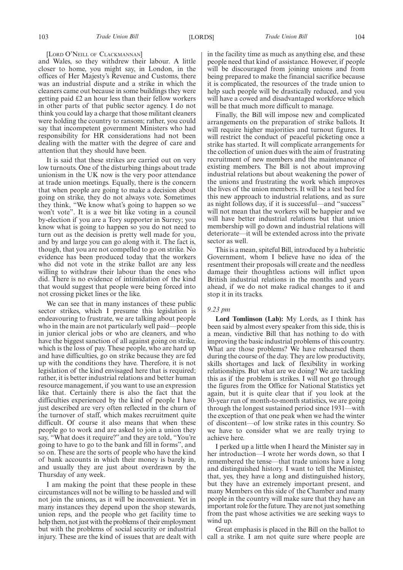#### [LORD O'NEILL OF CLACKMANNAN]

and Wales, so they withdrew their labour. A little closer to home, you might say, in London, in the offices of Her Majesty's Revenue and Customs, there was an industrial dispute and a strike in which the cleaners came out because in some buildings they were getting paid £2 an hour less than their fellow workers in other parts of that public sector agency. I do not think you could lay a charge that those militant cleaners were holding the country to ransom; rather, you could say that incompetent government Ministers who had responsibility for HR considerations had not been dealing with the matter with the degree of care and attention that they should have been.

It is said that these strikes are carried out on very low turnouts. One of the disturbing things about trade unionism in the UK now is the very poor attendance at trade union meetings. Equally, there is the concern that when people are going to make a decision about going on strike, they do not always vote. Sometimes they think, "We know what's going to happen so we won't vote". It is a wee bit like voting in a council by-election if you are a Tory supporter in Surrey; you know what is going to happen so you do not need to turn out as the decision is pretty well made for you, and by and large you can go along with it. The fact is, though, that you are not compelled to go on strike. No evidence has been produced today that the workers who did not vote in the strike ballot are any less willing to withdraw their labour than the ones who did. There is no evidence of intimidation of the kind that would suggest that people were being forced into not crossing picket lines or the like.

We can see that in many instances of these public sector strikes, which I presume this legislation is endeavouring to frustrate, we are talking about people who in the main are not particularly well paid—people in junior clerical jobs or who are cleaners, and who have the biggest sanction of all against going on strike, which is the loss of pay. These people, who are hard up and have difficulties, go on strike because they are fed up with the conditions they have. Therefore, it is not legislation of the kind envisaged here that is required; rather, it is better industrial relations and better human resource management, if you want to use an expression like that. Certainly there is also the fact that the difficulties experienced by the kind of people I have just described are very often reflected in the churn of the turnover of staff, which makes recruitment quite difficult. Of course it also means that when these people go to work and are asked to join a union they say, "What does it require?" and they are told, "You're going to have to go to the bank and fill in forms", and so on. These are the sorts of people who have the kind of bank accounts in which their money is barely in, and usually they are just about overdrawn by the Thursday of any week.

I am making the point that these people in these circumstances will not be willing to be hassled and will not join the unions, as it will be inconvenient. Yet in many instances they depend upon the shop stewards, union reps, and the people who get facility time to help them, not just with the problems of their employment but with the problems of social security or industrial injury. These are the kind of issues that are dealt with in the facility time as much as anything else, and these people need that kind of assistance. However, if people will be discouraged from joining unions and from being prepared to make the financial sacrifice because it is complicated, the resources of the trade union to help such people will be drastically reduced, and you will have a cowed and disadvantaged workforce which will be that much more difficult to manage.

Finally, the Bill will impose new and complicated arrangements on the preparation of strike ballots. It will require higher majorities and turnout figures. It will restrict the conduct of peaceful picketing once a strike has started. It will complicate arrangements for the collection of union dues with the aim of frustrating recruitment of new members and the maintenance of existing members. The Bill is not about improving industrial relations but about weakening the power of the unions and frustrating the work which improves the lives of the union members. It will be a test bed for this new approach to industrial relations, and as sure as night follows day, if it is successful—and "success" will not mean that the workers will be happier and we will have better industrial relations but that union membership will go down and industrial relations will deteriorate—it will be extended across into the private sector as well.

This is a mean, spiteful Bill, introduced by a hubristic Government, whom I believe have no idea of the resentment their proposals will create and the needless damage their thoughtless actions will inflict upon British industrial relations in the months and years ahead, if we do not make radical changes to it and stop it in its tracks.

# *9.23 pm*

**Lord Tomlinson (Lab):** My Lords, as I think has been said by almost every speaker from this side, this is a mean, vindictive Bill that has nothing to do with improving the basic industrial problems of this country. What are those problems? We have rehearsed them during the course of the day. They are low productivity, skills shortages and lack of flexibility in working relationships. But what are we doing? We are tackling this as if the problem is strikes. I will not go through the figures from the Office for National Statistics yet again, but it is quite clear that if you look at the 30-year run of month-to-month statistics, we are going through the longest sustained period since 1931—with the exception of that one peak when we had the winter of discontent—of low strike rates in this country. So we have to consider what we are really trying to achieve here.

I perked up a little when I heard the Minister say in her introduction—I wrote her words down, so that I remembered the tense—that trade unions have a long and distinguished history. I want to tell the Minister, that, yes, they have a long and distinguished history, but they have an extremely important present, and many Members on this side of the Chamber and many people in the country will make sure that they have an important role for the future. They are not just something from the past whose activities we are seeking ways to wind up.

Great emphasis is placed in the Bill on the ballot to call a strike. I am not quite sure where people are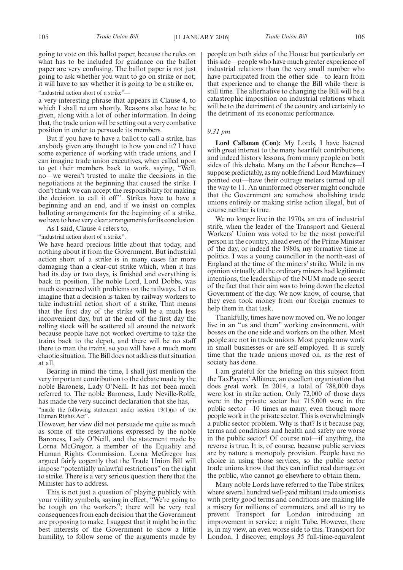going to vote on this ballot paper, because the rules on what has to be included for guidance on the ballot paper are very confusing. The ballot paper is not just going to ask whether you want to go on strike or not; it will have to say whether it is going to be a strike or, "industrial action short of a strike"-

a very interesting phrase that appears in Clause 4, to which I shall return shortly. Reasons also have to be given, along with a lot of other information. In doing that, the trade union will be setting out a very combative position in order to persuade its members.

But if you have to have a ballot to call a strike, has anybody given any thought to how you end it? I have some experience of working with trade unions, and I can imagine trade union executives, when called upon to get their members back to work, saying, "Well, no—we weren't trusted to make the decisions in the negotiations at the beginning that caused the strike. I don't think we can accept the responsibility for making the decision to call it off". Strikes have to have a beginning and an end, and if we insist on complex balloting arrangements for the beginning of a strike, we have to have very clear arrangements for its conclusion.

As I said, Clause 4 refers to,

"industrial action short of a strike".

We have heard precious little about that today, and nothing about it from the Government. But industrial action short of a strike is in many cases far more damaging than a clear-cut strike which, when it has had its day or two days, is finished and everything is back in position. The noble Lord, Lord Dobbs, was much concerned with problems on the railways. Let us imagine that a decision is taken by railway workers to take industrial action short of a strike. That means that the first day of the strike will be a much less inconvenient day, but at the end of the first day the rolling stock will be scattered all around the network because people have not worked overtime to take the trains back to the depot, and there will be no staff there to man the trains, so you will have a much more chaotic situation. The Bill does not address that situation at all.

Bearing in mind the time, I shall just mention the very important contribution to the debate made by the noble Baroness, Lady O'Neill. It has not been much referred to. The noble Baroness, Lady Neville-Rolfe, has made the very succinct declaration that she has,

"made the following statement under section  $19(1)(a)$  of the Human Rights Act".

However, her view did not persuade me quite as much as some of the reservations expressed by the noble Baroness, Lady O'Neill, and the statement made by Lorna McGregor, a member of the Equality and Human Rights Commission. Lorna McGregor has argued fairly cogently that the Trade Union Bill will impose "potentially unlawful restrictions" on the right to strike. There is a very serious question there that the Minister has to address.

This is not just a question of playing publicly with your virility symbols, saying in effect, "We're going to be tough on the workers"; there will be very real consequences from each decision that the Government are proposing to make. I suggest that it might be in the best interests of the Government to show a little humility, to follow some of the arguments made by

people on both sides of the House but particularly on this side—people who have much greater experience of industrial relations than the very small number who have participated from the other side—to learn from that experience and to change the Bill while there is still time. The alternative to changing the Bill will be a catastrophic imposition on industrial relations which will be to the detriment of the country and certainly to the detriment of its economic performance.

# *9.31 pm*

**Lord Callanan (Con):** My Lords, I have listened with great interest to the many heartfelt contributions, and indeed history lessons, from many people on both sides of this debate. Many on the Labour Benches—I suppose predictably, as my noble friend Lord Mawhinney pointed out—have their outrage meters turned up all the way to 11. An uninformed observer might conclude that the Government are somehow abolishing trade unions entirely or making strike action illegal, but of course neither is true.

We no longer live in the 1970s, an era of industrial strife, when the leader of the Transport and General Workers' Union was voted to be the most powerful person in the country, ahead even of the Prime Minister of the day, or indeed the 1980s, my formative time in politics. I was a young councillor in the north-east of England at the time of the miners' strike. While in my opinion virtually all the ordinary miners had legitimate intentions, the leadership of the NUM made no secret of the fact that their aim was to bring down the elected Government of the day. We now know, of course, that they even took money from our foreign enemies to help them in that task.

Thankfully, times have now moved on. We no longer live in an "us and them" working environment, with bosses on the one side and workers on the other. Most people are not in trade unions. Most people now work in small businesses or are self-employed. It is surely time that the trade unions moved on, as the rest of society has done.

I am grateful for the briefing on this subject from the TaxPayers' Alliance, an excellent organisation that does great work. In 2014, a total of 788,000 days were lost in strike action. Only 72,000 of those days were in the private sector but 715,000 were in the public sector—10 times as many, even though more people work in the private sector. This is overwhelmingly a public sector problem. Why is that? Is it because pay, terms and conditions and health and safety are worse in the public sector? Of course not—if anything, the reverse is true. It is, of course, because public services are by nature a monopoly provision. People have no choice in using those services, so the public sector trade unions know that they can inflict real damage on the public, who cannot go elsewhere to obtain them.

Many noble Lords have referred to the Tube strikes, where several hundred well-paid militant trade unionists with pretty good terms and conditions are making life a misery for millions of commuters, and all to try to prevent Transport for London introducing an improvement in service: a night Tube. However, there is, in my view, an even worse side to this. Transport for London, I discover, employs 35 full-time-equivalent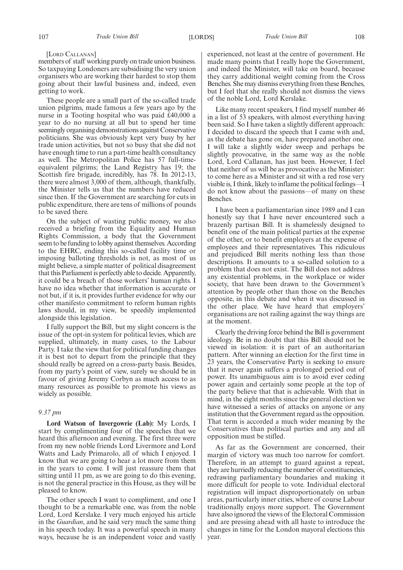#### [LORD CALLANAN]

members of staff working purely on trade union business. So taxpaying Londoners are subsidising the very union organisers who are working their hardest to stop them going about their lawful business and, indeed, even getting to work.

These people are a small part of the so-called trade union pilgrims, made famous a few years ago by the nurse in a Tooting hospital who was paid £40,000 a year to do no nursing at all but to spend her time seemingly organising demonstrations against Conservative politicians. She was obviously kept very busy by her trade union activities, but not so busy that she did not have enough time to run a part-time health consultancy as well. The Metropolitan Police has 57 full-timeequivalent pilgrims; the Land Registry has 19; the Scottish fire brigade, incredibly, has 78. In 2012-13, there were almost 3,000 of them, although, thankfully, the Minister tells us that the numbers have reduced since then. If the Government are searching for cuts in public expenditure, there are tens of millions of pounds to be saved there.

On the subject of wasting public money, we also received a briefing from the Equality and Human Rights Commission, a body that the Government seem to be funding to lobby against themselves. According to the EHRC, ending this so-called facility time or imposing balloting thresholds is not, as most of us might believe, a simple matter of political disagreement that this Parliament is perfectly able to decide. Apparently, it could be a breach of those workers' human rights. I have no idea whether that information is accurate or not but, if it is, it provides further evidence for why our other manifesto commitment to reform human rights laws should, in my view, be speedily implemented alongside this legislation.

I fully support the Bill, but my slight concern is the issue of the opt-in system for political levies, which are supplied, ultimately, in many cases, to the Labour Party. I take the view that for political funding changes it is best not to depart from the principle that they should really be agreed on a cross-party basis. Besides, from my party's point of view, surely we should be in favour of giving Jeremy Corbyn as much access to as many resources as possible to promote his views as widely as possible.

# *9.37 pm*

**Lord Watson of Invergowrie (Lab):** My Lords, I start by complimenting four of the speeches that we heard this afternoon and evening. The first three were from my new noble friends Lord Livermore and Lord Watts and Lady Primarolo, all of which I enjoyed. I know that we are going to hear a lot more from them in the years to come. I will just reassure them that sitting until 11 pm, as we are going to do this evening, is not the general practice in this House, as they will be pleased to know.

The other speech I want to compliment, and one I thought to be a remarkable one, was from the noble Lord, Lord Kerslake. I very much enjoyed his article in the *Guardian*, and he said very much the same thing in his speech today. It was a powerful speech in many ways, because he is an independent voice and vastly experienced, not least at the centre of government. He made many points that I really hope the Government, and indeed the Minister, will take on board, because they carry additional weight coming from the Cross Benches. She may dismiss everything from these Benches, but I feel that she really should not dismiss the views of the noble Lord, Lord Kerslake.

Like many recent speakers, I find myself number 46 in a list of 53 speakers, with almost everything having been said. So I have taken a slightly different approach: I decided to discard the speech that I came with and, as the debate has gone on, have prepared another one. I will take a slightly wider sweep and perhaps be slightly provocative, in the same way as the noble Lord, Lord Callanan, has just been. However, I feel that neither of us will be as provocative as the Minister: to come here as a Minister and sit with a red rose very visible is, I think, likely to inflame the political feelings—I do not know about the passions—of many on these Benches.

I have been a parliamentarian since 1989 and I can honestly say that I have never encountered such a brazenly partisan Bill. It is shamelessly designed to benefit one of the main political parties at the expense of the other, or to benefit employers at the expense of employees and their representatives. This ridiculous and prejudiced Bill merits nothing less than those descriptions. It amounts to a so-called solution to a problem that does not exist. The Bill does not address any existential problems, in the workplace or wider society, that have been drawn to the Government's attention by people other than those on the Benches opposite, in this debate and when it was discussed in the other place. We have heard that employers' organisations are not railing against the way things are at the moment.

Clearly the driving force behind the Bill is government ideology. Be in no doubt that this Bill should not be viewed in isolation: it is part of an authoritarian pattern. After winning an election for the first time in 23 years, the Conservative Party is seeking to ensure that it never again suffers a prolonged period out of power. Its unambiguous aim is to avoid ever ceding power again and certainly some people at the top of the party believe that that is achievable. With that in mind, in the eight months since the general election we have witnessed a series of attacks on anyone or any institution that the Government regard as the opposition. That term is accorded a much wider meaning by the Conservatives than political parties and any and all opposition must be stifled.

As far as the Government are concerned, their margin of victory was much too narrow for comfort. Therefore, in an attempt to guard against a repeat, they are hurriedly reducing the number of constituencies, redrawing parliamentary boundaries and making it more difficult for people to vote. Individual electoral registration will impact disproportionately on urban areas, particularly inner cities, where of course Labour traditionally enjoys more support. The Government have also ignored the views of the Electoral Commission and are pressing ahead with all haste to introduce the changes in time for the London mayoral elections this year.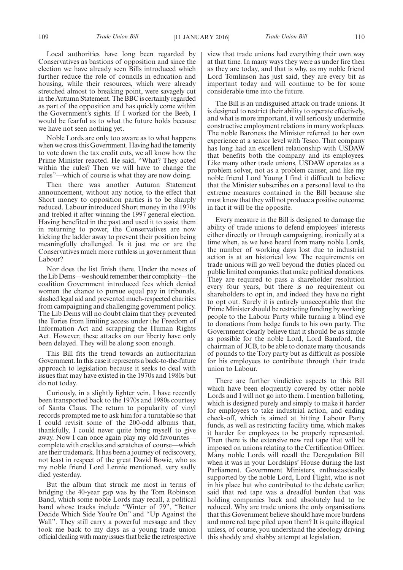Local authorities have long been regarded by Conservatives as bastions of opposition and since the election we have already seen Bills introduced which further reduce the role of councils in education and housing, while their resources, which were already stretched almost to breaking point, were savagely cut in the Autumn Statement. The BBC is certainly regarded as part of the opposition and has quickly come within the Government's sights. If I worked for the Beeb, I would be fearful as to what the future holds because we have not seen nothing yet.

Noble Lords are only too aware as to what happens when we cross this Government. Having had the temerity to vote down the tax credit cuts, we all know how the Prime Minister reacted. He said, "What? They acted within the rules? Then we will have to change the rules"—which of course is what they are now doing.

Then there was another Autumn Statement announcement, without any notice, to the effect that Short money to opposition parties is to be sharply reduced. Labour introduced Short money in the 1970s and trebled it after winning the 1997 general election. Having benefited in the past and used it to assist them in returning to power, the Conservatives are now kicking the ladder away to prevent their position being meaningfully challenged. Is it just me or are the Conservatives much more ruthless in government than Labour?

Nor does the list finish there. Under the noses of theLibDems—we should remember their complicity—the coalition Government introduced fees which denied women the chance to pursue equal pay in tribunals, slashed legal aid and prevented much-respected charities from campaigning and challenging government policy. The Lib Dems will no doubt claim that they prevented the Tories from limiting access under the Freedom of Information Act and scrapping the Human Rights Act. However, these attacks on our liberty have only been delayed. They will be along soon enough.

This Bill fits the trend towards an authoritarian Government. In this case it represents a back-to-the-future approach to legislation because it seeks to deal with issues that may have existed in the 1970s and 1980s but do not today.

Curiously, in a slightly lighter vein, I have recently been transported back to the 1970s and 1980s courtesy of Santa Claus. The return to popularity of vinyl records prompted me to ask him for a turntable so that I could revisit some of the 200-odd albums that, thankfully, I could never quite bring myself to give away. Now I can once again play my old favourites complete with crackles and scratches of course—which are their trademark. It has been a journey of rediscovery, not least in respect of the great David Bowie, who as my noble friend Lord Lennie mentioned, very sadly died yesterday.

But the album that struck me most in terms of bridging the 40-year gap was by the Tom Robinson Band, which some noble Lords may recall, a political band whose tracks include "Winter of 79", "Better Decide Which Side You're On" and "Up Against the Wall". They still carry a powerful message and they took me back to my days as a young trade union official dealing with many issues that belie the retrospective view that trade unions had everything their own way at that time. In many ways they were as under fire then as they are today, and that is why, as my noble friend Lord Tomlinson has just said, they are every bit as important today and will continue to be for some considerable time into the future.

The Bill is an undisguised attack on trade unions. It is designed to restrict their ability to operate effectively, and what is more important, it will seriously undermine constructive employment relations in many workplaces. The noble Baroness the Minister referred to her own experience at a senior level with Tesco. That company has long had an excellent relationship with USDAW that benefits both the company and its employees. Like many other trade unions, USDAW operates as a problem solver, not as a problem causer, and like my noble friend Lord Young I find it difficult to believe that the Minister subscribes on a personal level to the extreme measures contained in the Bill because she must know that they will not produce a positive outcome; in fact it will be the opposite.

Every measure in the Bill is designed to damage the ability of trade unions to defend employees' interests either directly or through campaigning, ironically at a time when, as we have heard from many noble Lords, the number of working days lost due to industrial action is at an historical low. The requirements on trade unions will go well beyond the duties placed on public limited companies that make political donations. They are required to pass a shareholder resolution every four years, but there is no requirement on shareholders to opt in, and indeed they have no right to opt out. Surely it is entirely unacceptable that the Prime Minister should be restricting funding by working people to the Labour Party while turning a blind eye to donations from hedge funds to his own party. The Government clearly believe that it should be as simple as possible for the noble Lord, Lord Bamford, the chairman of JCB, to be able to donate many thousands of pounds to the Tory party but as difficult as possible for his employees to contribute through their trade union to Labour.

There are further vindictive aspects to this Bill which have been eloquently covered by other noble Lords and I will not go into them. I mention balloting, which is designed purely and simply to make it harder for employees to take industrial action, and ending check-off, which is aimed at hitting Labour Party funds, as well as restricting facility time, which makes it harder for employees to be properly represented. Then there is the extensive new red tape that will be imposed on unions relating to the Certification Officer. Many noble Lords will recall the Deregulation Bill when it was in your Lordships' House during the last Parliament. Government Ministers, enthusiastically supported by the noble Lord, Lord Flight, who is not in his place but who contributed to the debate earlier, said that red tape was a dreadful burden that was holding companies back and absolutely had to be reduced. Why are trade unions the only organisations that this Government believe should have more burdens and more red tape piled upon them? It is quite illogical unless, of course, you understand the ideology driving this shoddy and shabby attempt at legislation.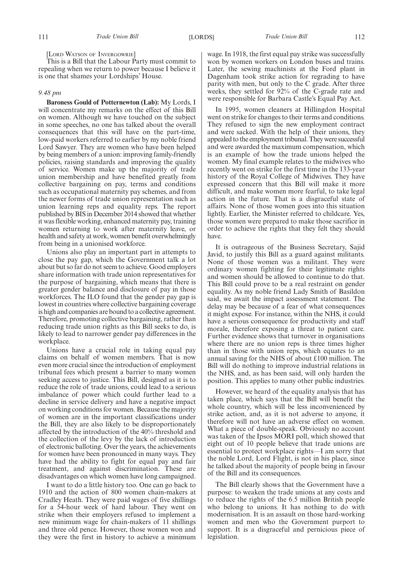[LORD WATSON OF INVERGOWRIE]

This is a Bill that the Labour Party must commit to repealing when we return to power because I believe it is one that shames your Lordships' House.

# *9.48 pm*

**Baroness Gould of Potternewton (Lab):** My Lords, I will concentrate my remarks on the effect of this Bill on women. Although we have touched on the subject in some speeches, no one has talked about the overall consequences that this will have on the part-time, low-paid workers referred to earlier by my noble friend Lord Sawyer. They are women who have been helped by being members of a union: improving family-friendly policies, raising standards and improving the quality of service. Women make up the majority of trade union membership and have benefited greatly from collective bargaining on pay, terms and conditions such as occupational maternity pay schemes, and from the newer forms of trade union representation such as union learning reps and equality reps. The report published by BIS in December 2014 showed that whether it was flexible working, enhanced maternity pay, training women returning to work after maternity leave, or health and safety at work, women benefit overwhelmingly from being in a unionised workforce.

Unions also play an important part in attempts to close the pay gap, which the Government talk a lot about but so far do not seem to achieve. Good employers share information with trade union representatives for the purpose of bargaining, which means that there is greater gender balance and disclosure of pay in those workforces. The ILO found that the gender pay gap is lowest in countries where collective bargaining coverage is high and companies are bound to a collective agreement. Therefore, promoting collective bargaining, rather than reducing trade union rights as this Bill seeks to do, is likely to lead to narrower gender pay differences in the workplace.

Unions have a crucial role in taking equal pay claims on behalf of women members. That is now even more crucial since the introduction of employment tribunal fees which present a barrier to many women seeking access to justice. This Bill, designed as it is to reduce the role of trade unions, could lead to a serious imbalance of power which could further lead to a decline in service delivery and have a negative impact on working conditions for women. Because the majority of women are in the important classifications under the Bill, they are also likely to be disproportionately affected by the introduction of the 40% threshold and the collection of the levy by the lack of introduction of electronic balloting. Over the years, the achievements for women have been pronounced in many ways. They have had the ability to fight for equal pay and fair treatment, and against discrimination. These are disadvantages on which women have long campaigned.

I want to do a little history too. One can go back to 1910 and the action of 800 women chain-makers at Cradley Heath. They were paid wages of five shillings for a 54-hour week of hard labour. They went on strike when their employers refused to implement a new minimum wage for chain-makers of 11 shillings and three old pence. However, those women won and they were the first in history to achieve a minimum wage. In 1918, the first equal pay strike was successfully won by women workers on London buses and trains. Later, the sewing machinists at the Ford plant in Dagenham took strike action for regrading to have parity with men, but only to the C grade. After three weeks, they settled for 92% of the C-grade rate and were responsible for Barbara Castle's Equal Pay Act.

In 1995, women cleaners at Hillingdon Hospital went on strike for changes to their terms and conditions. They refused to sign the new employment contract and were sacked. With the help of their unions, they appealed to the employment tribunal.They were successful and were awarded the maximum compensation, which is an example of how the trade unions helped the women. My final example relates to the midwives who recently went on strike for the first time in the 133-year history of the Royal College of Midwives. They have expressed concern that this Bill will make it more difficult, and make women more fearful, to take legal action in the future. That is a disgraceful state of affairs. None of those women goes into this situation lightly. Earlier, the Minister referred to childcare. Yes, those women were prepared to make those sacrifice in order to achieve the rights that they felt they should have.

It is outrageous of the Business Secretary, Sajid Javid, to justify this Bill as a guard against militants. None of those women was a militant. They were ordinary women fighting for their legitimate rights and women should be allowed to continue to do that. This Bill could prove to be a real restraint on gender equality. As my noble friend Lady Smith of Basildon said, we await the impact assessment statement. The delay may be because of a fear of what consequences it might expose. For instance, within the NHS, it could have a serious consequence for productivity and staff morale, therefore exposing a threat to patient care. Further evidence shows that turnover in organisations where there are no union reps is three times higher than in those with union reps, which equates to an annual saving for the NHS of about £100 million. The Bill will do nothing to improve industrial relations in the NHS, and, as has been said, will only harden the position. This applies to many other public industries.

However, we heard of the equality analysis that has taken place, which says that the Bill will benefit the whole country, which will be less inconvenienced by strike action, and, as it is not adverse to anyone, it therefore will not have an adverse effect on women. What a piece of double-speak. Obviously no account was taken of the Ipsos MORI poll, which showed that eight out of 10 people believe that trade unions are essential to protect workplace rights—I am sorry that the noble Lord, Lord Flight, is not in his place, since he talked about the majority of people being in favour of the Bill and its consequences.

The Bill clearly shows that the Government have a purpose: to weaken the trade unions at any costs and to reduce the rights of the 6.5 million British people who belong to unions. It has nothing to do with modernisation. It is an assault on those hard-working women and men who the Government purport to support. It is a disgraceful and pernicious piece of legislation.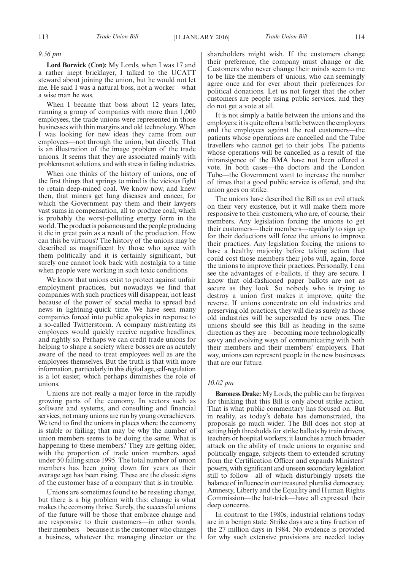## *9.56 pm*

**Lord Borwick (Con):** My Lords, when I was 17 and a rather inept bricklayer, I talked to the UCATT steward about joining the union, but he would not let me. He said I was a natural boss, not a worker—what a wise man he was.

When I became that boss about 12 years later, running a group of companies with more than 1,000 employees, the trade unions were represented in those businesses with thin margins and old technology. When I was looking for new ideas they came from our employees—not through the union, but directly. That is an illustration of the image problem of the trade unions. It seems that they are associated mainly with problems not solutions, and with stress in failing industries.

When one thinks of the history of unions, one of the first things that springs to mind is the vicious fight to retain deep-mined coal. We know now, and knew then, that miners get lung diseases and cancer, for which the Government pay them and their lawyers vast sums in compensation, all to produce coal, which is probably the worst-polluting energy form in the world. The product is poisonous and the people producing it die in great pain as a result of the production. How can this be virtuous? The history of the unions may be described as magnificent by those who agree with them politically and it is certainly significant, but surely one cannot look back with nostalgia to a time when people were working in such toxic conditions.

We know that unions exist to protect against unfair employment practices, but nowadays we find that companies with such practices will disappear, not least because of the power of social media to spread bad news in lightning-quick time. We have seen many companies forced into public apologies in response to a so-called Twitterstorm. A company mistreating its employees would quickly receive negative headlines, and rightly so. Perhaps we can credit trade unions for helping to shape a society where bosses are as acutely aware of the need to treat employees well as are the employees themselves. But the truth is that with more information, particularly in this digital age, self-regulation is a lot easier, which perhaps diminishes the role of unions.

Unions are not really a major force in the rapidly growing parts of the economy. In sectors such as software and systems, and consulting and financial services, not many unions are run by young overachievers. We tend to find the unions in places where the economy is stable or failing; that may be why the number of union members seems to be doing the same. What is happening to these members? They are getting older, with the proportion of trade union members aged under 50 falling since 1995. The total number of union members has been going down for years as their average age has been rising. These are the classic signs of the customer base of a company that is in trouble.

Unions are sometimes found to be resisting change, but there is a big problem with this: change is what makes the economy thrive. Surely, the successful unions of the future will be those that embrace change and are responsive to their customers—in other words, their members—because it is the customer who changes a business, whatever the managing director or the shareholders might wish. If the customers change their preference, the company must change or die. Customers who never change their minds seem to me to be like the members of unions, who can seemingly agree once and for ever about their preferences for political donations. Let us not forget that the other customers are people using public services, and they do not get a vote at all.

It is not simply a battle between the unions and the employers; it is quite often a battle between the employers and the employees against the real customers—the patients whose operations are cancelled and the Tube travellers who cannot get to their jobs. The patients whose operations will be cancelled as a result of the intransigence of the BMA have not been offered a vote. In both cases—the doctors and the London Tube—the Government want to increase the number of times that a good public service is offered, and the union goes on strike.

The unions have described the Bill as an evil attack on their very existence, but it will make them more responsive to their customers, who are, of course, their members. Any legislation forcing the unions to get their customers—their members—regularly to sign up for their deductions will force the unions to improve their practices. Any legislation forcing the unions to have a healthy majority before taking action that could cost those members their jobs will, again, force the unions to improve their practices. Personally, I can see the advantages of e-ballots, if they are secure. I know that old-fashioned paper ballots are not as secure as they look. So nobody who is trying to destroy a union first makes it improve; quite the reverse. If unions concentrate on old industries and preserving old practices, they will die as surely as those old industries will be superseded by new ones. The unions should see this Bill as heading in the same direction as they are—becoming more technologically savvy and evolving ways of communicating with both their members and their members' employers. That way, unions can represent people in the new businesses that are our future.

#### *10.02 pm*

**Baroness Drake:** My Lords, the public can be forgiven for thinking that this Bill is only about strike action. That is what public commentary has focused on. But in reality, as today's debate has demonstrated, the proposals go much wider. The Bill does not stop at setting high thresholds for strike ballots by train drivers, teachers or hospital workers; it launches a much broader attack on the ability of trade unions to organise and politically engage, subjects them to extended scrutiny from the Certification Officer and expands Ministers' powers, with significant and unseen secondary legislation still to follow—all of which disturbingly upsets the balance of influence in our treasured pluralist democracy. Amnesty, Liberty and the Equality and Human Rights Commission—the hat-trick—have all expressed their deep concerns.

In contrast to the 1980s, industrial relations today are in a benign state. Strike days are a tiny fraction of the 27 million days in 1984. No evidence is provided for why such extensive provisions are needed today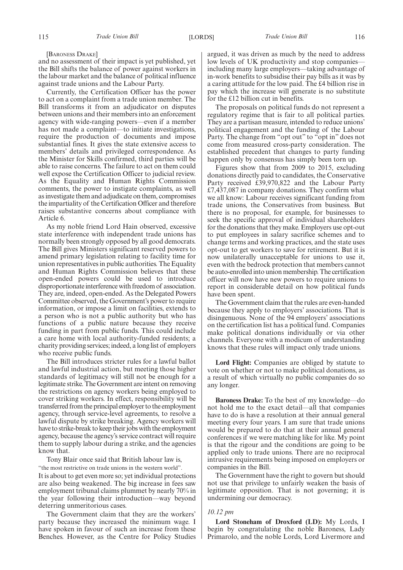[BARONESS DRAKE]

and no assessment of their impact is yet published, yet the Bill shifts the balance of power against workers in the labour market and the balance of political influence against trade unions and the Labour Party.

Currently, the Certification Officer has the power to act on a complaint from a trade union member. The Bill transforms it from an adjudicator on disputes between unions and their members into an enforcement agency with wide-ranging powers—even if a member has not made a complaint—to initiate investigations, require the production of documents and impose substantial fines. It gives the state extensive access to members' details and privileged correspondence. As the Minister for Skills confirmed, third parties will be able to raise concerns. The failure to act on them could well expose the Certification Officer to judicial review. As the Equality and Human Rights Commission comments, the power to instigate complaints, as well as investigate them and adjudicate on them, compromises the impartiality of the Certification Officer and therefore raises substantive concerns about compliance with Article 6.

As my noble friend Lord Hain observed, excessive state interference with independent trade unions has normally been strongly opposed by all good democrats. The Bill gives Ministers significant reserved powers to amend primary legislation relating to facility time for union representatives in public authorities. The Equality and Human Rights Commission believes that these open-ended powers could be used to introduce disproportionate interference with freedom of association. They are, indeed, open-ended. As the Delegated Powers Committee observed, the Government's power to require information, or impose a limit on facilities, extends to a person who is not a public authority but who has functions of a public nature because they receive funding in part from public funds. This could include a care home with local authority-funded residents; a charity providing services; indeed, a long list of employers who receive public funds.

The Bill introduces stricter rules for a lawful ballot and lawful industrial action, but meeting those higher standards of legitimacy will still not be enough for a legitimate strike. The Government are intent on removing the restrictions on agency workers being employed to cover striking workers. In effect, responsibility will be transferred from the principal employer to the employment agency, through service-level agreements, to resolve a lawful dispute by strike breaking. Agency workers will have to strike-break to keep their jobs with the employment agency, because the agency's service contract will require them to supply labour during a strike, and the agencies know that.

Tony Blair once said that British labour law is,

"the most restrictive on trade unions in the western world". It is about to get even more so; yet individual protections are also being weakened. The big increase in fees saw employment tribunal claims plummet by nearly 70% in the year following their introduction—way beyond deterring unmeritorious cases.

The Government claim that they are the workers' party because they increased the minimum wage. I have spoken in favour of such an increase from these Benches. However, as the Centre for Policy Studies argued, it was driven as much by the need to address low levels of UK productivity and stop companies including many large employers—taking advantage of in-work benefits to subsidise their pay bills as it was by a caring attitude for the low paid. The £4 billion rise in pay which the increase will generate is no substitute for the £12 billion cut in benefits.

The proposals on political funds do not represent a regulatory regime that is fair to all political parties. They are a partisan measure, intended to reduce unions' political engagement and the funding of the Labour Party. The change from "opt out" to "opt in" does not come from measured cross-party consideration. The established precedent that changes to party funding happen only by consensus has simply been torn up.

Figures show that from 2009 to 2015, excluding donations directly paid to candidates, the Conservative Party received £39,970,822 and the Labour Party £7,437,087 in company donations. They confirm what we all know: Labour receives significant funding from trade unions, the Conservatives from business. But there is no proposal, for example, for businesses to seek the specific approval of individual shareholders for the donations that they make. Employers use opt-out to put employees in salary sacrifice schemes and to change terms and working practices, and the state uses opt-out to get workers to save for retirement. But it is now unilaterally unacceptable for unions to use it, even with the bedrock protection that members cannot be auto-enrolled into union membership. The certification officer will now have new powers to require unions to report in considerable detail on how political funds have been spent.

The Government claim that the rules are even-handed because they apply to employers' associations. That is disingenuous. None of the 94 employers' associations on the certification list has a political fund. Companies make political donations individually or via other channels. Everyone with a modicum of understanding knows that these rules will impact only trade unions.

**Lord Flight:** Companies are obliged by statute to vote on whether or not to make political donations, as a result of which virtually no public companies do so any longer.

**Baroness Drake:** To the best of my knowledge—do not hold me to the exact detail—all that companies have to do is have a resolution at their annual general meeting every four years. I am sure that trade unions would be prepared to do that at their annual general conferences if we were matching like for like. My point is that the rigour and the conditions are going to be applied only to trade unions. There are no reciprocal intrusive requirements being imposed on employers or companies in the Bill.

The Government have the right to govern but should not use that privilege to unfairly weaken the basis of legitimate opposition. That is not governing; it is undermining our democracy.

#### *10.12 pm*

**Lord Stoneham of Droxford (LD):** My Lords, I begin by congratulating the noble Baroness, Lady Primarolo, and the noble Lords, Lord Livermore and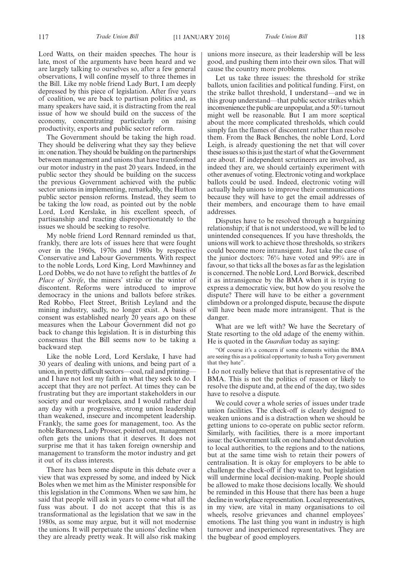Lord Watts, on their maiden speeches. The hour is late, most of the arguments have been heard and we are largely talking to ourselves so, after a few general observations, I will confine myself to three themes in the Bill. Like my noble friend Lady Burt, I am deeply depressed by this piece of legislation. After five years of coalition, we are back to partisan politics and, as many speakers have said, it is distracting from the real issue of how we should build on the success of the economy, concentrating particularly on raising productivity, exports and public sector reform.

The Government should be taking the high road. They should be delivering what they say they believe in: one nation.They should be building on the partnerships between management and unions that have transformed our motor industry in the past 20 years. Indeed, in the public sector they should be building on the success the previous Government achieved with the public sector unions in implementing, remarkably, the Hutton public sector pension reforms. Instead, they seem to be taking the low road, as pointed out by the noble Lord, Lord Kerslake, in his excellent speech, of partisanship and reacting disproportionately to the issues we should be seeking to resolve.

My noble friend Lord Rennard reminded us that, frankly, there are lots of issues here that were fought over in the 1960s, 1970s and 1980s by respective Conservative and Labour Governments. With respect to the noble Lords, Lord King, Lord Mawhinney and Lord Dobbs, we do not have to refight the battles of *In Place of Strife*, the miners' strike or the winter of discontent. Reforms were introduced to improve democracy in the unions and ballots before strikes. Red Robbo, Fleet Street, British Leyland and the mining industry, sadly, no longer exist. A basis of consent was established nearly 20 years ago on these measures when the Labour Government did not go back to change this legislation. It is in disturbing this consensus that the Bill seems now to be taking a backward step.

Like the noble Lord, Lord Kerslake, I have had 30 years of dealing with unions, and being part of a union, in pretty difficult sectors—coal, rail and printing and I have not lost my faith in what they seek to do. I accept that they are not perfect. At times they can be frustrating but they are important stakeholders in our society and our workplaces, and I would rather deal any day with a progressive, strong union leadership than weakened, insecure and incompetent leadership. Frankly, the same goes for management, too. As the noble Baroness, Lady Prosser, pointed out, management often gets the unions that it deserves. It does not surprise me that it has taken foreign ownership and management to transform the motor industry and get it out of its class interests.

There has been some dispute in this debate over a view that was expressed by some, and indeed by Nick Boles when we met him as the Minister responsible for this legislation in the Commons. When we saw him, he said that people will ask in years to come what all the fuss was about. I do not accept that this is as transformational as the legislation that we saw in the 1980s, as some may argue, but it will not modernise the unions. It will perpetuate the unions' decline when they are already pretty weak. It will also risk making unions more insecure, as their leadership will be less good, and pushing them into their own silos. That will cause the country more problems.

Let us take three issues: the threshold for strike ballots, union facilities and political funding. First, on the strike ballot threshold, I understand—and we in this group understand—that public sector strikes which inconvenience the public are unpopular, and a 50% turnout might well be reasonable. But I am more sceptical about the more complicated thresholds, which could simply fan the flames of discontent rather than resolve them. From the Back Benches, the noble Lord, Lord Leigh, is already questioning the net that will cover these issues so this is just the start of what the Government are about. If independent scrutineers are involved, as indeed they are, we should certainly experiment with other avenues of voting. Electronic voting and workplace ballots could be used. Indeed, electronic voting will actually help unions to improve their communications because they will have to get the email addresses of their members, and encourage them to have email addresses.

Disputes have to be resolved through a bargaining relationship; if that is not understood, we will be led to unintended consequences. If you have thresholds, the unions will work to achieve those thresholds, so strikers could become more intransigent. Just take the case of the junior doctors: 76% have voted and 99% are in favour, so that ticks all the boxes as far as the legislation is concerned. The noble Lord, Lord Borwick, described it as intransigence by the BMA when it is trying to express a democratic view, but how do you resolve the dispute? There will have to be either a government climbdown or a prolonged dispute, because the dispute will have been made more intransigent. That is the danger.

What are we left with? We have the Secretary of State resorting to the old adage of the enemy within. He is quoted in the *Guardian* today as saying:

"Of course it's a concern if some elements within the BMA are seeing this as a political opportunity to bash a Tory government that they hate".

I do not really believe that that is representative of the BMA. This is not the politics of reason or likely to resolve the dispute and, at the end of the day, two sides have to resolve a dispute.

We could cover a whole series of issues under trade union facilities. The check-off is clearly designed to weaken unions and is a distraction when we should be getting unions to co-operate on public sector reform. Similarly, with facilities, there is a more important issue: the Government talk on one hand about devolution to local authorities, to the regions and to the nations, but at the same time wish to retain their powers of centralisation. It is okay for employers to be able to challenge the check-off if they want to, but legislation will undermine local decision-making. People should be allowed to make those decisions locally. We should be reminded in this House that there has been a huge decline in workplace representation. Local representatives, in my view, are vital in many organisations to oil wheels, resolve grievances and channel employees' emotions. The last thing you want in industry is high turnover and inexperienced representatives. They are the bugbear of good employers.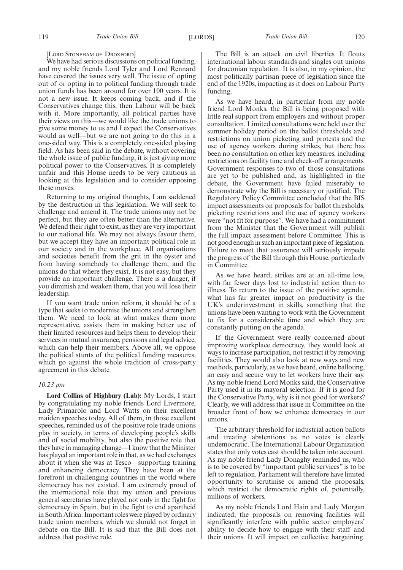[LORD STONEHAM OF DROXFORD]

We have had serious discussions on political funding, and my noble friends Lord Tyler and Lord Rennard have covered the issues very well. The issue of opting out of or opting in to political funding through trade union funds has been around for over 100 years. It is not a new issue. It keeps coming back, and if the Conservatives change this, then Labour will be back with it. More importantly, all political parties have their views on this—we would like the trade unions to give some money to us and I expect the Conservatives would as well—but we are not going to do this in a one-sided way. This is a completely one-sided playing field. As has been said in the debate, without covering the whole issue of public funding, it is just giving more political power to the Conservatives. It is completely unfair and this House needs to be very cautious in looking at this legislation and to consider opposing these moves.

Returning to my original thoughts, I am saddened by the destruction in this legislation. We will seek to challenge and amend it. The trade unions may not be perfect, but they are often better than the alternative. We defend their right to exist, as they are very important to our national life. We may not always favour them, but we accept they have an important political role in our society and in the workplace. All organisations and societies benefit from the grit in the oyster and from having somebody to challenge them, and the unions do that where they exist. It is not easy, but they provide an important challenge. There is a danger, if you diminish and weaken them, that you will lose their leadership.

If you want trade union reform, it should be of a type that seeks to modernise the unions and strengthen them. We need to look at what makes them more representative, assists them in making better use of their limited resources and helps them to develop their services in mutual insurance, pensions and legal advice, which can help their members. Above all, we oppose the political stunts of the political funding measures, which go against the whole tradition of cross-party agreement in this debate.

## *10.23 pm*

**Lord Collins of Highbury (Lab):** My Lords, I start by congratulating my noble friends Lord Livermore, Lady Primarolo and Lord Watts on their excellent maiden speeches today. All of them, in those excellent speeches, reminded us of the positive role trade unions play in society, in terms of developing people's skills and of social mobility, but also the positive role that they have in managing change—I know that the Minister has played an important role in that, as we had exchanges about it when she was at Tesco—supporting training and enhancing democracy. They have been at the forefront in challenging countries in the world where democracy has not existed. I am extremely proud of the international role that my union and previous general secretaries have played not only in the fight for democracy in Spain, but in the fight to end apartheid in South Africa. Important roles were played by ordinary trade union members, which we should not forget in debate on the Bill. It is sad that the Bill does not address that positive role.

The Bill is an attack on civil liberties. It flouts international labour standards and singles out unions for draconian regulation. It is also, in my opinion, the most politically partisan piece of legislation since the end of the 1920s, impacting as it does on Labour Party funding.

As we have heard, in particular from my noble friend Lord Monks, the Bill is being proposed with little real support from employers and without proper consultation. Limited consultations were held over the summer holiday period on the ballot thresholds and restrictions on union picketing and protests and the use of agency workers during strikes, but there has been no consultation on other key measures, including restrictions on facility time and check-off arrangements. Government responses to two of those consultations are yet to be published and, as highlighted in the debate, the Government have failed miserably to demonstrate why the Bill is necessary or justified. The Regulatory Policy Committee concluded that the BIS impact assessments on proposals for ballot thresholds, picketing restrictions and the use of agency workers were "not fit for purpose". We have had a commitment from the Minister that the Government will publish the full impact assessment before Committee. This is not good enough in such an important piece of legislation. Failure to meet that assurance will seriously impede the progress of the Bill through this House, particularly in Committee.

As we have heard, strikes are at an all-time low, with far fewer days lost to industrial action than to illness. To return to the issue of the positive agenda, what has far greater impact on productivity is the UK's underinvestment in skills, something that the unions have been wanting to work with the Government to fix for a considerable time and which they are constantly putting on the agenda.

If the Government were really concerned about improving workplace democracy, they would look at ways to increase participation, not restrict it by removing facilities. They would also look at new ways and new methods, particularly, as we have heard, online balloting, an easy and secure way to let workers have their say. As my noble friend Lord Monks said, the Conservative Party used it in its mayoral selection. If it is good for the Conservative Party, why is it not good for workers? Clearly, we will address that issue in Committee on the broader front of how we enhance democracy in our unions.

The arbitrary threshold for industrial action ballots and treating abstentions as no votes is clearly undemocratic. The International Labour Organization states that only votes cast should be taken into account. As my noble friend Lady Donaghy reminded us, who is to be covered by "important public services" is to be left to regulation. Parliament will therefore have limited opportunity to scrutinise or amend the proposals, which restrict the democratic rights of, potentially, millions of workers.

As my noble friends Lord Hain and Lady Morgan indicated, the proposals on removing facilities will significantly interfere with public sector employers' ability to decide how to engage with their staff and their unions. It will impact on collective bargaining.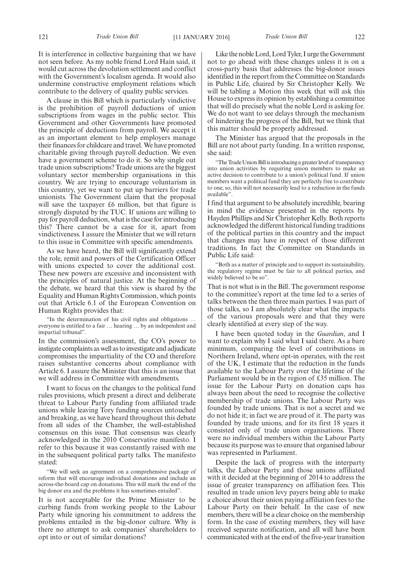It is interference in collective bargaining that we have not seen before. As my noble friend Lord Hain said, it would cut across the devolution settlement and conflict with the Government's localism agenda. It would also undermine constructive employment relations which contribute to the delivery of quality public services.

A clause in this Bill which is particularly vindictive is the prohibition of payroll deductions of union subscriptions from wages in the public sector. This Government and other Governments have promoted the principle of deductions from payroll. We accept it as an important element to help employers manage their finances for childcare and travel.We have promoted charitable giving through payroll deduction. We even have a government scheme to do it. So why single out trade union subscriptions? Trade unions are the biggest voluntary sector membership organisations in this country. We are trying to encourage voluntarism in this country, yet we want to put up barriers for trade unionists. The Government claim that the proposal will save the taxpayer £6 million, but that figure is strongly disputed by the TUC. If unions are willing to pay for payroll deduction, what is the case for introducing this? There cannot be a case for it, apart from vindictiveness. I assure the Minister that we will return to this issue in Committee with specific amendments.

As we have heard, the Bill will significantly extend the role, remit and powers of the Certification Officer with unions expected to cover the additional cost. These new powers are excessive and inconsistent with the principles of natural justice. At the beginning of the debate, we heard that this view is shared by the Equality and Human Rights Commission, which points out that Article 6.1 of the European Convention on Human Rights provides that:

"In the determination of his civil rights and obligations … everyone is entitled to a fair … hearing … by an independent and impartial tribunal".

In the commission's assessment, the CO's power to instigate complaints as well as to investigate and adjudicate compromises the impartiality of the CO and therefore raises substantive concerns about compliance with Article 6. I assure the Minister that this is an issue that we will address in Committee with amendments.

I want to focus on the changes to the political fund rules provisions, which present a direct and deliberate threat to Labour Party funding from affiliated trade unions while leaving Tory funding sources untouched and breaking, as we have heard throughout this debate from all sides of the Chamber, the well-established consensus on this issue. That consensus was clearly acknowledged in the 2010 Conservative manifesto. I refer to this because it was constantly raised with me in the subsequent political party talks. The manifesto stated:

"We will seek an agreement on a comprehensive package of reform that will encourage individual donations and include an across-the-board cap on donations. This will mark the end of the big donor era and the problems it has sometimes entailed".

It is not acceptable for the Prime Minister to be curbing funds from working people to the Labour Party while ignoring his commitment to address the problems entailed in the big-donor culture. Why is there no attempt to ask companies' shareholders to opt into or out of similar donations?

Like the noble Lord, Lord Tyler, I urge the Government not to go ahead with these changes unless it is on a cross-party basis that addresses the big-donor issues identified in the report from the Committee on Standards in Public Life, chaired by Sir Christopher Kelly. We will be tabling a Motion this week that will ask this House to express its opinion by establishing a committee that will do precisely what the noble Lord is asking for. We do not want to see delays through the mechanism of hindering the progress of the Bill, but we think that this matter should be properly addressed.

The Minister has argued that the proposals in the Bill are not about party funding. In a written response, she said:

"The Trade Union Bill is introducing a greater level of transparency into union activities by requiring union members to make an active decision to contribute to a union's political fund. If union members want a political fund they are perfectly free to contribute to one, so, this will not necessarily lead to a reduction in the funds available".

I find that argument to be absolutely incredible, bearing in mind the evidence presented in the reports by Hayden Phillips and Sir Christopher Kelly. Both reports acknowledged the different historical funding traditions of the political parties in this country and the impact that changes may have in respect of those different traditions. In fact the Committee on Standards in Public Life said:

"Both as a matter of principle and to support its sustainability, the regulatory regime must be fair to all political parties, and widely believed to be so".

That is not what is in the Bill. The government response to the committee's report at the time led to a series of talks between the then three main parties. I was part of those talks, so I am absolutely clear what the impacts of the various proposals were and that they were clearly identified at every step of the way.

I have been quoted today in the *Guardian*, and I want to explain why I said what I said there. As a bare minimum, comparing the level of contributions in Northern Ireland, where opt-in operates, with the rest of the UK, I estimate that the reduction in the funds available to the Labour Party over the lifetime of the Parliament would be in the region of £35 million. The issue for the Labour Party on donation caps has always been about the need to recognise the collective membership of trade unions. The Labour Party was founded by trade unions. That is not a secret and we do not hide it; in fact we are proud of it. The party was founded by trade unions, and for its first 18 years it consisted only of trade union organisations. There were no individual members within the Labour Party because its purpose was to ensure that organised labour was represented in Parliament.

Despite the lack of progress with the interparty talks, the Labour Party and those unions affiliated with it decided at the beginning of 2014 to address the issue of greater transparency on affiliation fees. This resulted in trade union levy payers being able to make a choice about their union paying affiliation fees to the Labour Party on their behalf. In the case of new members, there will be a clear choice on the membership form. In the case of existing members, they will have received separate notification, and all will have been communicated with at the end of the five-year transition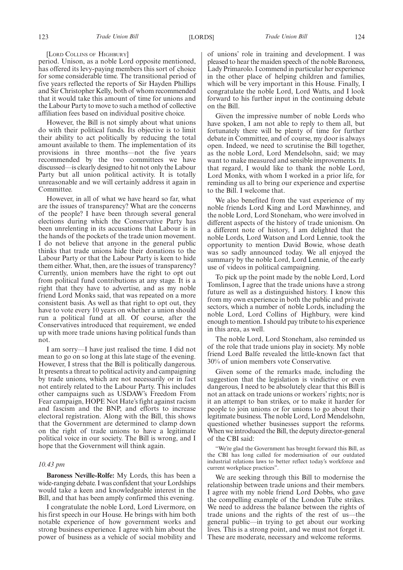[LORD COLLINS OF HIGHBURY]

period. Unison, as a noble Lord opposite mentioned, has offered its levy-paying members this sort of choice for some considerable time. The transitional period of five years reflected the reports of Sir Hayden Phillips and Sir Christopher Kelly, both of whom recommended that it would take this amount of time for unions and the Labour Party to move to such a method of collective affiliation fees based on individual positive choice.

However, the Bill is not simply about what unions do with their political funds. Its objective is to limit their ability to act politically by reducing the total amount available to them. The implementation of its provisions in three months—not the five years recommended by the two committees we have discussed—is clearly designed to hit not only the Labour Party but all union political activity. It is totally unreasonable and we will certainly address it again in Committee.

However, in all of what we have heard so far, what are the issues of transparency? What are the concerns of the people? I have been through several general elections during which the Conservative Party has been unrelenting in its accusations that Labour is in the hands of the pockets of the trade union movement. I do not believe that anyone in the general public thinks that trade unions hide their donations to the Labour Party or that the Labour Party is keen to hide them either. What, then, are the issues of transparency? Currently, union members have the right to opt out from political fund contributions at any stage. It is a right that they have to advertise, and as my noble friend Lord Monks said, that was repeated on a more consistent basis. As well as that right to opt out, they have to vote every 10 years on whether a union should run a political fund at all. Of course, after the Conservatives introduced that requirement, we ended up with more trade unions having political funds than not.

I am sorry—I have just realised the time. I did not mean to go on so long at this late stage of the evening. However, I stress that the Bill is politically dangerous. It presents a threat to political activity and campaigning by trade unions, which are not necessarily or in fact not entirely related to the Labour Party. This includes other campaigns such as USDAW's Freedom From Fear campaign, HOPE Not Hate's fight against racism and fascism and the BNP, and efforts to increase electoral registration. Along with the Bill, this shows that the Government are determined to clamp down on the right of trade unions to have a legitimate political voice in our society. The Bill is wrong, and I hope that the Government will think again.

#### *10.43 pm*

**Baroness Neville-Rolfe:** My Lords, this has been a wide-ranging debate. I was confident that your Lordships would take a keen and knowledgeable interest in the Bill, and that has been amply confirmed this evening.

I congratulate the noble Lord, Lord Livermore, on his first speech in our House. He brings with him both notable experience of how government works and strong business experience. I agree with him about the power of business as a vehicle of social mobility and of unions' role in training and development. I was pleased to hear the maiden speech of the noble Baroness, Lady Primarolo. I commend in particular her experience in the other place of helping children and families, which will be very important in this House. Finally, I congratulate the noble Lord, Lord Watts, and I look forward to his further input in the continuing debate on the Bill.

Given the impressive number of noble Lords who have spoken, I am not able to reply to them all, but fortunately there will be plenty of time for further debate in Committee, and of course, my door is always open. Indeed, we need to scrutinise the Bill together, as the noble Lord, Lord Mendelsohn, said; we may want to make measured and sensible improvements. In that regard, I would like to thank the noble Lord, Lord Monks, with whom I worked in a prior life, for reminding us all to bring our experience and expertise to the Bill. I welcome that.

We also benefited from the vast experience of my noble friends Lord King and Lord Mawhinney, and the noble Lord, Lord Stoneham, who were involved in different aspects of the history of trade unionism. On a different note of history, I am delighted that the noble Lords, Lord Watson and Lord Lennie, took the opportunity to mention David Bowie, whose death was so sadly announced today. We all enjoyed the summary by the noble Lord, Lord Lennie, of the early use of videos in political campaigning.

To pick up the point made by the noble Lord, Lord Tomlinson, I agree that the trade unions have a strong future as well as a distinguished history. I know this from my own experience in both the public and private sectors, which a number of noble Lords, including the noble Lord, Lord Collins of Highbury, were kind enough to mention. I should pay tribute to his experience in this area, as well.

The noble Lord, Lord Stoneham, also reminded us of the role that trade unions play in society. My noble friend Lord Balfe revealed the little-known fact that 30% of union members vote Conservative.

Given some of the remarks made, including the suggestion that the legislation is vindictive or even dangerous, I need to be absolutely clear that this Bill is not an attack on trade unions or workers' rights; nor is it an attempt to ban strikes, or to make it harder for people to join unions or for unions to go about their legitimate business. The noble Lord, Lord Mendelsohn, questioned whether businesses support the reforms. When we introduced the Bill, the deputy director-general of the CBI said:

"We're glad the Government has brought forward this Bill, as the CBI has long called for modernisation of our outdated industrial relations laws to better reflect today's workforce and current workplace practices".

We are seeking through this Bill to modernise the relationship between trade unions and their members. I agree with my noble friend Lord Dobbs, who gave the compelling example of the London Tube strikes. We need to address the balance between the rights of trade unions and the rights of the rest of us—the general public—in trying to get about our working lives. This is a strong point, and we must not forget it. These are moderate, necessary and welcome reforms.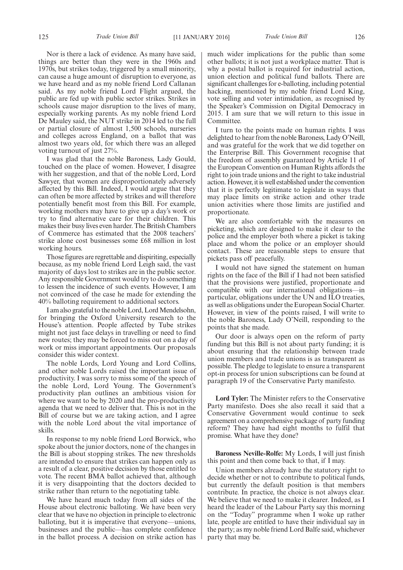Nor is there a lack of evidence. As many have said, things are better than they were in the 1960s and 1970s, but strikes today, triggered by a small minority, can cause a huge amount of disruption to everyone, as we have heard and as my noble friend Lord Callanan said. As my noble friend Lord Flight argued, the public are fed up with public sector strikes. Strikes in schools cause major disruption to the lives of many, especially working parents. As my noble friend Lord De Mauley said, the NUT strike in 2014 led to the full or partial closure of almost 1,500 schools, nurseries and colleges across England, on a ballot that was almost two years old, for which there was an alleged voting turnout of just 27%.

I was glad that the noble Baroness, Lady Gould, touched on the place of women. However, I disagree with her suggestion, and that of the noble Lord, Lord Sawyer, that women are disproportionately adversely affected by this Bill. Indeed, I would argue that they can often be more affected by strikes and will therefore potentially benefit most from this Bill. For example, working mothers may have to give up a day's work or try to find alternative care for their children. This makes their busy lives even harder. The British Chambers of Commerce has estimated that the 2008 teachers' strike alone cost businesses some £68 million in lost working hours.

Those figures are regrettable and dispiriting, especially because, as my noble friend Lord Leigh said, the vast majority of days lost to strikes are in the public sector. Any responsible Government would try to do something to lessen the incidence of such events. However, I am not convinced of the case he made for extending the 40% balloting requirement to additional sectors.

I am also grateful to the noble Lord, Lord Mendelsohn, for bringing the Oxford University research to the House's attention. People affected by Tube strikes might not just face delays in travelling or need to find new routes; they may be forced to miss out on a day of work or miss important appointments. Our proposals consider this wider context.

The noble Lords, Lord Young and Lord Collins, and other noble Lords raised the important issue of productivity. I was sorry to miss some of the speech of the noble Lord, Lord Young. The Government's productivity plan outlines an ambitious vision for where we want to be by 2020 and the pro-productivity agenda that we need to deliver that. This is not in the Bill of course but we are taking action, and I agree with the noble Lord about the vital importance of skills.

In response to my noble friend Lord Borwick, who spoke about the junior doctors, none of the changes in the Bill is about stopping strikes. The new thresholds are intended to ensure that strikes can happen only as a result of a clear, positive decision by those entitled to vote. The recent BMA ballot achieved that, although it is very disappointing that the doctors decided to strike rather than return to the negotiating table.

We have heard much today from all sides of the House about electronic balloting. We have been very clear that we have no objection in principle to electronic balloting, but it is imperative that everyone—unions, businesses and the public—has complete confidence in the ballot process. A decision on strike action has much wider implications for the public than some other ballots; it is not just a workplace matter. That is why a postal ballot is required for industrial action, union election and political fund ballots. There are significant challenges for e-balloting, including potential hacking, mentioned by my noble friend Lord King, vote selling and voter intimidation, as recognised by the Speaker's Commission on Digital Democracy in 2015. I am sure that we will return to this issue in Committee.

I turn to the points made on human rights. I was delighted to hear from the noble Baroness, Lady O'Neill, and was grateful for the work that we did together on the Enterprise Bill. This Government recognise that the freedom of assembly guaranteed by Article 11 of the European Convention on Human Rights affords the right to join trade unions and the right to take industrial action. However, it is well established under the convention that it is perfectly legitimate to legislate in ways that may place limits on strike action and other trade union activities where those limits are justified and proportionate.

We are also comfortable with the measures on picketing, which are designed to make it clear to the police and the employer both where a picket is taking place and whom the police or an employer should contact. These are reasonable steps to ensure that pickets pass off peacefully.

I would not have signed the statement on human rights on the face of the Bill if I had not been satisfied that the provisions were justified, proportionate and compatible with our international obligations—in particular, obligations under the UN and ILO treaties, as well as obligations under the European Social Charter. However, in view of the points raised, I will write to the noble Baroness, Lady O'Neill, responding to the points that she made.

Our door is always open on the reform of party funding but this Bill is not about party funding; it is about ensuring that the relationship between trade union members and trade unions is as transparent as possible. The pledge to legislate to ensure a transparent opt-in process for union subscriptions can be found at paragraph 19 of the Conservative Party manifesto.

**Lord Tyler:** The Minister refers to the Conservative Party manifesto. Does she also recall it said that a Conservative Government would continue to seek agreement on a comprehensive package of party funding reform? They have had eight months to fulfil that promise. What have they done?

**Baroness Neville-Rolfe:** My Lords, I will just finish this point and then come back to that, if I may.

Union members already have the statutory right to decide whether or not to contribute to political funds, but currently the default position is that members contribute. In practice, the choice is not always clear. We believe that we need to make it clearer. Indeed, as I heard the leader of the Labour Party say this morning on the "Today" programme when I woke up rather late, people are entitled to have their individual say in the party; as my noble friend Lord Balfe said, whichever party that may be.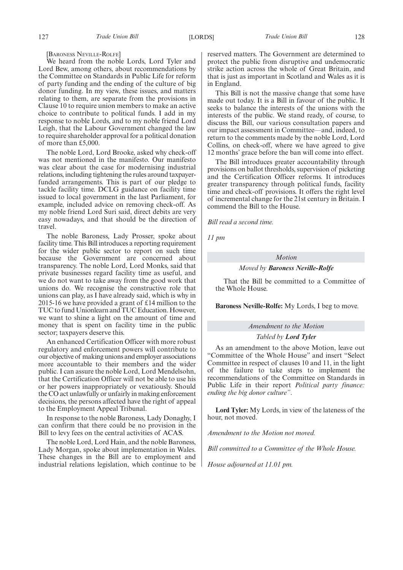[BARONESS NEVILLE-ROLFE]

We heard from the noble Lords, Lord Tyler and Lord Bew, among others, about recommendations by the Committee on Standards in Public Life for reform of party funding and the ending of the culture of big donor funding. In my view, these issues, and matters relating to them, are separate from the provisions in Clause 10 to require union members to make an active choice to contribute to political funds. I add in my response to noble Lords, and to my noble friend Lord Leigh, that the Labour Government changed the law to require shareholder approval for a political donation of more than £5,000.

The noble Lord, Lord Brooke, asked why check-off was not mentioned in the manifesto. Our manifesto was clear about the case for modernising industrial relations, including tightening the rules around taxpayerfunded arrangements. This is part of our pledge to tackle facility time. DCLG guidance on facility time issued to local government in the last Parliament, for example, included advice on removing check-off. As my noble friend Lord Suri said, direct debits are very easy nowadays, and that should be the direction of travel.

The noble Baroness, Lady Prosser, spoke about facility time. This Bill introduces a reporting requirement for the wider public sector to report on such time because the Government are concerned about transparency. The noble Lord, Lord Monks, said that private businesses regard facility time as useful, and we do not want to take away from the good work that unions do. We recognise the constructive role that unions can play, as I have already said, which is why in 2015-16 we have provided a grant of £14 million to the TUC to fund Unionlearn and TUC Education. However, we want to shine a light on the amount of time and money that is spent on facility time in the public sector; taxpayers deserve this.

An enhanced Certification Officer with more robust regulatory and enforcement powers will contribute to our objective of making unions and employer associations more accountable to their members and the wider public. I can assure the noble Lord, Lord Mendelsohn, that the Certification Officer will not be able to use his or her powers inappropriately or vexatiously. Should the CO act unlawfully or unfairly in making enforcement decisions, the persons affected have the right of appeal to the Employment Appeal Tribunal.

In response to the noble Baroness, Lady Donaghy, I can confirm that there could be no provision in the Bill to levy fees on the central activities of ACAS.

The noble Lord, Lord Hain, and the noble Baroness, Lady Morgan, spoke about implementation in Wales. These changes in the Bill are to employment and industrial relations legislation, which continue to be reserved matters. The Government are determined to protect the public from disruptive and undemocratic strike action across the whole of Great Britain, and that is just as important in Scotland and Wales as it is in England.

This Bill is not the massive change that some have made out today. It is a Bill in favour of the public. It seeks to balance the interests of the unions with the interests of the public. We stand ready, of course, to discuss the Bill, our various consultation papers and our impact assessment in Committee—and, indeed, to return to the comments made by the noble Lord, Lord Collins, on check-off, where we have agreed to give 12 months' grace before the ban will come into effect.

The Bill introduces greater accountability through provisions on ballot thresholds, supervision of picketing and the Certification Officer reforms. It introduces greater transparency through political funds, facility time and check-off provisions. It offers the right level of incremental change for the 21st century in Britain. I commend the Bill to the House.

*Bill read a second time.*

*11 pm*

*Motion*

#### *Moved by Baroness Neville-Rolfe*

That the Bill be committed to a Committee of the Whole House.

**Baroness Neville-Rolfe:** My Lords, I beg to move.

#### *Amendment to the Motion*

# *Tabled by Lord Tyler*

As an amendment to the above Motion, leave out "Committee of the Whole House" and insert "Select Committee in respect of clauses 10 and 11, in the light of the failure to take steps to implement the recommendations of the Committee on Standards in Public Life in their report *Political party finance: ending the big donor culture"*.

**Lord Tyler:** My Lords, in view of the lateness of the hour, not moved.

*Amendment to the Motion not moved.*

*Bill committed to a Committee of the Whole House.*

*House adjourned at 11.01 pm.*